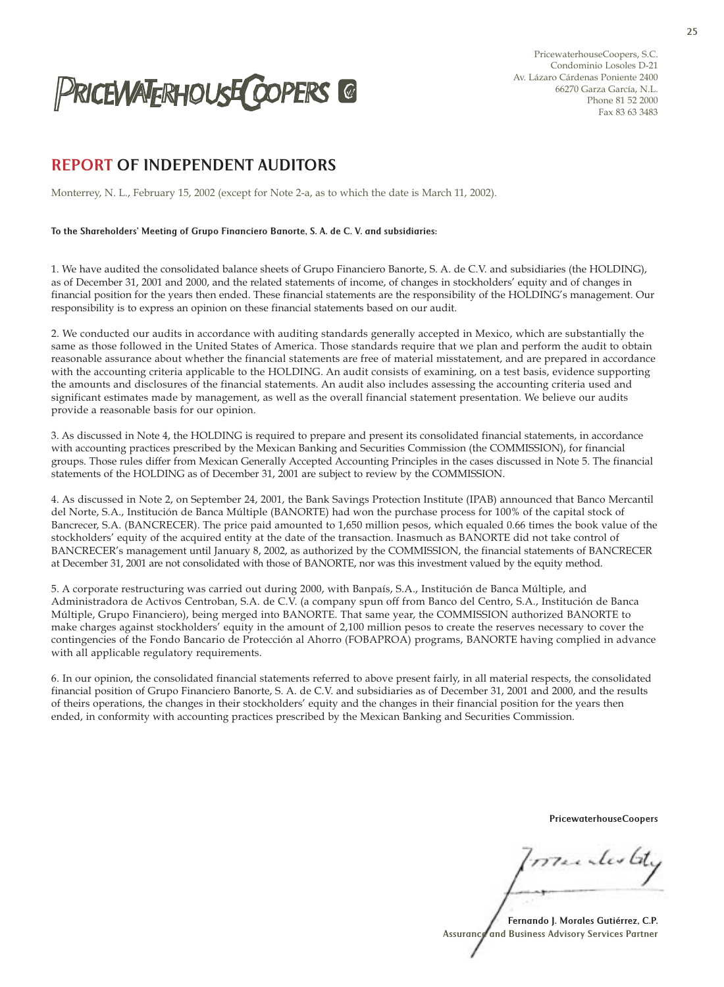

PricewaterhouseCoopers, S.C. Condominio Losoles D-21 Av. Lázaro Cárdenas Poniente 2400 66270 Garza García, N.L. Phone 81 52 2000 Fax 83 63 3483

# REPORT OF INDEPENDENT AUDITORS

Monterrey, N. L., February 15, 2002 (except for Note 2-a, as to which the date is March 11, 2002).

## To the Shareholders' Meeting of Grupo Financiero Banorte, S. A. de C. V. and subsidiaries:

1. We have audited the consolidated balance sheets of Grupo Financiero Banorte, S. A. de C.V. and subsidiaries (the HOLDING), as of December 31, 2001 and 2000, and the related statements of income, of changes in stockholders' equity and of changes in financial position for the years then ended. These financial statements are the responsibility of the HOLDING's management. Our responsibility is to express an opinion on these financial statements based on our audit.

2. We conducted our audits in accordance with auditing standards generally accepted in Mexico, which are substantially the same as those followed in the United States of America. Those standards require that we plan and perform the audit to obtain reasonable assurance about whether the financial statements are free of material misstatement, and are prepared in accordance with the accounting criteria applicable to the HOLDING. An audit consists of examining, on a test basis, evidence supporting the amounts and disclosures of the financial statements. An audit also includes assessing the accounting criteria used and significant estimates made by management, as well as the overall financial statement presentation. We believe our audits provide a reasonable basis for our opinion.

3. As discussed in Note 4, the HOLDING is required to prepare and present its consolidated financial statements, in accordance with accounting practices prescribed by the Mexican Banking and Securities Commission (the COMMISSION), for financial groups. Those rules differ from Mexican Generally Accepted Accounting Principles in the cases discussed in Note 5. The financial statements of the HOLDING as of December 31, 2001 are subject to review by the COMMISSION.

4. As discussed in Note 2, on September 24, 2001, the Bank Savings Protection Institute (IPAB) announced that Banco Mercantil del Norte, S.A., Institución de Banca Múltiple (BANORTE) had won the purchase process for 100% of the capital stock of Bancrecer, S.A. (BANCRECER). The price paid amounted to 1,650 million pesos, which equaled 0.66 times the book value of the stockholders' equity of the acquired entity at the date of the transaction. Inasmuch as BANORTE did not take control of BANCRECER's management until January 8, 2002, as authorized by the COMMISSION, the financial statements of BANCRECER at December 31, 2001 are not consolidated with those of BANORTE, nor was this investment valued by the equity method.

5. A corporate restructuring was carried out during 2000, with Banpaís, S.A., Institución de Banca Múltiple, and Administradora de Activos Centroban, S.A. de C.V. (a company spun off from Banco del Centro, S.A., Institución de Banca Múltiple, Grupo Financiero), being merged into BANORTE. That same year, the COMMISSION authorized BANORTE to make charges against stockholders' equity in the amount of 2,100 million pesos to create the reserves necessary to cover the contingencies of the Fondo Bancario de Protección al Ahorro (FOBAPROA) programs, BANORTE having complied in advance with all applicable regulatory requirements.

6. In our opinion, the consolidated financial statements referred to above present fairly, in all material respects, the consolidated financial position of Grupo Financiero Banorte, S. A. de C.V. and subsidiaries as of December 31, 2001 and 2000, and the results of theirs operations, the changes in their stockholders' equity and the changes in their financial position for the years then ended, in conformity with accounting practices prescribed by the Mexican Banking and Securities Commission.

PricewaterhouseCoopers

menterate

Fernando J. Morales Gutiérrez, C.P. Assurance and Business Advisory Services Partner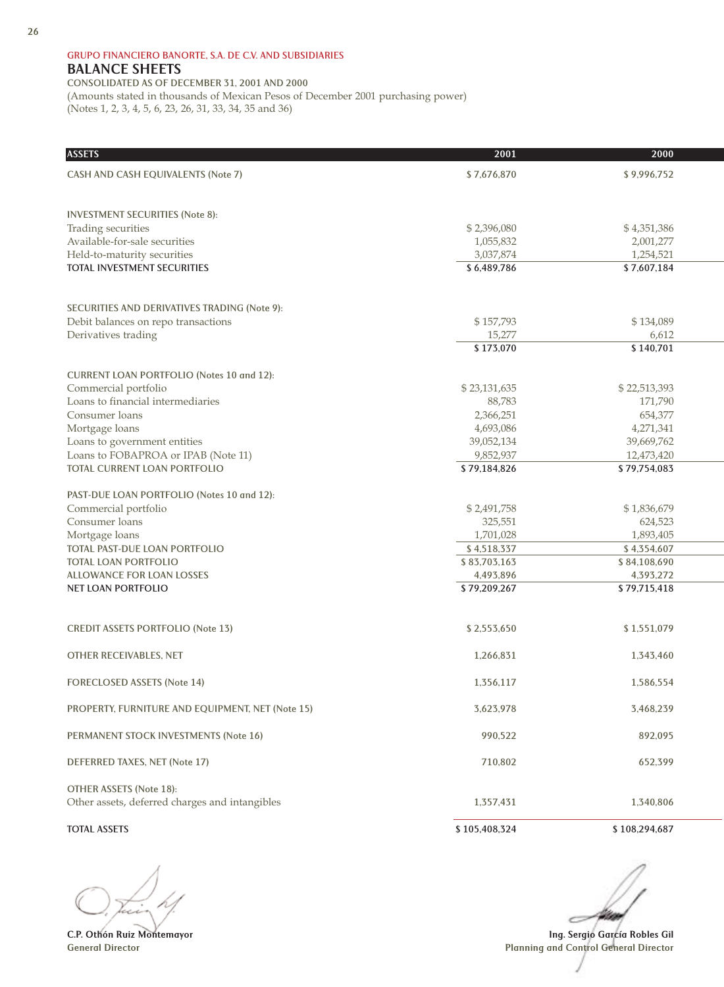## **GRUPO FINANCIERO BANORTE, S.A. DE C.V. AND SUBSIDIARIES** BALANCE SHEETS

**CONSOLIDATED AS OF DECEMBER 31, 2001 AND 2000** (Amounts stated in thousands of Mexican Pesos of December 2001 purchasing power) (Notes 1, 2, 3, 4, 5, 6, 23, 26, 31, 33, 34, 35 and 36)

| <b>ASSETS</b>                                    | 2001          | 2000          |
|--------------------------------------------------|---------------|---------------|
| <b>CASH AND CASH EQUIVALENTS (Note 7)</b>        | \$7,676,870   | \$9,996,752   |
|                                                  |               |               |
| <b>INVESTMENT SECURITIES (Note 8):</b>           |               |               |
| Trading securities                               | \$2,396,080   | \$4,351,386   |
| Available-for-sale securities                    | 1,055,832     | 2,001,277     |
| Held-to-maturity securities                      | 3,037,874     | 1,254,521     |
| <b>TOTAL INVESTMENT SECURITIES</b>               | \$6,489,786   | \$7,607,184   |
|                                                  |               |               |
| SECURITIES AND DERIVATIVES TRADING (Note 9):     |               |               |
| Debit balances on repo transactions              | \$157,793     | \$134,089     |
| Derivatives trading                              | 15,277        | 6,612         |
|                                                  | \$173,070     | \$140,701     |
| CURRENT LOAN PORTFOLIO (Notes 10 and 12):        |               |               |
| Commercial portfolio                             | \$23,131,635  | \$22,513,393  |
| Loans to financial intermediaries                | 88,783        | 171,790       |
| Consumer loans                                   | 2,366,251     | 654,377       |
| Mortgage loans                                   | 4,693,086     | 4,271,341     |
| Loans to government entities                     | 39,052,134    | 39,669,762    |
| Loans to FOBAPROA or IPAB (Note 11)              | 9,852,937     | 12,473,420    |
| <b>TOTAL CURRENT LOAN PORTFOLIO</b>              | \$79,184,826  | \$79,754,083  |
| PAST-DUE LOAN PORTFOLIO (Notes 10 and 12):       |               |               |
| Commercial portfolio                             | \$2,491,758   | \$1,836,679   |
| Consumer loans                                   | 325,551       | 624,523       |
| Mortgage loans                                   | 1,701,028     | 1,893,405     |
| TOTAL PAST-DUE LOAN PORTFOLIO                    | \$4,518,337   | \$4,354,607   |
| <b>TOTAL LOAN PORTFOLIO</b>                      | \$83,703,163  | \$84,108,690  |
| <b>ALLOWANCE FOR LOAN LOSSES</b>                 | 4,493,896     | 4,393,272     |
| <b>NET LOAN PORTFOLIO</b>                        | \$79,209,267  | \$79,715,418  |
|                                                  |               |               |
| <b>CREDIT ASSETS PORTFOLIO (Note 13)</b>         | \$2,553,650   | \$1,551,079   |
| <b>OTHER RECEIVABLES, NET</b>                    | 1,266,831     | 1.343.460     |
| <b>FORECLOSED ASSETS (Note 14)</b>               | 1,356,117     | 1.586.554     |
|                                                  |               |               |
| PROPERTY, FURNITURE AND EQUIPMENT, NET (Note 15) | 3,623,978     | 3,468,239     |
| PERMANENT STOCK INVESTMENTS (Note 16)            | 990.522       | 892,095       |
| <b>DEFERRED TAXES, NET (Note 17)</b>             | 710,802       | 652,399       |
|                                                  |               |               |
| <b>OTHER ASSETS (Note 18):</b>                   |               |               |
| Other assets, deferred charges and intangibles   | 1,357,431     | 1.340.806     |
| <b>TOTAL ASSETS</b>                              | \$105,408,324 | \$108,294,687 |

C.P. Othón Ruiz Montemayor General Director

Ing. Sergio García Robles Gil Planning and Control General Director

é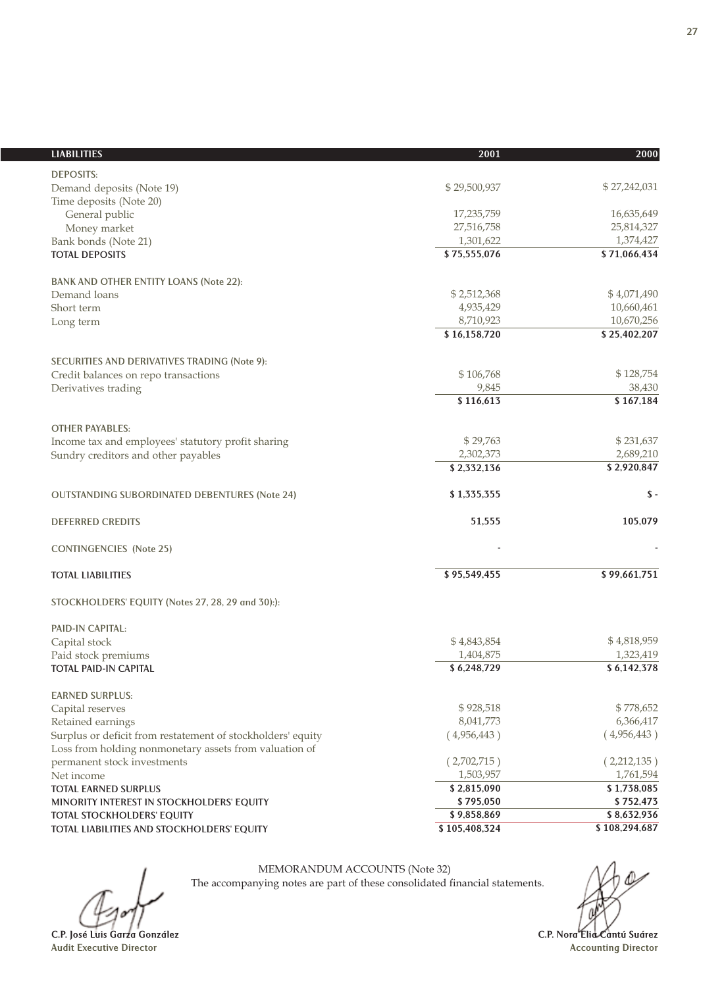| <b>LIABILITIES</b>                                          | 2001          | 2000            |
|-------------------------------------------------------------|---------------|-----------------|
| <b>DEPOSITS:</b>                                            |               |                 |
| Demand deposits (Note 19)                                   | \$29,500,937  | \$27,242,031    |
| Time deposits (Note 20)                                     |               |                 |
| General public                                              | 17,235,759    | 16,635,649      |
| Money market                                                | 27,516,758    | 25,814,327      |
| Bank bonds (Note 21)                                        | 1,301,622     | 1,374,427       |
| <b>TOTAL DEPOSITS</b>                                       | \$75,555,076  | \$71,066,434    |
| <b>BANK AND OTHER ENTITY LOANS (Note 22):</b>               |               |                 |
| Demand loans                                                | \$2,512,368   | \$4,071,490     |
| Short term                                                  | 4,935,429     | 10,660,461      |
| Long term                                                   | 8,710,923     | 10,670,256      |
|                                                             | \$16,158,720  | \$25,402,207    |
| SECURITIES AND DERIVATIVES TRADING (Note 9):                |               |                 |
| Credit balances on repo transactions                        | \$106,768     | \$128,754       |
| Derivatives trading                                         | 9,845         | 38,430          |
|                                                             | \$116,613     | \$167,184       |
| <b>OTHER PAYABLES:</b>                                      |               |                 |
| Income tax and employees' statutory profit sharing          | \$29,763      | \$231,637       |
| Sundry creditors and other payables                         | 2,302,373     | 2,689,210       |
|                                                             | \$2,332,136   | \$2,920,847     |
| <b>OUTSTANDING SUBORDINATED DEBENTURES (Note 24)</b>        | \$1,335,355   | $\mathsf{\$}$ - |
| <b>DEFERRED CREDITS</b>                                     | 51,555        | 105,079         |
| <b>CONTINGENCIES</b> (Note 25)                              |               |                 |
| <b>TOTAL LIABILITIES</b>                                    | \$95,549,455  | \$99,661,751    |
| STOCKHOLDERS' EQUITY (Notes 27, 28, 29 and 30):):           |               |                 |
| PAID-IN CAPITAL:                                            |               |                 |
| Capital stock                                               | \$4,843,854   | \$4,818,959     |
| Paid stock premiums                                         | 1,404,875     | 1,323,419       |
| <b>TOTAL PAID-IN CAPITAL</b>                                | \$6,248,729   | \$6,142,378     |
| <b>EARNED SURPLUS:</b>                                      |               |                 |
| Capital reserves                                            | \$928,518     | \$778,652       |
| Retained earnings                                           | 8,041,773     | 6,366,417       |
| Surplus or deficit from restatement of stockholders' equity | (4,956,443)   | (4,956,443)     |
| Loss from holding nonmonetary assets from valuation of      | (2,702,715)   | (2,212,135)     |
| permanent stock investments<br>Net income                   | 1,503,957     | 1,761,594       |
| TOTAL EARNED SURPLUS                                        | \$2,815,090   | \$1,738,085     |
| MINORITY INTEREST IN STOCKHOLDERS' EQUITY                   | \$795,050     | \$752,473       |
| <b>TOTAL STOCKHOLDERS' EQUITY</b>                           | \$9,858,869   | \$8,632,936     |
| TOTAL LIABILITIES AND STOCKHOLDERS' EQUITY                  | \$105,408,324 | \$108,294,687   |
|                                                             |               |                 |

MEMORANDUM ACCOUNTS (Note 32)

The accompanying notes are part of these consolidated financial statements.

C.P. José Luis Garza González

C.P. Nora Elia Cantú Suárez Accounting Director

 $\phi$ 

Audit Executive Director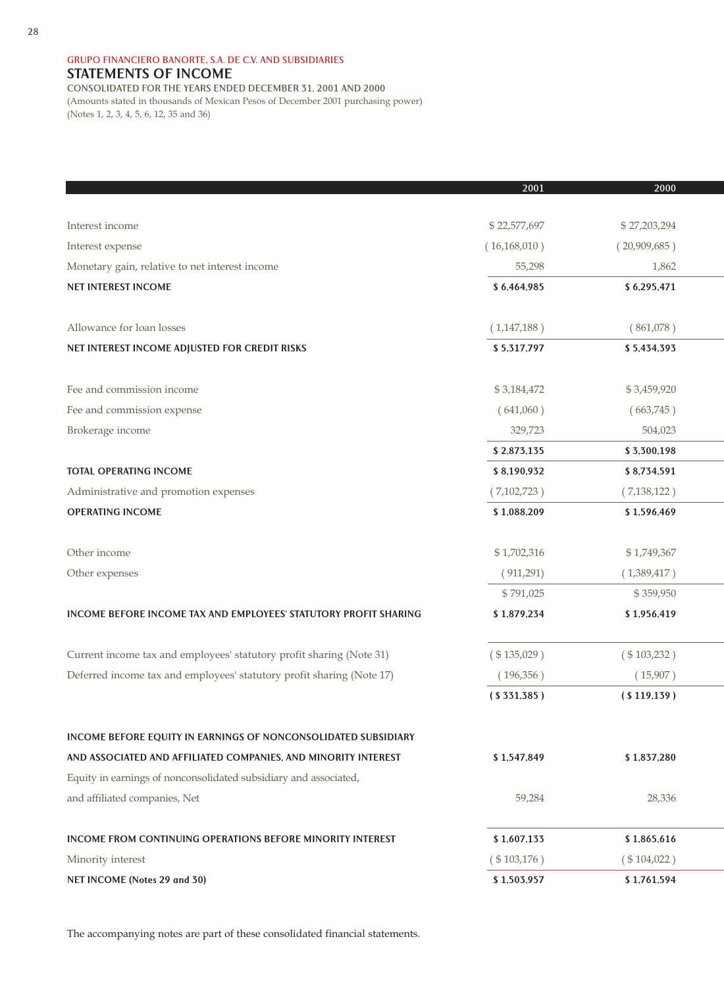## **GRUPO FINANCIERO BANORTE, S.A. DE C.V. AND SUBSIDIARIES** STATEMENTS OF INCOME **CONSOLIDATED FOR THE YEARS ENDED DECEMBER 31, 2001 AND 2000** (Amounts stated in thousands of Mexican Pesos of December 2001 purchasing power)

(Notes 1, 2, 3, 4, 5, 6, 12, 35 and 36)

|                                                                       | 2001           | 2000           |
|-----------------------------------------------------------------------|----------------|----------------|
|                                                                       |                |                |
| Interest income                                                       | \$22,577,697   | \$27,203,294   |
| Interest expense                                                      | (16, 168, 010) | (20,909,685)   |
| Monetary gain, relative to net interest income                        | 55,298         | 1,862          |
| <b>NET INTEREST INCOME</b>                                            | \$6,464,985    | \$6,295,471    |
|                                                                       |                |                |
| Allowance for loan losses                                             | (1,147,188)    | (861,078)      |
| NET INTEREST INCOME ADJUSTED FOR CREDIT RISKS                         | \$5,317,797    | \$5,434,393    |
|                                                                       |                |                |
| Fee and commission income                                             | \$3,184,472    | \$3,459,920    |
| Fee and commission expense                                            | (641,060)      | (663,745)      |
| Brokerage income                                                      | 329,723        | 504,023        |
|                                                                       | \$2,873,135    | \$3,300,198    |
| <b>TOTAL OPERATING INCOME</b>                                         | \$8,190,932    | \$8,734,591    |
| Administrative and promotion expenses                                 | (7,102,723)    | (7, 138, 122)  |
| <b>OPERATING INCOME</b>                                               | \$1,088,209    | \$1,596,469    |
|                                                                       |                |                |
| Other income                                                          | \$1,702,316    | \$1,749,367    |
| Other expenses                                                        | (911,291)      | (1,389,417)    |
|                                                                       | \$791,025      | \$359,950      |
| INCOME BEFORE INCOME TAX AND EMPLOYEES' STATUTORY PROFIT SHARING      | \$1,879,234    | \$1,956,419    |
|                                                                       |                |                |
| Current income tax and employees' statutory profit sharing (Note 31)  | $(* 135,029)$  | $(* 103, 232)$ |
| Deferred income tax and employees' statutory profit sharing (Note 17) | (196, 356)     | (15,907)       |
|                                                                       | ( \$331,385)   | ( \$119,139)   |
|                                                                       |                |                |
| <b>INCOME BEFORE EQUITY IN EARNINGS OF NONCONSOLIDATED SUBSIDIARY</b> |                |                |
| AND ASSOCIATED AND AFFILIATED COMPANIES, AND MINORITY INTEREST        | \$1,547,849    | \$1,837,280    |
| Equity in earnings of nonconsolidated subsidiary and associated,      |                |                |
| and affiliated companies, Net                                         | 59,284         | 28,336         |
|                                                                       |                |                |
| <b>INCOME FROM CONTINUING OPERATIONS BEFORE MINORITY INTEREST</b>     | \$1,607,133    | \$1,865,616    |
| Minority interest                                                     | $(*103,176)$   | $(* 104, 022)$ |
| NET INCOME (Notes 29 and 30)                                          | \$1,503,957    | \$1,761,594    |

The accompanying notes are part of these consolidated financial statements.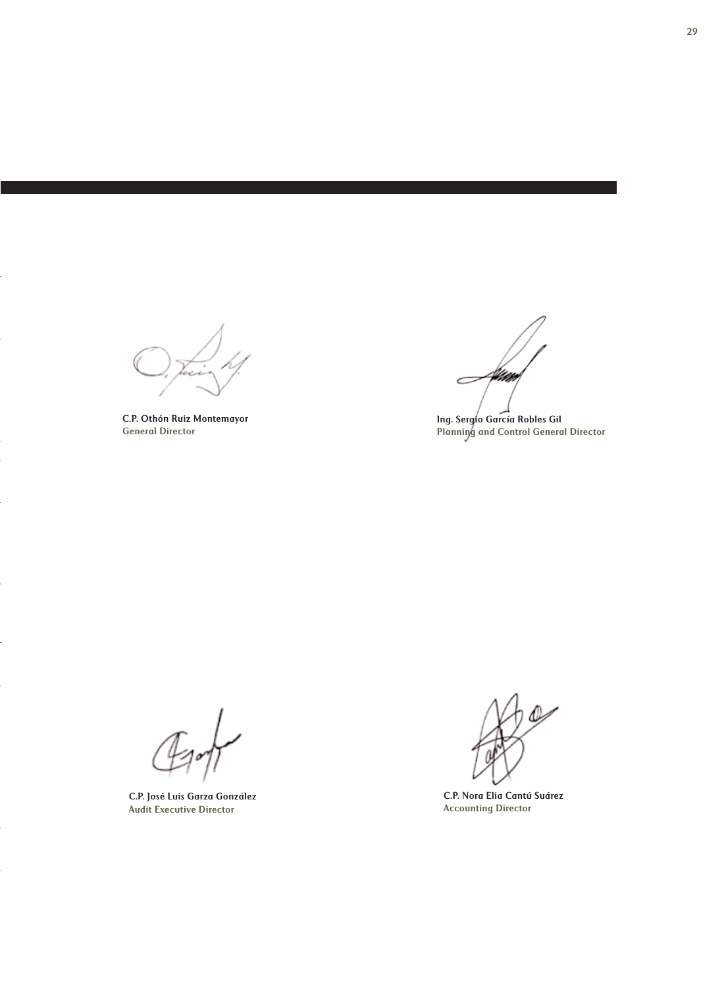a da

C.P. Othón Ruiz Montemayor General Director

4km  $\subset$ 

Ing. Sergio García Robles Gil Planning and Control General Director

C.P. José Luis Garza González Audit Executive Director

C.P. Nora Elia Cantú Suárez Accounting Director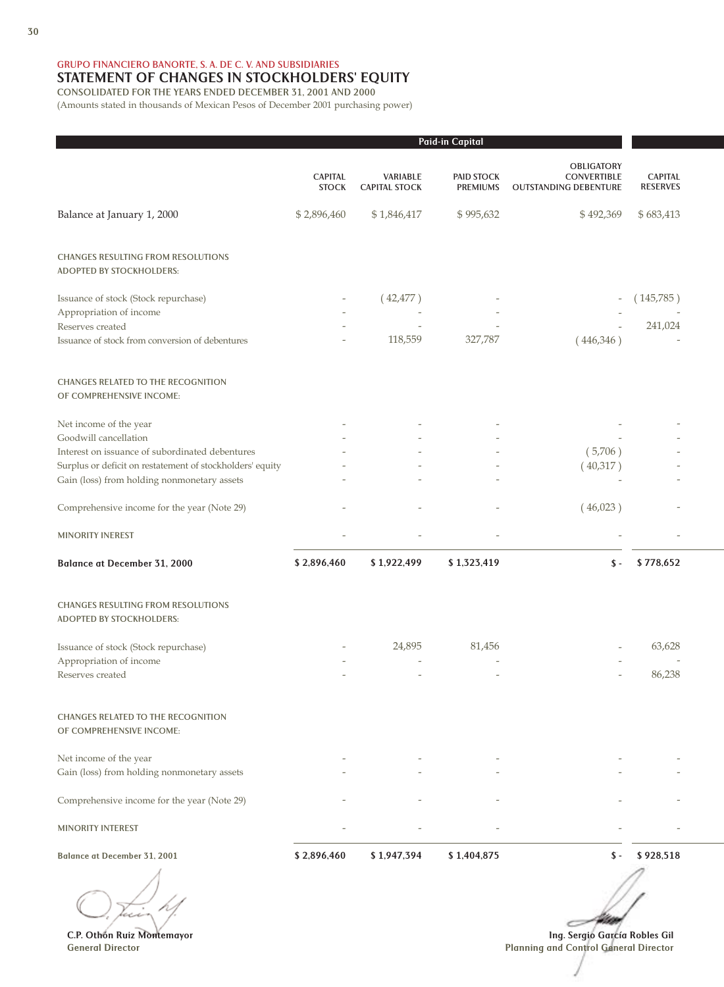**GRUPO FINANCIERO BANORTE, S. A. DE C. V. AND SUBSIDIARIES**

# STATEMENT OF CHANGES IN STOCKHOLDERS' EQUITY

**CONSOLIDATED FOR THE YEARS ENDED DECEMBER 31, 2001 AND 2000**

(Amounts stated in thousands of Mexican Pesos of December 2001 purchasing power)

|                                                                              |                                |                                         | Paid-in Capital                      |                                                                         |                                   |
|------------------------------------------------------------------------------|--------------------------------|-----------------------------------------|--------------------------------------|-------------------------------------------------------------------------|-----------------------------------|
|                                                                              | <b>CAPITAL</b><br><b>STOCK</b> | <b>VARIABLE</b><br><b>CAPITAL STOCK</b> | <b>PAID STOCK</b><br><b>PREMIUMS</b> | <b>OBLIGATORY</b><br><b>CONVERTIBLE</b><br><b>OUTSTANDING DEBENTURE</b> | <b>CAPITAL</b><br><b>RESERVES</b> |
| Balance at January 1, 2000                                                   | \$2,896,460                    | \$1,846,417                             | \$995,632                            | \$492,369                                                               | \$683,413                         |
| <b>CHANGES RESULTING FROM RESOLUTIONS</b><br><b>ADOPTED BY STOCKHOLDERS:</b> |                                |                                         |                                      |                                                                         |                                   |
| Issuance of stock (Stock repurchase)                                         |                                | (42, 477)                               |                                      |                                                                         | (145,785)                         |
| Appropriation of income                                                      |                                |                                         |                                      |                                                                         |                                   |
| Reserves created                                                             |                                |                                         |                                      |                                                                         | 241,024                           |
| Issuance of stock from conversion of debentures                              |                                | 118,559                                 | 327,787                              | (446,346)                                                               |                                   |
| <b>CHANGES RELATED TO THE RECOGNITION</b><br>OF COMPREHENSIVE INCOME:        |                                |                                         |                                      |                                                                         |                                   |
| Net income of the year                                                       |                                |                                         |                                      |                                                                         |                                   |
| Goodwill cancellation                                                        |                                |                                         |                                      |                                                                         |                                   |
| Interest on issuance of subordinated debentures                              |                                |                                         |                                      | (5,706)                                                                 |                                   |
| Surplus or deficit on restatement of stockholders' equity                    |                                |                                         |                                      | (40,317)                                                                |                                   |
| Gain (loss) from holding nonmonetary assets                                  |                                |                                         |                                      |                                                                         |                                   |
| Comprehensive income for the year (Note 29)                                  |                                |                                         |                                      | (46,023)                                                                |                                   |
| <b>MINORITY INEREST</b>                                                      |                                |                                         |                                      |                                                                         |                                   |
| <b>Balance at December 31, 2000</b>                                          | \$2,896,460                    | \$1,922,499                             | \$1,323,419                          | $\mathsf{\$}$ -                                                         | \$778,652                         |
| <b>CHANGES RESULTING FROM RESOLUTIONS</b><br><b>ADOPTED BY STOCKHOLDERS:</b> |                                |                                         |                                      |                                                                         |                                   |
| Issuance of stock (Stock repurchase)                                         |                                | 24,895                                  | 81,456                               |                                                                         | 63,628                            |
| Appropriation of income                                                      |                                |                                         |                                      |                                                                         |                                   |
| Reserves created                                                             |                                |                                         |                                      |                                                                         | 86,238                            |
| <b>CHANGES RELATED TO THE RECOGNITION</b><br>OF COMPREHENSIVE INCOME:        |                                |                                         |                                      |                                                                         |                                   |
| Net income of the year                                                       |                                |                                         |                                      |                                                                         |                                   |
| Gain (loss) from holding nonmonetary assets                                  |                                |                                         |                                      |                                                                         |                                   |
| Comprehensive income for the year (Note 29)                                  |                                |                                         |                                      |                                                                         |                                   |
| <b>MINORITY INTEREST</b>                                                     |                                |                                         |                                      |                                                                         |                                   |
| <b>Balance at December 31, 2001</b>                                          | \$2,896,460                    | \$1,947,394                             | \$1,404,875                          | $\mathsf{\$}$ -                                                         | \$928,518                         |

C.P. Othón Ruiz Montemayor General Director

Ing. Sergio García Robles Gil Planning and Control General Director

**Title**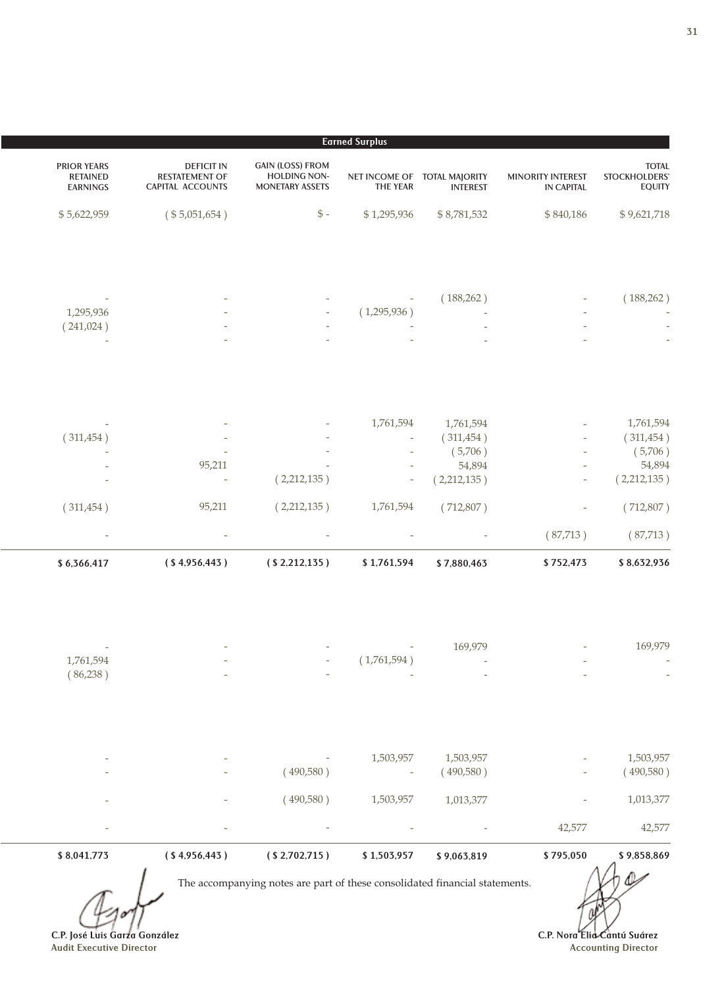|                                                |                                               |                                    | <b>Earned Surplus</b>                           |                                                                          |                                                                       |                                                          |
|------------------------------------------------|-----------------------------------------------|------------------------------------|-------------------------------------------------|--------------------------------------------------------------------------|-----------------------------------------------------------------------|----------------------------------------------------------|
| <b>TOTAL</b><br>STOCKHOLDERS'<br><b>EQUITY</b> | <b>MINORITY INTEREST</b><br><b>IN CAPITAL</b> | <b>INTEREST</b>                    | NET INCOME OF TOTAL MAJORITY<br><b>THE YEAR</b> | <b>GAIN (LOSS) FROM</b><br><b>HOLDING NON-</b><br><b>MONETARY ASSETS</b> | <b>DEFICIT IN</b><br><b>RESTATEMENT OF</b><br><b>CAPITAL ACCOUNTS</b> | <b>PRIOR YEARS</b><br><b>RETAINED</b><br><b>EARNINGS</b> |
| \$9,621,718                                    | \$840,186                                     | \$8,781,532                        | \$1,295,936                                     | $\mathbb{S}$ -                                                           | (\$5,051,654)                                                         | \$5,622,959                                              |
| (188, 262)                                     |                                               | (188, 262)                         | (1,295,936)                                     |                                                                          |                                                                       | 1,295,936<br>(241,024)                                   |
|                                                |                                               |                                    |                                                 |                                                                          |                                                                       |                                                          |
| 1,761,594<br>(311, 454)<br>(5,706)             |                                               | 1,761,594<br>(311, 454)<br>(5,706) | 1,761,594                                       |                                                                          |                                                                       | (311, 454)                                               |
| 54,894<br>(2,212,135)                          |                                               | 54,894<br>(2,212,135)              | $\overline{\phantom{a}}$                        | (2,212,135)                                                              | 95,211                                                                |                                                          |
| (712,807)                                      |                                               | (712,807)                          | 1,761,594                                       | (2,212,135)                                                              | 95,211                                                                | (311, 454)                                               |
| (87,713)<br>\$8,632,936                        | (87,713)<br>\$752,473                         | \$7,880,463                        | \$1,761,594                                     | (S2,212,135)                                                             | ( \$4,956,443 )                                                       | \$6,366,417                                              |
|                                                |                                               |                                    |                                                 |                                                                          |                                                                       |                                                          |
| 169,979                                        |                                               | 169,979                            | (1,761,594)                                     |                                                                          |                                                                       | 1,761,594<br>(86,238)                                    |
| 1,503,957<br>(490,580)                         |                                               | 1,503,957<br>(490,580)             | 1,503,957                                       | (490,580)                                                                |                                                                       |                                                          |
| 1,013,377                                      |                                               | 1,013,377                          | 1,503,957                                       | (490,580)                                                                |                                                                       |                                                          |
| 42,577                                         | 42,577                                        |                                    |                                                 |                                                                          |                                                                       |                                                          |
| \$9,858,869                                    | \$795,050                                     | \$9,063,819                        | \$1,503,957                                     | (S2,702,715)                                                             | ( \$4,956,443 )                                                       | \$8,041,773                                              |

C.P. José Luis Garza González Audit Executive Director

C.P. Nora Elia Cantú Suárez Accounting Director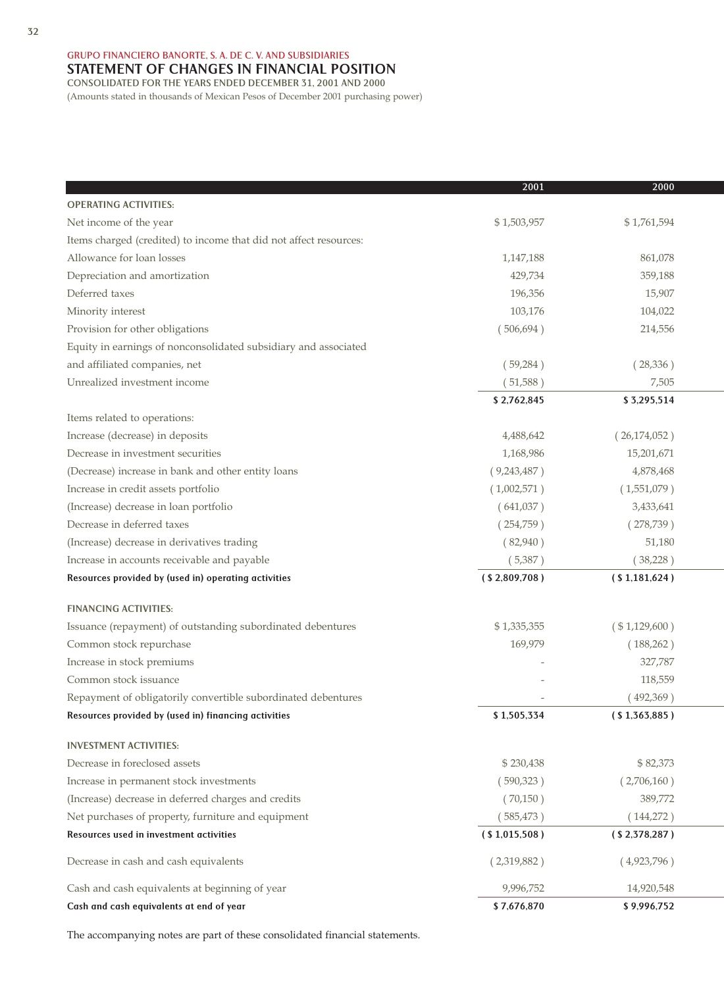# **GRUPO FINANCIERO BANORTE, S. A. DE C. V. AND SUBSIDIARIES** STATEMENT OF CHANGES IN FINANCIAL POSITION

**CONSOLIDATED FOR THE YEARS ENDED DECEMBER 31, 2001 AND 2000** (Amounts stated in thousands of Mexican Pesos of December 2001 purchasing power)

|                                                                   | 2001            | 2000            |
|-------------------------------------------------------------------|-----------------|-----------------|
| <b>OPERATING ACTIVITIES:</b>                                      |                 |                 |
| Net income of the year                                            | \$1,503,957     | \$1,761,594     |
| Items charged (credited) to income that did not affect resources: |                 |                 |
| Allowance for loan losses                                         | 1,147,188       | 861,078         |
| Depreciation and amortization                                     | 429,734         | 359,188         |
| Deferred taxes                                                    | 196,356         | 15,907          |
| Minority interest                                                 | 103,176         | 104,022         |
| Provision for other obligations                                   | (506, 694)      | 214,556         |
| Equity in earnings of nonconsolidated subsidiary and associated   |                 |                 |
| and affiliated companies, net                                     | (59, 284)       | (28, 336)       |
| Unrealized investment income                                      | (51,588)        | 7,505           |
|                                                                   | \$2,762,845     | \$3,295,514     |
| Items related to operations:                                      |                 |                 |
| Increase (decrease) in deposits                                   | 4,488,642       | (26,174,052)    |
| Decrease in investment securities                                 | 1,168,986       | 15,201,671      |
| (Decrease) increase in bank and other entity loans                | (9,243,487)     | 4,878,468       |
| Increase in credit assets portfolio                               | (1,002,571)     | (1,551,079)     |
| (Increase) decrease in loan portfolio                             | (641,037)       | 3,433,641       |
| Decrease in deferred taxes                                        | (254,759)       | (278, 739)      |
| (Increase) decrease in derivatives trading                        | (82,940)        | 51,180          |
| Increase in accounts receivable and payable                       | (5,387)         | (38,228)        |
| Resources provided by (used in) operating activities              | (S2,809,708)    | ( \$1,181,624 ) |
| <b>FINANCING ACTIVITIES:</b>                                      |                 |                 |
| Issuance (repayment) of outstanding subordinated debentures       | \$1,335,355     | (\$1,129,600)   |
| Common stock repurchase                                           | 169,979         | (188, 262)      |
| Increase in stock premiums                                        |                 | 327,787         |
| Common stock issuance                                             |                 | 118,559         |
| Repayment of obligatorily convertible subordinated debentures     |                 | (492,369)       |
| Resources provided by (used in) financing activities              | \$1,505,334     | ( \$1,363,885)  |
| <b>INVESTMENT ACTIVITIES:</b>                                     |                 |                 |
| Decrease in foreclosed assets                                     | \$230,438       | \$82,373        |
| Increase in permanent stock investments                           | (590,323)       | (2,706,160)     |
| (Increase) decrease in deferred charges and credits               | (70,150)        | 389,772         |
| Net purchases of property, furniture and equipment                | (585, 473)      | (144,272)       |
| Resources used in investment activities                           | ( \$1,015,508 ) | (S2, 378, 287)  |
| Decrease in cash and cash equivalents                             | (2,319,882)     | (4,923,796)     |
| Cash and cash equivalents at beginning of year                    | 9,996,752       | 14,920,548      |
| Cash and cash equivalents at end of year                          | \$7,676,870     | \$9,996,752     |

The accompanying notes are part of these consolidated financial statements.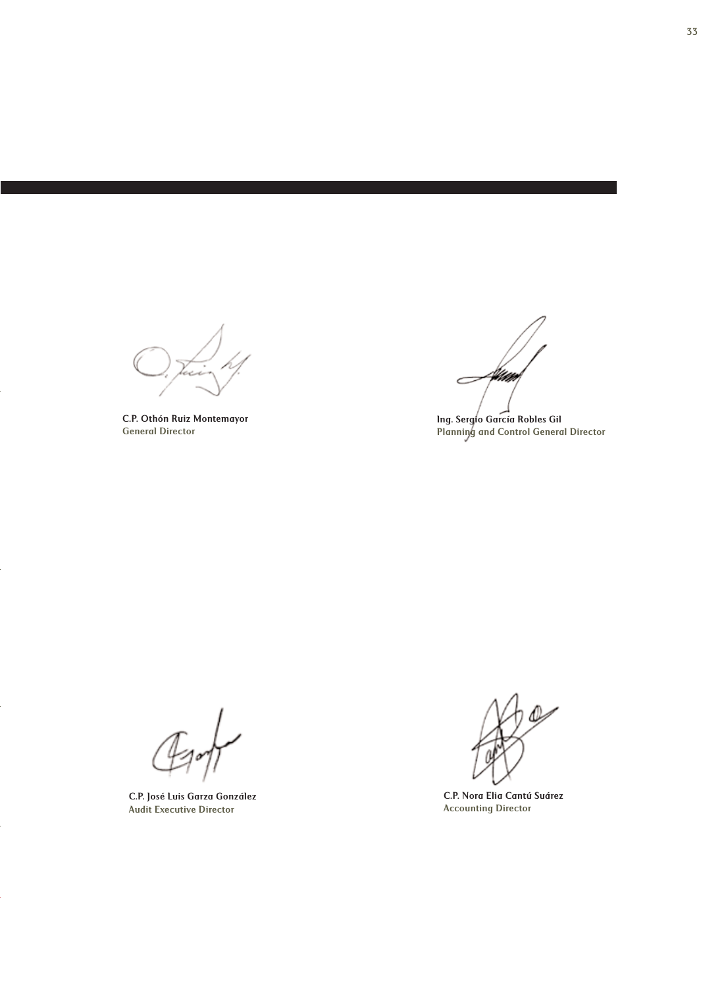u

C.P. Othón Ruiz Montemayor General Director

Littet k  $\subset$ 

Ing. Sergio García Robles Gil Planning and Control General Director

C.P. José Luis Garza González Audit Executive Director

C.P. Nora Elia Cantú Suárez Accounting Director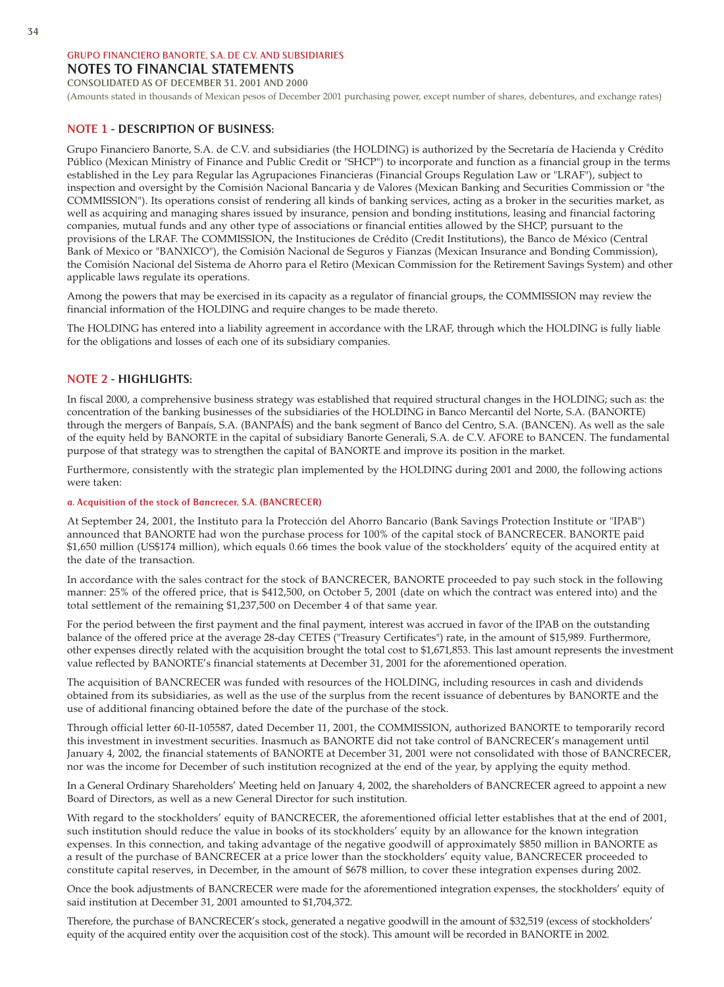## **GRUPO FINANCIERO BANORTE, S.A. DE C.V. AND SUBSIDIARIES** NOTES TO FINANCIAL STATEMENTS

## **CONSOLIDATED AS OF DECEMBER 31, 2001 AND 2000**

(Amounts stated in thousands of Mexican pesos of December 2001 purchasing power, except number of shares, debentures, and exchange rates)

## NOTE 1 - DESCRIPTION OF BUSINESS:

Grupo Financiero Banorte, S.A. de C.V. and subsidiaries (the HOLDING) is authorized by the Secretaría de Hacienda y Crédito Público (Mexican Ministry of Finance and Public Credit or "SHCP") to incorporate and function as a financial group in the terms established in the Ley para Regular las Agrupaciones Financieras (Financial Groups Regulation Law or "LRAF"), subject to inspection and oversight by the Comisión Nacional Bancaria y de Valores (Mexican Banking and Securities Commission or "the COMMISSION"). Its operations consist of rendering all kinds of banking services, acting as a broker in the securities market, as well as acquiring and managing shares issued by insurance, pension and bonding institutions, leasing and financial factoring companies, mutual funds and any other type of associations or financial entities allowed by the SHCP, pursuant to the provisions of the LRAF. The COMMISSION, the Instituciones de Crédito (Credit Institutions), the Banco de México (Central Bank of Mexico or "BANXICO"), the Comisión Nacional de Seguros y Fianzas (Mexican Insurance and Bonding Commission), the Comisión Nacional del Sistema de Ahorro para el Retiro (Mexican Commission for the Retirement Savings System) and other applicable laws regulate its operations.

Among the powers that may be exercised in its capacity as a regulator of financial groups, the COMMISSION may review the financial information of the HOLDING and require changes to be made thereto.

The HOLDING has entered into a liability agreement in accordance with the LRAF, through which the HOLDING is fully liable for the obligations and losses of each one of its subsidiary companies.

## NOTE 2 - HIGHLIGHTS:

In fiscal 2000, a comprehensive business strategy was established that required structural changes in the HOLDING; such as: the concentration of the banking businesses of the subsidiaries of the HOLDING in Banco Mercantil del Norte, S.A. (BANORTE) through the mergers of Banpaís, S.A. (BANPAÍS) and the bank segment of Banco del Centro, S.A. (BANCEN). As well as the sale of the equity held by BANORTE in the capital of subsidiary Banorte Generali, S.A. de C.V. AFORE to BANCEN. The fundamental purpose of that strategy was to strengthen the capital of BANORTE and improve its position in the market.

Furthermore, consistently with the strategic plan implemented by the HOLDING during 2001 and 2000, the following actions were taken:

#### a. Acquisition of the stock of Bancrecer, S.A. (BANCRECER)

At September 24, 2001, the Instituto para la Protección del Ahorro Bancario (Bank Savings Protection Institute or "IPAB") announced that BANORTE had won the purchase process for 100% of the capital stock of BANCRECER. BANORTE paid \$1,650 million (US\$174 million), which equals 0.66 times the book value of the stockholders' equity of the acquired entity at the date of the transaction.

In accordance with the sales contract for the stock of BANCRECER, BANORTE proceeded to pay such stock in the following manner: 25% of the offered price, that is \$412,500, on October 5, 2001 (date on which the contract was entered into) and the total settlement of the remaining \$1,237,500 on December 4 of that same year.

For the period between the first payment and the final payment, interest was accrued in favor of the IPAB on the outstanding balance of the offered price at the average 28-day CETES ("Treasury Certificates") rate, in the amount of \$15,989. Furthermore, other expenses directly related with the acquisition brought the total cost to \$1,671,853. This last amount represents the investment value reflected by BANORTE's financial statements at December 31, 2001 for the aforementioned operation.

The acquisition of BANCRECER was funded with resources of the HOLDING, including resources in cash and dividends obtained from its subsidiaries, as well as the use of the surplus from the recent issuance of debentures by BANORTE and the use of additional financing obtained before the date of the purchase of the stock.

Through official letter 60-II-105587, dated December 11, 2001, the COMMISSION, authorized BANORTE to temporarily record this investment in investment securities. Inasmuch as BANORTE did not take control of BANCRECER's management until January 4, 2002, the financial statements of BANORTE at December 31, 2001 were not consolidated with those of BANCRECER, nor was the income for December of such institution recognized at the end of the year, by applying the equity method.

In a General Ordinary Shareholders' Meeting held on January 4, 2002, the shareholders of BANCRECER agreed to appoint a new Board of Directors, as well as a new General Director for such institution.

With regard to the stockholders' equity of BANCRECER, the aforementioned official letter establishes that at the end of 2001, such institution should reduce the value in books of its stockholders' equity by an allowance for the known integration expenses. In this connection, and taking advantage of the negative goodwill of approximately \$850 million in BANORTE as a result of the purchase of BANCRECER at a price lower than the stockholders' equity value, BANCRECER proceeded to constitute capital reserves, in December, in the amount of \$678 million, to cover these integration expenses during 2002.

Once the book adjustments of BANCRECER were made for the aforementioned integration expenses, the stockholders' equity of said institution at December 31, 2001 amounted to \$1,704,372.

Therefore, the purchase of BANCRECER's stock, generated a negative goodwill in the amount of \$32,519 (excess of stockholders' equity of the acquired entity over the acquisition cost of the stock). This amount will be recorded in BANORTE in 2002.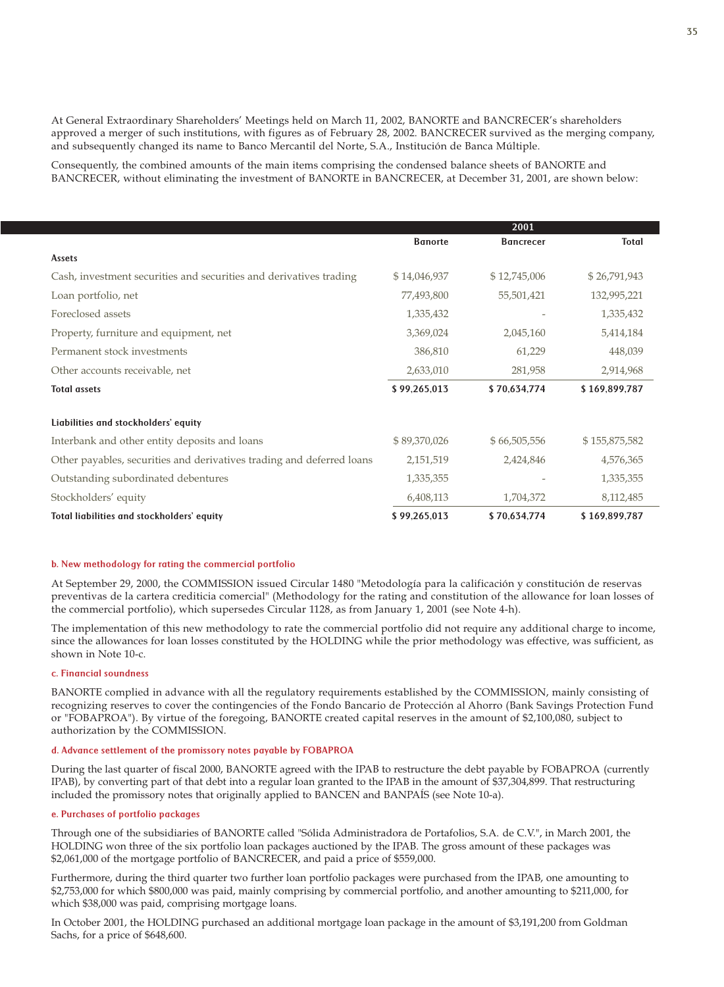At General Extraordinary Shareholders' Meetings held on March 11, 2002, BANORTE and BANCRECER's shareholders approved a merger of such institutions, with figures as of February 28, 2002. BANCRECER survived as the merging company, and subsequently changed its name to Banco Mercantil del Norte, S.A., Institución de Banca Múltiple.

Consequently, the combined amounts of the main items comprising the condensed balance sheets of BANORTE and BANCRECER, without eliminating the investment of BANORTE in BANCRECER, at December 31, 2001, are shown below:

|                                                                       |                | 2001             |               |
|-----------------------------------------------------------------------|----------------|------------------|---------------|
|                                                                       | <b>Banorte</b> | <b>Bancrecer</b> | Total         |
| Assets                                                                |                |                  |               |
| Cash, investment securities and securities and derivatives trading    | \$14,046,937   | \$12,745,006     | \$26,791,943  |
| Loan portfolio, net                                                   | 77,493,800     | 55,501,421       | 132,995,221   |
| Foreclosed assets                                                     | 1,335,432      |                  | 1,335,432     |
| Property, furniture and equipment, net                                | 3,369,024      | 2,045,160        | 5,414,184     |
| Permanent stock investments                                           | 386,810        | 61,229           | 448,039       |
| Other accounts receivable, net                                        | 2,633,010      | 281,958          | 2,914,968     |
| <b>Total assets</b>                                                   | \$99,265,013   | \$70,634,774     | \$169,899,787 |
| Liabilities and stockholders' equity                                  |                |                  |               |
| Interbank and other entity deposits and loans                         | \$89,370,026   | \$66,505,556     | \$155,875,582 |
| Other payables, securities and derivatives trading and deferred loans | 2,151,519      | 2,424,846        | 4,576,365     |
| Outstanding subordinated debentures                                   | 1,335,355      |                  | 1,335,355     |
| Stockholders' equity                                                  | 6,408,113      | 1,704,372        | 8,112,485     |
| Total liabilities and stockholders' equity                            | \$99,265,013   | \$70,634,774     | \$169,899,787 |

#### b. New methodology for rating the commercial portfolio

At September 29, 2000, the COMMISSION issued Circular 1480 "Metodología para la calificación y constitución de reservas preventivas de la cartera crediticia comercial" (Methodology for the rating and constitution of the allowance for loan losses of the commercial portfolio), which supersedes Circular 1128, as from January 1, 2001 (see Note 4-h).

The implementation of this new methodology to rate the commercial portfolio did not require any additional charge to income, since the allowances for loan losses constituted by the HOLDING while the prior methodology was effective, was sufficient, as shown in Note 10-c.

#### c. Financial soundness

BANORTE complied in advance with all the regulatory requirements established by the COMMISSION, mainly consisting of recognizing reserves to cover the contingencies of the Fondo Bancario de Protección al Ahorro (Bank Savings Protection Fund or "FOBAPROA"). By virtue of the foregoing, BANORTE created capital reserves in the amount of \$2,100,080, subject to authorization by the COMMISSION.

#### d. Advance settlement of the promissory notes payable by FOBAPROA

During the last quarter of fiscal 2000, BANORTE agreed with the IPAB to restructure the debt payable by FOBAPROA (currently IPAB), by converting part of that debt into a regular loan granted to the IPAB in the amount of \$37,304,899. That restructuring included the promissory notes that originally applied to BANCEN and BANPAÍS (see Note 10-a).

## e. Purchases of portfolio packages

Through one of the subsidiaries of BANORTE called "Sólida Administradora de Portafolios, S.A. de C.V.", in March 2001, the HOLDING won three of the six portfolio loan packages auctioned by the IPAB. The gross amount of these packages was \$2,061,000 of the mortgage portfolio of BANCRECER, and paid a price of \$559,000.

Furthermore, during the third quarter two further loan portfolio packages were purchased from the IPAB, one amounting to \$2,753,000 for which \$800,000 was paid, mainly comprising by commercial portfolio, and another amounting to \$211,000, for which \$38,000 was paid, comprising mortgage loans.

In October 2001, the HOLDING purchased an additional mortgage loan package in the amount of \$3,191,200 from Goldman Sachs, for a price of \$648,600.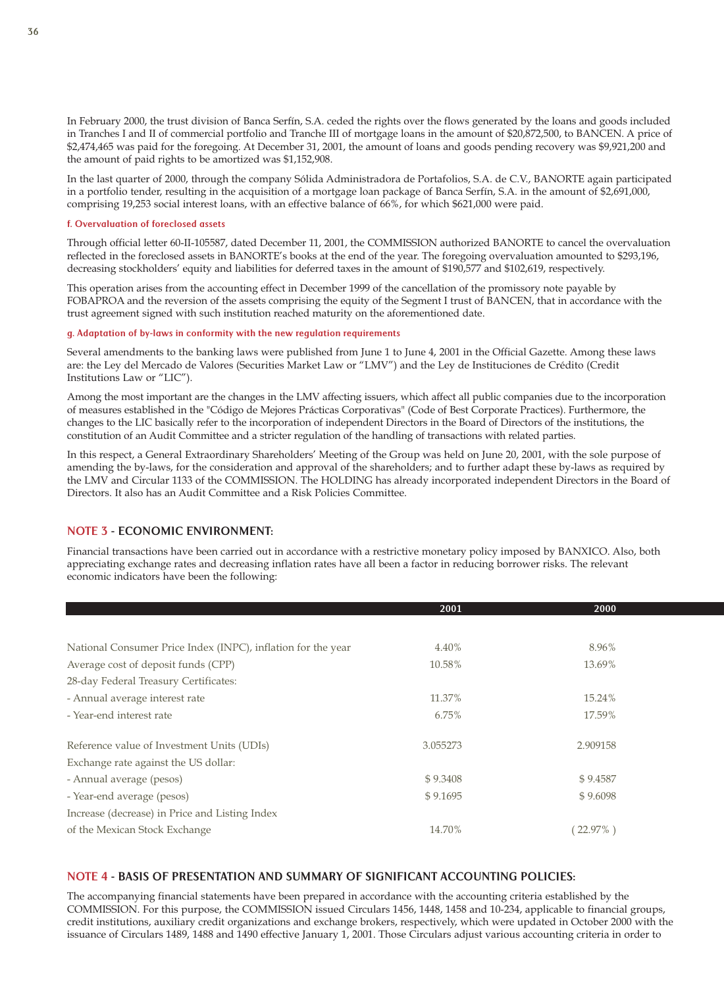In February 2000, the trust division of Banca Serfín, S.A. ceded the rights over the flows generated by the loans and goods included in Tranches I and II of commercial portfolio and Tranche III of mortgage loans in the amount of \$20,872,500, to BANCEN. A price of \$2,474,465 was paid for the foregoing. At December 31, 2001, the amount of loans and goods pending recovery was \$9,921,200 and the amount of paid rights to be amortized was \$1,152,908.

In the last quarter of 2000, through the company Sólida Administradora de Portafolios, S.A. de C.V., BANORTE again participated in a portfolio tender, resulting in the acquisition of a mortgage loan package of Banca Serfín, S.A. in the amount of \$2,691,000, comprising 19,253 social interest loans, with an effective balance of 66%, for which \$621,000 were paid.

### f. Overvaluation of foreclosed assets

Through official letter 60-II-105587, dated December 11, 2001, the COMMISSION authorized BANORTE to cancel the overvaluation reflected in the foreclosed assets in BANORTE's books at the end of the year. The foregoing overvaluation amounted to \$293,196, decreasing stockholders' equity and liabilities for deferred taxes in the amount of \$190,577 and \$102,619, respectively.

This operation arises from the accounting effect in December 1999 of the cancellation of the promissory note payable by FOBAPROA and the reversion of the assets comprising the equity of the Segment I trust of BANCEN, that in accordance with the trust agreement signed with such institution reached maturity on the aforementioned date.

#### g. Adaptation of by-laws in conformity with the new regulation requirements

Several amendments to the banking laws were published from June 1 to June 4, 2001 in the Official Gazette. Among these laws are: the Ley del Mercado de Valores (Securities Market Law or "LMV") and the Ley de Instituciones de Crédito (Credit Institutions Law or "LIC").

Among the most important are the changes in the LMV affecting issuers, which affect all public companies due to the incorporation of measures established in the "Código de Mejores Prácticas Corporativas" (Code of Best Corporate Practices). Furthermore, the changes to the LIC basically refer to the incorporation of independent Directors in the Board of Directors of the institutions, the constitution of an Audit Committee and a stricter regulation of the handling of transactions with related parties.

In this respect, a General Extraordinary Shareholders' Meeting of the Group was held on June 20, 2001, with the sole purpose of amending the by-laws, for the consideration and approval of the shareholders; and to further adapt these by-laws as required by the LMV and Circular 1133 of the COMMISSION. The HOLDING has already incorporated independent Directors in the Board of Directors. It also has an Audit Committee and a Risk Policies Committee.

## NOTE 3 - ECONOMIC ENVIRONMENT:

Financial transactions have been carried out in accordance with a restrictive monetary policy imposed by BANXICO. Also, both appreciating exchange rates and decreasing inflation rates have all been a factor in reducing borrower risks. The relevant economic indicators have been the following:

|                                                              | 2001     | 2000     |  |
|--------------------------------------------------------------|----------|----------|--|
|                                                              |          |          |  |
| National Consumer Price Index (INPC), inflation for the year | 4.40%    | 8.96%    |  |
| Average cost of deposit funds (CPP)                          | 10.58%   | 13.69%   |  |
| 28-day Federal Treasury Certificates:                        |          |          |  |
| - Annual average interest rate                               | 11.37%   | 15.24%   |  |
| - Year-end interest rate                                     | 6.75%    | 17.59%   |  |
| Reference value of Investment Units (UDIs)                   | 3.055273 | 2.909158 |  |
| Exchange rate against the US dollar:                         |          |          |  |
| - Annual average (pesos)                                     | \$9.3408 | \$9.4587 |  |
| - Year-end average (pesos)                                   | \$9.1695 | \$9.6098 |  |
| Increase (decrease) in Price and Listing Index               |          |          |  |
| of the Mexican Stock Exchange                                | 14.70%   | 22.97%   |  |

## NOTE 4 - BASIS OF PRESENTATION AND SUMMARY OF SIGNIFICANT ACCOUNTING POLICIES:

The accompanying financial statements have been prepared in accordance with the accounting criteria established by the COMMISSION. For this purpose, the COMMISSION issued Circulars 1456, 1448, 1458 and 10-234, applicable to financial groups, credit institutions, auxiliary credit organizations and exchange brokers, respectively, which were updated in October 2000 with the issuance of Circulars 1489, 1488 and 1490 effective January 1, 2001. Those Circulars adjust various accounting criteria in order to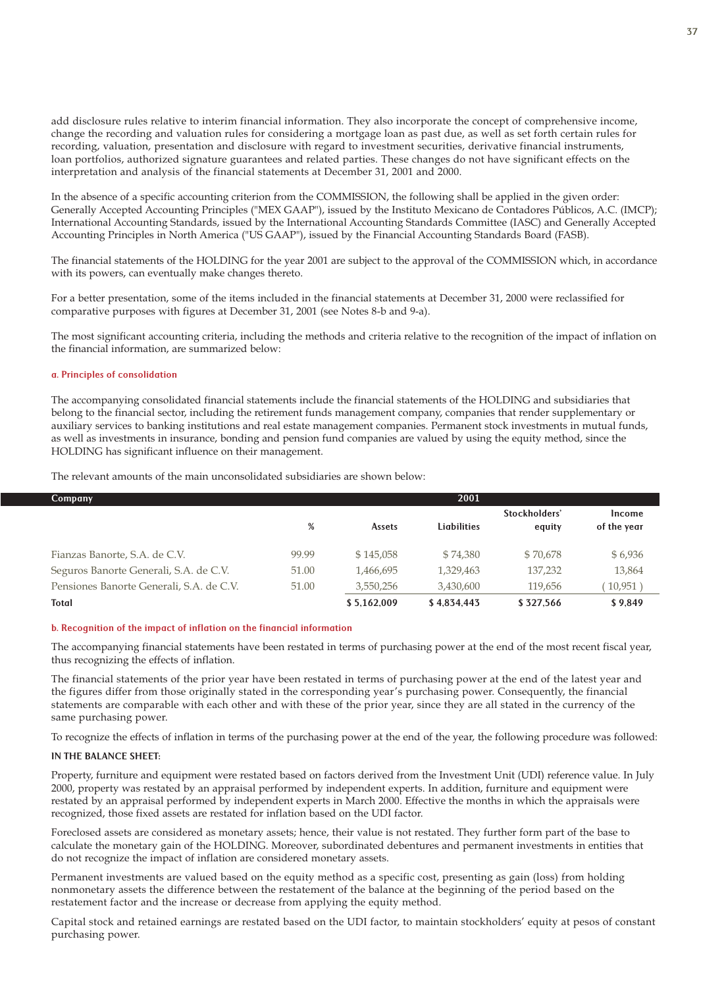add disclosure rules relative to interim financial information. They also incorporate the concept of comprehensive income, change the recording and valuation rules for considering a mortgage loan as past due, as well as set forth certain rules for recording, valuation, presentation and disclosure with regard to investment securities, derivative financial instruments, loan portfolios, authorized signature guarantees and related parties. These changes do not have significant effects on the interpretation and analysis of the financial statements at December 31, 2001 and 2000.

In the absence of a specific accounting criterion from the COMMISSION, the following shall be applied in the given order: Generally Accepted Accounting Principles ("MEX GAAP"), issued by the Instituto Mexicano de Contadores Públicos, A.C. (IMCP); International Accounting Standards, issued by the International Accounting Standards Committee (IASC) and Generally Accepted Accounting Principles in North America ("US GAAP"), issued by the Financial Accounting Standards Board (FASB).

The financial statements of the HOLDING for the year 2001 are subject to the approval of the COMMISSION which, in accordance with its powers, can eventually make changes thereto.

For a better presentation, some of the items included in the financial statements at December 31, 2000 were reclassified for comparative purposes with figures at December 31, 2001 (see Notes 8-b and 9-a).

The most significant accounting criteria, including the methods and criteria relative to the recognition of the impact of inflation on the financial information, are summarized below:

#### a. Principles of consolidation

The accompanying consolidated financial statements include the financial statements of the HOLDING and subsidiaries that belong to the financial sector, including the retirement funds management company, companies that render supplementary or auxiliary services to banking institutions and real estate management companies. Permanent stock investments in mutual funds, as well as investments in insurance, bonding and pension fund companies are valued by using the equity method, since the HOLDING has significant influence on their management.

The relevant amounts of the main unconsolidated subsidiaries are shown below:

| <b>Company</b>                           |       |               | 2001        |                         |                       |
|------------------------------------------|-------|---------------|-------------|-------------------------|-----------------------|
|                                          | %     | <b>Assets</b> | Liabilities | Stockholders'<br>equity | Income<br>of the year |
| Fianzas Banorte, S.A. de C.V.            | 99.99 | \$145,058     | \$74,380    | \$70,678                | \$6,936               |
| Seguros Banorte Generali, S.A. de C.V.   | 51.00 | 1,466,695     | 1,329,463   | 137,232                 | 13,864                |
| Pensiones Banorte Generali, S.A. de C.V. | 51.00 | 3,550,256     | 3,430,600   | 119,656                 | 10,951                |
| <b>Total</b>                             |       | \$5.162.009   | \$4.834.443 | \$327.566               | \$9.849               |

#### b. Recognition of the impact of inflation on the financial information

The accompanying financial statements have been restated in terms of purchasing power at the end of the most recent fiscal year, thus recognizing the effects of inflation.

The financial statements of the prior year have been restated in terms of purchasing power at the end of the latest year and the figures differ from those originally stated in the corresponding year's purchasing power. Consequently, the financial statements are comparable with each other and with these of the prior year, since they are all stated in the currency of the same purchasing power.

To recognize the effects of inflation in terms of the purchasing power at the end of the year, the following procedure was followed:

#### IN THE BALANCE SHEET:

Property, furniture and equipment were restated based on factors derived from the Investment Unit (UDI) reference value. In July 2000, property was restated by an appraisal performed by independent experts. In addition, furniture and equipment were restated by an appraisal performed by independent experts in March 2000. Effective the months in which the appraisals were recognized, those fixed assets are restated for inflation based on the UDI factor.

Foreclosed assets are considered as monetary assets; hence, their value is not restated. They further form part of the base to calculate the monetary gain of the HOLDING. Moreover, subordinated debentures and permanent investments in entities that do not recognize the impact of inflation are considered monetary assets.

Permanent investments are valued based on the equity method as a specific cost, presenting as gain (loss) from holding nonmonetary assets the difference between the restatement of the balance at the beginning of the period based on the restatement factor and the increase or decrease from applying the equity method.

Capital stock and retained earnings are restated based on the UDI factor, to maintain stockholders' equity at pesos of constant purchasing power.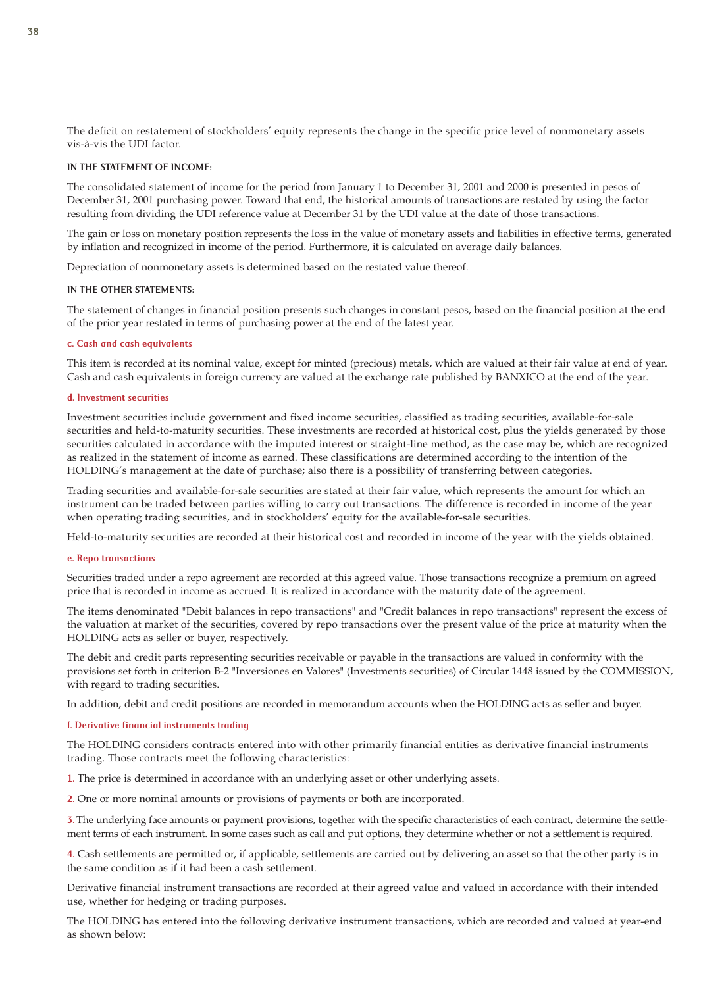The deficit on restatement of stockholders' equity represents the change in the specific price level of nonmonetary assets vis-à-vis the UDI factor.

#### IN THE STATEMENT OF INCOME:

The consolidated statement of income for the period from January 1 to December 31, 2001 and 2000 is presented in pesos of December 31, 2001 purchasing power. Toward that end, the historical amounts of transactions are restated by using the factor resulting from dividing the UDI reference value at December 31 by the UDI value at the date of those transactions.

The gain or loss on monetary position represents the loss in the value of monetary assets and liabilities in effective terms, generated by inflation and recognized in income of the period. Furthermore, it is calculated on average daily balances.

Depreciation of nonmonetary assets is determined based on the restated value thereof.

### IN THE OTHER STATEMENTS:

The statement of changes in financial position presents such changes in constant pesos, based on the financial position at the end of the prior year restated in terms of purchasing power at the end of the latest year.

#### c. Cash and cash equivalents

This item is recorded at its nominal value, except for minted (precious) metals, which are valued at their fair value at end of year. Cash and cash equivalents in foreign currency are valued at the exchange rate published by BANXICO at the end of the year.

#### d. Investment securities

Investment securities include government and fixed income securities, classified as trading securities, available-for-sale securities and held-to-maturity securities. These investments are recorded at historical cost, plus the yields generated by those securities calculated in accordance with the imputed interest or straight-line method, as the case may be, which are recognized as realized in the statement of income as earned. These classifications are determined according to the intention of the HOLDING's management at the date of purchase; also there is a possibility of transferring between categories.

Trading securities and available-for-sale securities are stated at their fair value, which represents the amount for which an instrument can be traded between parties willing to carry out transactions. The difference is recorded in income of the year when operating trading securities, and in stockholders' equity for the available-for-sale securities.

Held-to-maturity securities are recorded at their historical cost and recorded in income of the year with the yields obtained.

#### e. Repo transactions

Securities traded under a repo agreement are recorded at this agreed value. Those transactions recognize a premium on agreed price that is recorded in income as accrued. It is realized in accordance with the maturity date of the agreement.

The items denominated "Debit balances in repo transactions" and "Credit balances in repo transactions" represent the excess of the valuation at market of the securities, covered by repo transactions over the present value of the price at maturity when the HOLDING acts as seller or buyer, respectively.

The debit and credit parts representing securities receivable or payable in the transactions are valued in conformity with the provisions set forth in criterion B-2 "Inversiones en Valores" (Investments securities) of Circular 1448 issued by the COMMISSION, with regard to trading securities.

In addition, debit and credit positions are recorded in memorandum accounts when the HOLDING acts as seller and buyer.

#### f. Derivative financial instruments trading

The HOLDING considers contracts entered into with other primarily financial entities as derivative financial instruments trading. Those contracts meet the following characteristics:

1. The price is determined in accordance with an underlying asset or other underlying assets.

2. One or more nominal amounts or provisions of payments or both are incorporated.

3. The underlying face amounts or payment provisions, together with the specific characteristics of each contract, determine the settlement terms of each instrument. In some cases such as call and put options, they determine whether or not a settlement is required.

4. Cash settlements are permitted or, if applicable, settlements are carried out by delivering an asset so that the other party is in the same condition as if it had been a cash settlement.

Derivative financial instrument transactions are recorded at their agreed value and valued in accordance with their intended use, whether for hedging or trading purposes.

The HOLDING has entered into the following derivative instrument transactions, which are recorded and valued at year-end as shown below: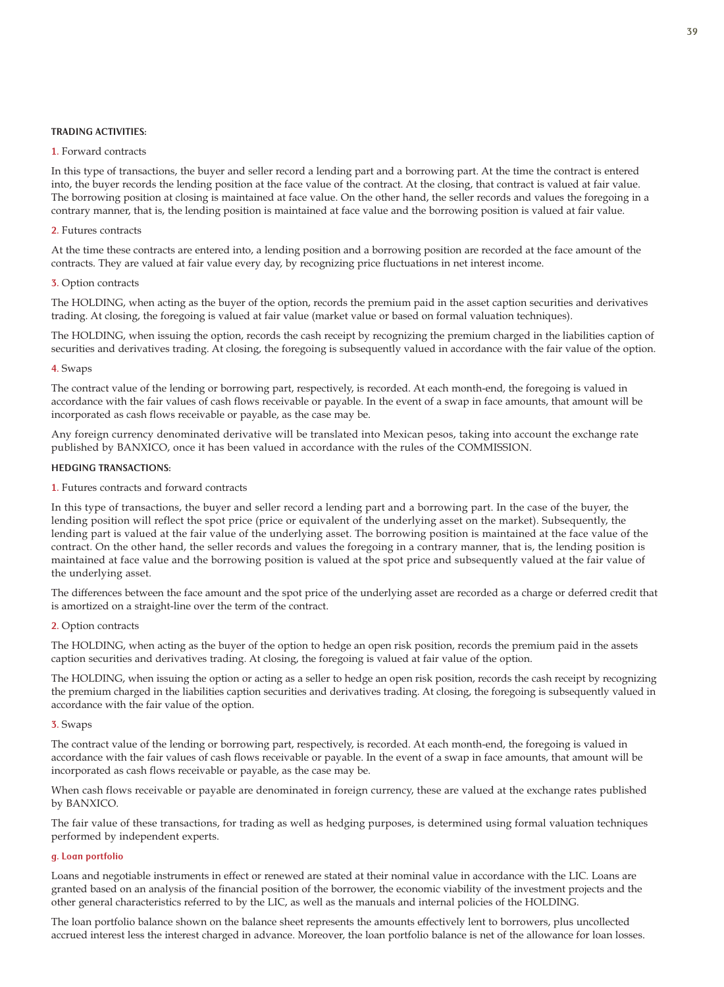### TRADING ACTIVITIES:

### 1. Forward contracts

In this type of transactions, the buyer and seller record a lending part and a borrowing part. At the time the contract is entered into, the buyer records the lending position at the face value of the contract. At the closing, that contract is valued at fair value. The borrowing position at closing is maintained at face value. On the other hand, the seller records and values the foregoing in a contrary manner, that is, the lending position is maintained at face value and the borrowing position is valued at fair value.

### 2. Futures contracts

At the time these contracts are entered into, a lending position and a borrowing position are recorded at the face amount of the contracts. They are valued at fair value every day, by recognizing price fluctuations in net interest income.

#### 3. Option contracts

The HOLDING, when acting as the buyer of the option, records the premium paid in the asset caption securities and derivatives trading. At closing, the foregoing is valued at fair value (market value or based on formal valuation techniques).

The HOLDING, when issuing the option, records the cash receipt by recognizing the premium charged in the liabilities caption of securities and derivatives trading. At closing, the foregoing is subsequently valued in accordance with the fair value of the option.

#### 4. Swaps

The contract value of the lending or borrowing part, respectively, is recorded. At each month-end, the foregoing is valued in accordance with the fair values of cash flows receivable or payable. In the event of a swap in face amounts, that amount will be incorporated as cash flows receivable or payable, as the case may be.

Any foreign currency denominated derivative will be translated into Mexican pesos, taking into account the exchange rate published by BANXICO, once it has been valued in accordance with the rules of the COMMISSION.

#### HEDGING TRANSACTIONS:

### 1. Futures contracts and forward contracts

In this type of transactions, the buyer and seller record a lending part and a borrowing part. In the case of the buyer, the lending position will reflect the spot price (price or equivalent of the underlying asset on the market). Subsequently, the lending part is valued at the fair value of the underlying asset. The borrowing position is maintained at the face value of the contract. On the other hand, the seller records and values the foregoing in a contrary manner, that is, the lending position is maintained at face value and the borrowing position is valued at the spot price and subsequently valued at the fair value of the underlying asset.

The differences between the face amount and the spot price of the underlying asset are recorded as a charge or deferred credit that is amortized on a straight-line over the term of the contract.

## 2. Option contracts

The HOLDING, when acting as the buyer of the option to hedge an open risk position, records the premium paid in the assets caption securities and derivatives trading. At closing, the foregoing is valued at fair value of the option.

The HOLDING, when issuing the option or acting as a seller to hedge an open risk position, records the cash receipt by recognizing the premium charged in the liabilities caption securities and derivatives trading. At closing, the foregoing is subsequently valued in accordance with the fair value of the option.

## 3. Swaps

The contract value of the lending or borrowing part, respectively, is recorded. At each month-end, the foregoing is valued in accordance with the fair values of cash flows receivable or payable. In the event of a swap in face amounts, that amount will be incorporated as cash flows receivable or payable, as the case may be.

When cash flows receivable or payable are denominated in foreign currency, these are valued at the exchange rates published by BANXICO.

The fair value of these transactions, for trading as well as hedging purposes, is determined using formal valuation techniques performed by independent experts.

### g. Loan portfolio

Loans and negotiable instruments in effect or renewed are stated at their nominal value in accordance with the LIC. Loans are granted based on an analysis of the financial position of the borrower, the economic viability of the investment projects and the other general characteristics referred to by the LIC, as well as the manuals and internal policies of the HOLDING.

The loan portfolio balance shown on the balance sheet represents the amounts effectively lent to borrowers, plus uncollected accrued interest less the interest charged in advance. Moreover, the loan portfolio balance is net of the allowance for loan losses.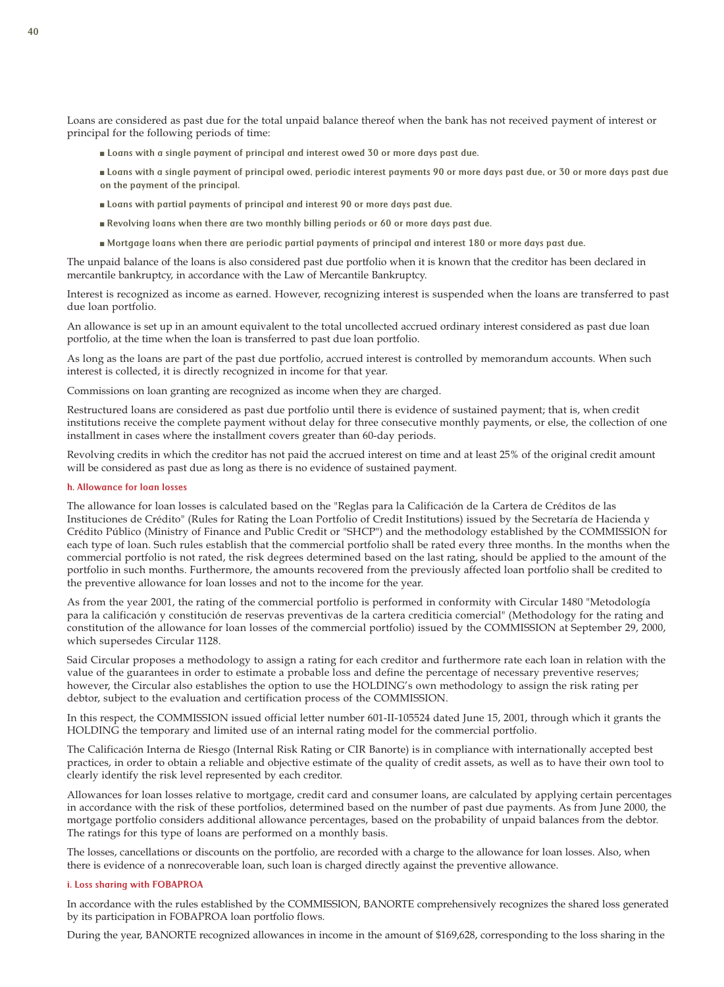Loans are considered as past due for the total unpaid balance thereof when the bank has not received payment of interest or principal for the following periods of time:

- Loans with a single payment of principal and interest owed 30 or more days past due.
- Loans with a single payment of principal owed, periodic interest payments 90 or more days past due, or 30 or more days past due on the payment of the principal.
- Loans with partial payments of principal and interest 90 or more days past due.
- Revolving loans when there are two monthly billing periods or 60 or more days past due.
- Mortgage loans when there are periodic partial payments of principal and interest 180 or more days past due.

The unpaid balance of the loans is also considered past due portfolio when it is known that the creditor has been declared in mercantile bankruptcy, in accordance with the Law of Mercantile Bankruptcy.

Interest is recognized as income as earned. However, recognizing interest is suspended when the loans are transferred to past due loan portfolio.

An allowance is set up in an amount equivalent to the total uncollected accrued ordinary interest considered as past due loan portfolio, at the time when the loan is transferred to past due loan portfolio.

As long as the loans are part of the past due portfolio, accrued interest is controlled by memorandum accounts. When such interest is collected, it is directly recognized in income for that year.

Commissions on loan granting are recognized as income when they are charged.

Restructured loans are considered as past due portfolio until there is evidence of sustained payment; that is, when credit institutions receive the complete payment without delay for three consecutive monthly payments, or else, the collection of one installment in cases where the installment covers greater than 60-day periods.

Revolving credits in which the creditor has not paid the accrued interest on time and at least 25% of the original credit amount will be considered as past due as long as there is no evidence of sustained payment.

## h. Allowance for loan losses

The allowance for loan losses is calculated based on the "Reglas para la Calificación de la Cartera de Créditos de las Instituciones de Crédito" (Rules for Rating the Loan Portfolio of Credit Institutions) issued by the Secretaría de Hacienda y Crédito Público (Ministry of Finance and Public Credit or "SHCP") and the methodology established by the COMMISSION for each type of loan. Such rules establish that the commercial portfolio shall be rated every three months. In the months when the commercial portfolio is not rated, the risk degrees determined based on the last rating, should be applied to the amount of the portfolio in such months. Furthermore, the amounts recovered from the previously affected loan portfolio shall be credited to the preventive allowance for loan losses and not to the income for the year.

As from the year 2001, the rating of the commercial portfolio is performed in conformity with Circular 1480 "Metodología para la calificación y constitución de reservas preventivas de la cartera crediticia comercial" (Methodology for the rating and constitution of the allowance for loan losses of the commercial portfolio) issued by the COMMISSION at September 29, 2000, which supersedes Circular 1128.

Said Circular proposes a methodology to assign a rating for each creditor and furthermore rate each loan in relation with the value of the guarantees in order to estimate a probable loss and define the percentage of necessary preventive reserves; however, the Circular also establishes the option to use the HOLDING's own methodology to assign the risk rating per debtor, subject to the evaluation and certification process of the COMMISSION.

In this respect, the COMMISSION issued official letter number 601-II-105524 dated June 15, 2001, through which it grants the HOLDING the temporary and limited use of an internal rating model for the commercial portfolio.

The Calificación Interna de Riesgo (Internal Risk Rating or CIR Banorte) is in compliance with internationally accepted best practices, in order to obtain a reliable and objective estimate of the quality of credit assets, as well as to have their own tool to clearly identify the risk level represented by each creditor.

Allowances for loan losses relative to mortgage, credit card and consumer loans, are calculated by applying certain percentages in accordance with the risk of these portfolios, determined based on the number of past due payments. As from June 2000, the mortgage portfolio considers additional allowance percentages, based on the probability of unpaid balances from the debtor. The ratings for this type of loans are performed on a monthly basis.

The losses, cancellations or discounts on the portfolio, are recorded with a charge to the allowance for loan losses. Also, when there is evidence of a nonrecoverable loan, such loan is charged directly against the preventive allowance.

#### i. Loss sharing with FOBAPROA

In accordance with the rules established by the COMMISSION, BANORTE comprehensively recognizes the shared loss generated by its participation in FOBAPROA loan portfolio flows.

During the year, BANORTE recognized allowances in income in the amount of \$169,628, corresponding to the loss sharing in the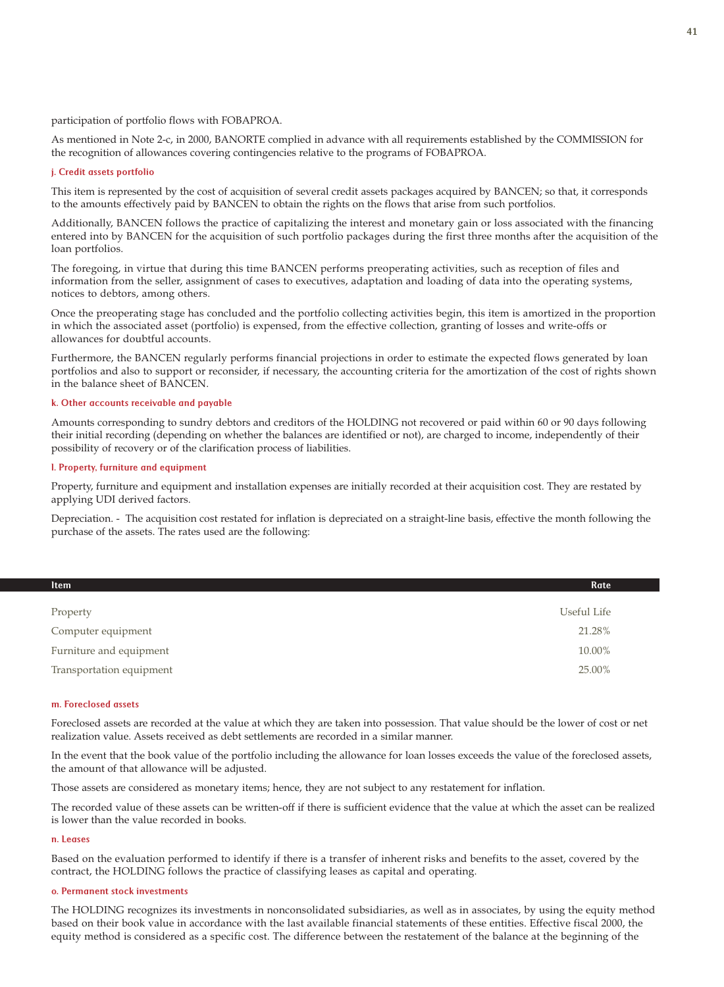participation of portfolio flows with FOBAPROA.

As mentioned in Note 2-c, in 2000, BANORTE complied in advance with all requirements established by the COMMISSION for the recognition of allowances covering contingencies relative to the programs of FOBAPROA.

### j. Credit assets portfolio

This item is represented by the cost of acquisition of several credit assets packages acquired by BANCEN; so that, it corresponds to the amounts effectively paid by BANCEN to obtain the rights on the flows that arise from such portfolios.

Additionally, BANCEN follows the practice of capitalizing the interest and monetary gain or loss associated with the financing entered into by BANCEN for the acquisition of such portfolio packages during the first three months after the acquisition of the loan portfolios.

The foregoing, in virtue that during this time BANCEN performs preoperating activities, such as reception of files and information from the seller, assignment of cases to executives, adaptation and loading of data into the operating systems, notices to debtors, among others.

Once the preoperating stage has concluded and the portfolio collecting activities begin, this item is amortized in the proportion in which the associated asset (portfolio) is expensed, from the effective collection, granting of losses and write-offs or allowances for doubtful accounts.

Furthermore, the BANCEN regularly performs financial projections in order to estimate the expected flows generated by loan portfolios and also to support or reconsider, if necessary, the accounting criteria for the amortization of the cost of rights shown in the balance sheet of BANCEN.

## k. Other accounts receivable and payable

Amounts corresponding to sundry debtors and creditors of the HOLDING not recovered or paid within 60 or 90 days following their initial recording (depending on whether the balances are identified or not), are charged to income, independently of their possibility of recovery or of the clarification process of liabilities.

#### l. Property, furniture and equipment

Property, furniture and equipment and installation expenses are initially recorded at their acquisition cost. They are restated by applying UDI derived factors.

Depreciation. - The acquisition cost restated for inflation is depreciated on a straight-line basis, effective the month following the purchase of the assets. The rates used are the following:

| Rate        |
|-------------|
|             |
| Useful Life |
| 21.28%      |
| 10.00%      |
| 25.00%      |
|             |

#### m. Foreclosed assets

Foreclosed assets are recorded at the value at which they are taken into possession. That value should be the lower of cost or net realization value. Assets received as debt settlements are recorded in a similar manner.

In the event that the book value of the portfolio including the allowance for loan losses exceeds the value of the foreclosed assets, the amount of that allowance will be adjusted.

Those assets are considered as monetary items; hence, they are not subject to any restatement for inflation.

The recorded value of these assets can be written-off if there is sufficient evidence that the value at which the asset can be realized is lower than the value recorded in books.

### n. Leases

Based on the evaluation performed to identify if there is a transfer of inherent risks and benefits to the asset, covered by the contract, the HOLDING follows the practice of classifying leases as capital and operating.

#### o. Permanent stock investments

The HOLDING recognizes its investments in nonconsolidated subsidiaries, as well as in associates, by using the equity method based on their book value in accordance with the last available financial statements of these entities. Effective fiscal 2000, the equity method is considered as a specific cost. The difference between the restatement of the balance at the beginning of the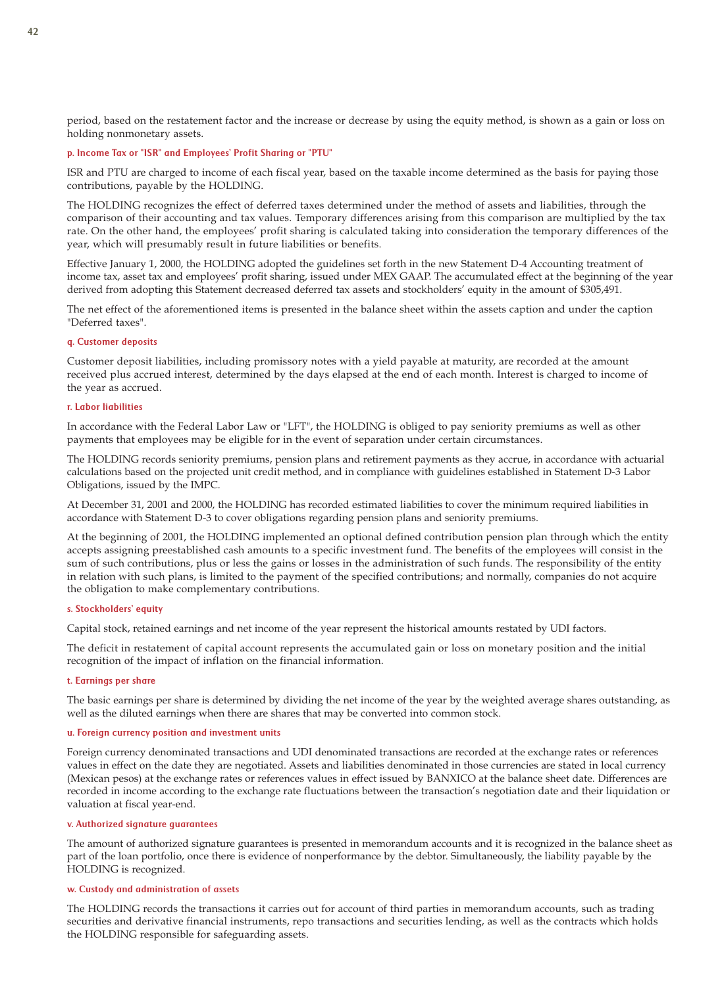period, based on the restatement factor and the increase or decrease by using the equity method, is shown as a gain or loss on holding nonmonetary assets.

### p. Income Tax or "ISR" and Employees' Profit Sharing or "PTU"

ISR and PTU are charged to income of each fiscal year, based on the taxable income determined as the basis for paying those contributions, payable by the HOLDING.

The HOLDING recognizes the effect of deferred taxes determined under the method of assets and liabilities, through the comparison of their accounting and tax values. Temporary differences arising from this comparison are multiplied by the tax rate. On the other hand, the employees' profit sharing is calculated taking into consideration the temporary differences of the year, which will presumably result in future liabilities or benefits.

Effective January 1, 2000, the HOLDING adopted the guidelines set forth in the new Statement D-4 Accounting treatment of income tax, asset tax and employees' profit sharing, issued under MEX GAAP. The accumulated effect at the beginning of the year derived from adopting this Statement decreased deferred tax assets and stockholders' equity in the amount of \$305,491.

The net effect of the aforementioned items is presented in the balance sheet within the assets caption and under the caption "Deferred taxes".

#### q. Customer deposits

Customer deposit liabilities, including promissory notes with a yield payable at maturity, are recorded at the amount received plus accrued interest, determined by the days elapsed at the end of each month. Interest is charged to income of the year as accrued.

#### r. Labor liabilities

In accordance with the Federal Labor Law or "LFT", the HOLDING is obliged to pay seniority premiums as well as other payments that employees may be eligible for in the event of separation under certain circumstances.

The HOLDING records seniority premiums, pension plans and retirement payments as they accrue, in accordance with actuarial calculations based on the projected unit credit method, and in compliance with guidelines established in Statement D-3 Labor Obligations, issued by the IMPC.

At December 31, 2001 and 2000, the HOLDING has recorded estimated liabilities to cover the minimum required liabilities in accordance with Statement D-3 to cover obligations regarding pension plans and seniority premiums.

At the beginning of 2001, the HOLDING implemented an optional defined contribution pension plan through which the entity accepts assigning preestablished cash amounts to a specific investment fund. The benefits of the employees will consist in the sum of such contributions, plus or less the gains or losses in the administration of such funds. The responsibility of the entity in relation with such plans, is limited to the payment of the specified contributions; and normally, companies do not acquire the obligation to make complementary contributions.

### s. Stockholders' equity

Capital stock, retained earnings and net income of the year represent the historical amounts restated by UDI factors.

The deficit in restatement of capital account represents the accumulated gain or loss on monetary position and the initial recognition of the impact of inflation on the financial information.

#### t. Earnings per share

The basic earnings per share is determined by dividing the net income of the year by the weighted average shares outstanding, as well as the diluted earnings when there are shares that may be converted into common stock.

#### u. Foreign currency position and investment units

Foreign currency denominated transactions and UDI denominated transactions are recorded at the exchange rates or references values in effect on the date they are negotiated. Assets and liabilities denominated in those currencies are stated in local currency (Mexican pesos) at the exchange rates or references values in effect issued by BANXICO at the balance sheet date. Differences are recorded in income according to the exchange rate fluctuations between the transaction's negotiation date and their liquidation or valuation at fiscal year-end.

#### v. Authorized signature guarantees

The amount of authorized signature guarantees is presented in memorandum accounts and it is recognized in the balance sheet as part of the loan portfolio, once there is evidence of nonperformance by the debtor. Simultaneously, the liability payable by the HOLDING is recognized.

### w. Custody and administration of assets

The HOLDING records the transactions it carries out for account of third parties in memorandum accounts, such as trading securities and derivative financial instruments, repo transactions and securities lending, as well as the contracts which holds the HOLDING responsible for safeguarding assets.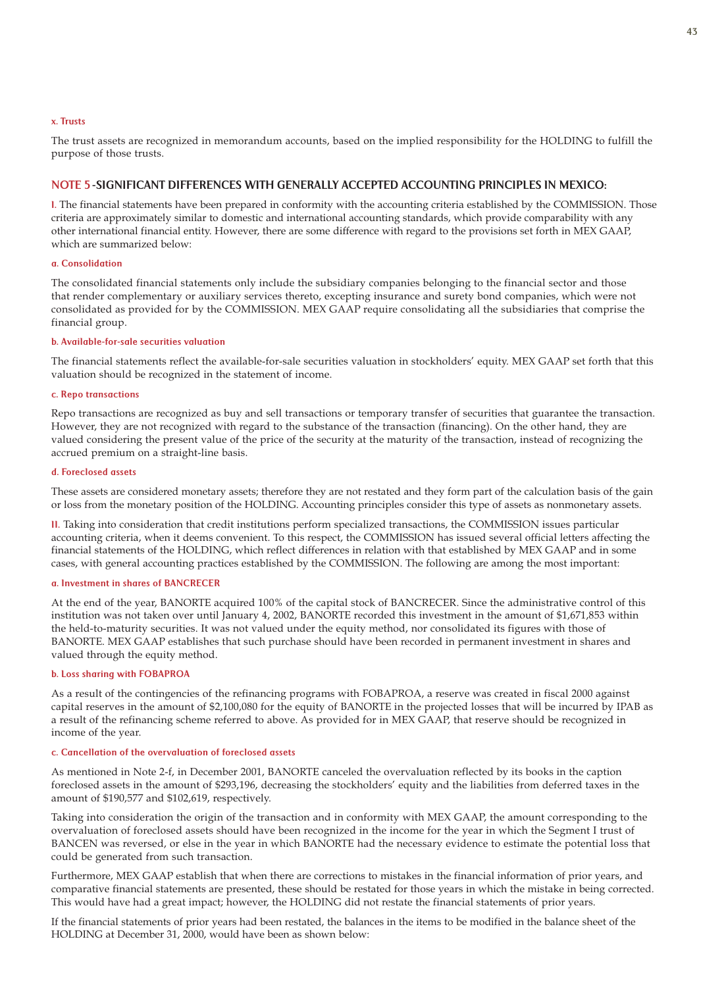### x. Trusts

The trust assets are recognized in memorandum accounts, based on the implied responsibility for the HOLDING to fulfill the purpose of those trusts.

## NOTE 5-SIGNIFICANT DIFFERENCES WITH GENERALLY ACCEPTED ACCOUNTING PRINCIPLES IN MEXICO:

I. The financial statements have been prepared in conformity with the accounting criteria established by the COMMISSION. Those criteria are approximately similar to domestic and international accounting standards, which provide comparability with any other international financial entity. However, there are some difference with regard to the provisions set forth in MEX GAAP, which are summarized below:

### a. Consolidation

The consolidated financial statements only include the subsidiary companies belonging to the financial sector and those that render complementary or auxiliary services thereto, excepting insurance and surety bond companies, which were not consolidated as provided for by the COMMISSION. MEX GAAP require consolidating all the subsidiaries that comprise the financial group.

### b. Available-for-sale securities valuation

The financial statements reflect the available-for-sale securities valuation in stockholders' equity. MEX GAAP set forth that this valuation should be recognized in the statement of income.

#### c. Repo transactions

Repo transactions are recognized as buy and sell transactions or temporary transfer of securities that guarantee the transaction. However, they are not recognized with regard to the substance of the transaction (financing). On the other hand, they are valued considering the present value of the price of the security at the maturity of the transaction, instead of recognizing the accrued premium on a straight-line basis.

### d. Foreclosed assets

These assets are considered monetary assets; therefore they are not restated and they form part of the calculation basis of the gain or loss from the monetary position of the HOLDING. Accounting principles consider this type of assets as nonmonetary assets.

II. Taking into consideration that credit institutions perform specialized transactions, the COMMISSION issues particular accounting criteria, when it deems convenient. To this respect, the COMMISSION has issued several official letters affecting the financial statements of the HOLDING, which reflect differences in relation with that established by MEX GAAP and in some cases, with general accounting practices established by the COMMISSION. The following are among the most important:

### a. Investment in shares of BANCRECER

At the end of the year, BANORTE acquired 100% of the capital stock of BANCRECER. Since the administrative control of this institution was not taken over until January 4, 2002, BANORTE recorded this investment in the amount of \$1,671,853 within the held-to-maturity securities. It was not valued under the equity method, nor consolidated its figures with those of BANORTE. MEX GAAP establishes that such purchase should have been recorded in permanent investment in shares and valued through the equity method.

## b. Loss sharing with FOBAPROA

As a result of the contingencies of the refinancing programs with FOBAPROA, a reserve was created in fiscal 2000 against capital reserves in the amount of \$2,100,080 for the equity of BANORTE in the projected losses that will be incurred by IPAB as a result of the refinancing scheme referred to above. As provided for in MEX GAAP, that reserve should be recognized in income of the year.

#### c. Cancellation of the overvaluation of foreclosed assets

As mentioned in Note 2-f, in December 2001, BANORTE canceled the overvaluation reflected by its books in the caption foreclosed assets in the amount of \$293,196, decreasing the stockholders' equity and the liabilities from deferred taxes in the amount of \$190,577 and \$102,619, respectively.

Taking into consideration the origin of the transaction and in conformity with MEX GAAP, the amount corresponding to the overvaluation of foreclosed assets should have been recognized in the income for the year in which the Segment I trust of BANCEN was reversed, or else in the year in which BANORTE had the necessary evidence to estimate the potential loss that could be generated from such transaction.

Furthermore, MEX GAAP establish that when there are corrections to mistakes in the financial information of prior years, and comparative financial statements are presented, these should be restated for those years in which the mistake in being corrected. This would have had a great impact; however, the HOLDING did not restate the financial statements of prior years.

If the financial statements of prior years had been restated, the balances in the items to be modified in the balance sheet of the HOLDING at December 31, 2000, would have been as shown below: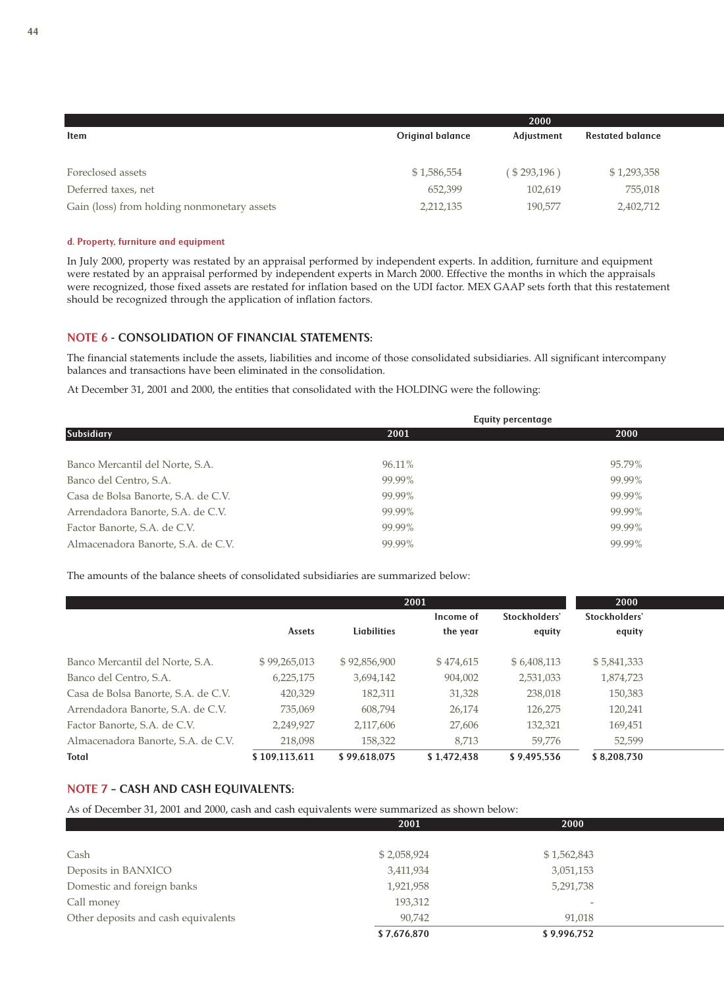|                                             |                         | 2000        |                         |
|---------------------------------------------|-------------------------|-------------|-------------------------|
| ltem                                        | <b>Original balance</b> | Adjustment  | <b>Restated balance</b> |
|                                             |                         |             |                         |
| Foreclosed assets                           | \$1,586,554             | (\$293,196) | \$1,293,358             |
| Deferred taxes, net                         | 652,399                 | 102.619     | 755,018                 |
| Gain (loss) from holding nonmonetary assets | 2,212,135               | 190,577     | 2,402,712               |

#### d. Property, furniture and equipment

In July 2000, property was restated by an appraisal performed by independent experts. In addition, furniture and equipment were restated by an appraisal performed by independent experts in March 2000. Effective the months in which the appraisals were recognized, those fixed assets are restated for inflation based on the UDI factor. MEX GAAP sets forth that this restatement should be recognized through the application of inflation factors.

## NOTE 6 - CONSOLIDATION OF FINANCIAL STATEMENTS:

The financial statements include the assets, liabilities and income of those consolidated subsidiaries. All significant intercompany balances and transactions have been eliminated in the consolidation.

At December 31, 2001 and 2000, the entities that consolidated with the HOLDING were the following:

|                                               | <b>Equity percentage</b> |
|-----------------------------------------------|--------------------------|
| <b>Subsidiary</b><br>2001                     | 2000                     |
|                                               |                          |
| 96.11%<br>Banco Mercantil del Norte, S.A.     | 95.79%                   |
| 99.99%<br>Banco del Centro, S.A.              | 99.99%                   |
| 99.99%<br>Casa de Bolsa Banorte, S.A. de C.V. | 99.99%                   |
| 99.99%<br>Arrendadora Banorte, S.A. de C.V.   | 99.99%                   |
| 99.99%<br>Factor Banorte, S.A. de C.V.        | 99.99%                   |
| 99.99%<br>Almacenadora Banorte, S.A. de C.V.  | 99.99%                   |

The amounts of the balance sheets of consolidated subsidiaries are summarized below:

|                                     |               | 2000         |             |               |               |  |
|-------------------------------------|---------------|--------------|-------------|---------------|---------------|--|
|                                     |               |              | Income of   | Stockholders' | Stockholders' |  |
|                                     | Assets        | Liabilities  | the year    | equity        | equity        |  |
| Banco Mercantil del Norte, S.A.     | \$99,265,013  | \$92,856,900 | \$474,615   | \$6,408,113   | \$5,841,333   |  |
| Banco del Centro, S.A.              | 6,225,175     | 3,694,142    | 904,002     | 2,531,033     | 1,874,723     |  |
| Casa de Bolsa Banorte, S.A. de C.V. | 420,329       | 182,311      | 31,328      | 238,018       | 150,383       |  |
| Arrendadora Banorte, S.A. de C.V.   | 735,069       | 608.794      | 26,174      | 126,275       | 120,241       |  |
| Factor Banorte, S.A. de C.V.        | 2,249,927     | 2,117,606    | 27,606      | 132,321       | 169,451       |  |
| Almacenadora Banorte, S.A. de C.V.  | 218,098       | 158,322      | 8.713       | 59,776        | 52,599        |  |
| <b>Total</b>                        | \$109.113.611 | \$99.618.075 | \$1.472.438 | \$9.495.536   | \$8.208.730   |  |

## NOTE 7 – CASH AND CASH EQUIVALENTS:

As of December 31, 2001 and 2000, cash and cash equivalents were summarized as shown below:

|                                     | 2001        | 2000                     |  |
|-------------------------------------|-------------|--------------------------|--|
|                                     |             |                          |  |
| Cash                                | \$2,058,924 | \$1,562,843              |  |
| Deposits in BANXICO                 | 3,411,934   | 3,051,153                |  |
| Domestic and foreign banks          | 1,921,958   | 5,291,738                |  |
| Call money                          | 193,312     | $\overline{\phantom{a}}$ |  |
| Other deposits and cash equivalents | 90,742      | 91.018                   |  |
|                                     | \$7,676,870 | \$9,996,752              |  |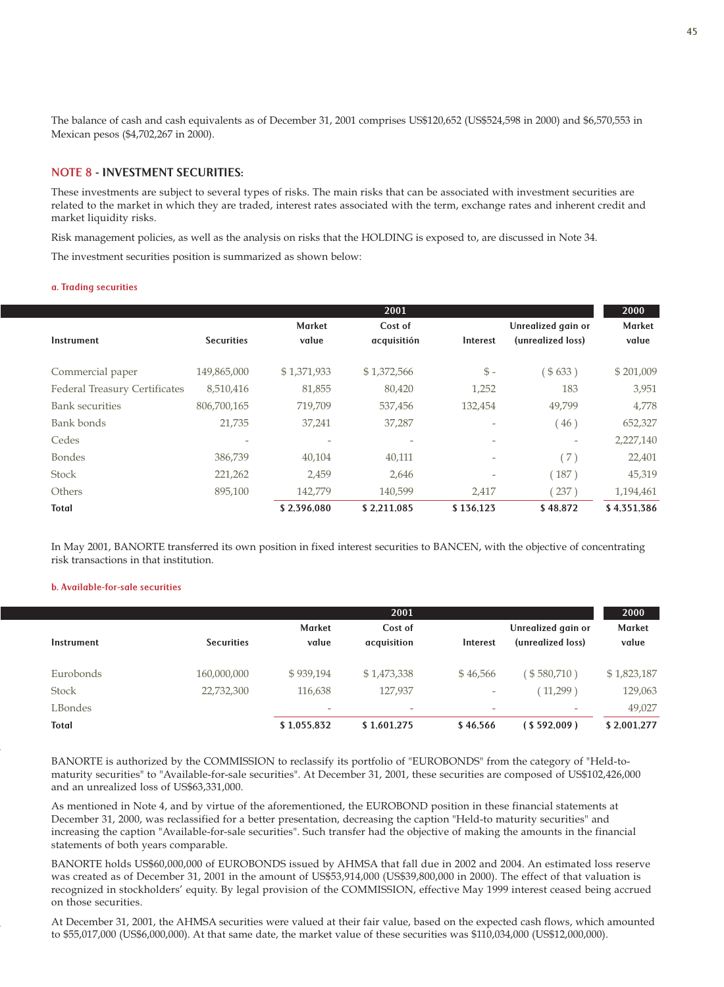The balance of cash and cash equivalents as of December 31, 2001 comprises US\$120,652 (US\$524,598 in 2000) and \$6,570,553 in Mexican pesos (\$4,702,267 in 2000).

## NOTE 8 - INVESTMENT SECURITIES:

These investments are subject to several types of risks. The main risks that can be associated with investment securities are related to the market in which they are traded, interest rates associated with the term, exchange rates and inherent credit and market liquidity risks.

Risk management policies, as well as the analysis on risks that the HOLDING is exposed to, are discussed in Note 34.

The investment securities position is summarized as shown below:

#### a. Trading securities

|                                      |                   |               | 2001        |                 |                          | 2000        |
|--------------------------------------|-------------------|---------------|-------------|-----------------|--------------------------|-------------|
|                                      |                   | <b>Market</b> | Cost of     |                 | Unrealized gain or       | Market      |
| Instrument                           | <b>Securities</b> | value         | acquisitión | Interest        | (unrealized loss)        | value       |
| Commercial paper                     | 149,865,000       | \$1,371,933   | \$1,372,566 | $\mathcal{S}$ - | \$633)                   | \$201,009   |
| <b>Federal Treasury Certificates</b> | 8,510,416         | 81,855        | 80,420      | 1,252           | 183                      | 3,951       |
| <b>Bank securities</b>               | 806,700,165       | 719,709       | 537,456     | 132,454         | 49.799                   | 4,778       |
| Bank bonds                           | 21,735            | 37,241        | 37,287      | $\overline{a}$  | 46)                      | 652,327     |
| Cedes                                |                   |               |             |                 | $\overline{\phantom{a}}$ | 2,227,140   |
| <b>Bondes</b>                        | 386,739           | 40,104        | 40,111      | $\overline{a}$  | (7)                      | 22,401      |
| <b>Stock</b>                         | 221,262           | 2,459         | 2,646       | $\overline{a}$  | (187)                    | 45,319      |
| Others                               | 895,100           | 142,779       | 140,599     | 2,417           | 237)                     | 1,194,461   |
| Total                                |                   | \$2,396,080   | \$2,211,085 | \$136,123       | \$48.872                 | \$4,351,386 |

In May 2001, BANORTE transferred its own position in fixed interest securities to BANCEN, with the objective of concentrating risk transactions in that institution.

### b. Available-for-sale securities

|              |                   |                          | 2001                     |                          |                                         | 2000                   |
|--------------|-------------------|--------------------------|--------------------------|--------------------------|-----------------------------------------|------------------------|
| Instrument   | <b>Securities</b> | <b>Market</b><br>value   | Cost of<br>acquisition   | Interest                 | Unrealized gain or<br>(unrealized loss) | <b>Market</b><br>value |
| Eurobonds    | 160,000,000       | \$939,194                | \$1,473,338              | \$46,566                 | $5580,710$ )                            | \$1,823,187            |
| <b>Stock</b> | 22,732,300        | 116.638                  | 127,937                  | $\overline{\phantom{a}}$ | (11,299)                                | 129,063                |
| LBondes      |                   | $\overline{\phantom{a}}$ | $\overline{\phantom{a}}$ | $\overline{\phantom{a}}$ | $\overline{\phantom{a}}$                | 49,027                 |
| <b>Total</b> |                   | \$1,055,832              | \$1.601.275              | \$46.566                 | (S592.009)                              | \$2,001,277            |

BANORTE is authorized by the COMMISSION to reclassify its portfolio of "EUROBONDS" from the category of "Held-tomaturity securities" to "Available-for-sale securities". At December 31, 2001, these securities are composed of US\$102,426,000 and an unrealized loss of US\$63,331,000.

As mentioned in Note 4, and by virtue of the aforementioned, the EUROBOND position in these financial statements at December 31, 2000, was reclassified for a better presentation, decreasing the caption "Held-to maturity securities" and increasing the caption "Available-for-sale securities". Such transfer had the objective of making the amounts in the financial statements of both years comparable.

BANORTE holds US\$60,000,000 of EUROBONDS issued by AHMSA that fall due in 2002 and 2004. An estimated loss reserve was created as of December 31, 2001 in the amount of US\$53,914,000 (US\$39,800,000 in 2000). The effect of that valuation is recognized in stockholders' equity. By legal provision of the COMMISSION, effective May 1999 interest ceased being accrued on those securities.

At December 31, 2001, the AHMSA securities were valued at their fair value, based on the expected cash flows, which amounted to \$55,017,000 (US\$6,000,000). At that same date, the market value of these securities was \$110,034,000 (US\$12,000,000).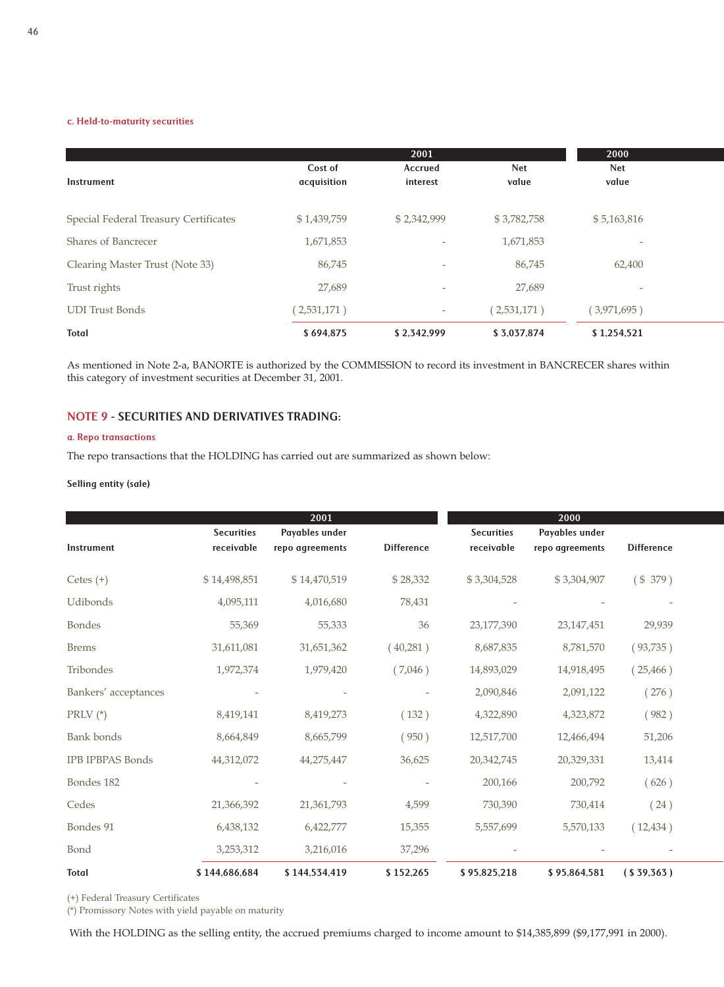### c. Held-to-maturity securities

|                                       |             | 2001                     |             | 2000                     |  |
|---------------------------------------|-------------|--------------------------|-------------|--------------------------|--|
|                                       | Cost of     | <b>Accrued</b>           | <b>Net</b>  | <b>Net</b>               |  |
| Instrument                            | acquisition | interest                 | value       | value                    |  |
|                                       |             |                          |             |                          |  |
| Special Federal Treasury Certificates | \$1,439,759 | \$2,342,999              | \$3,782,758 | \$5,163,816              |  |
| Shares of Bancrecer                   | 1,671,853   |                          | 1,671,853   | $\overline{\phantom{a}}$ |  |
| Clearing Master Trust (Note 33)       | 86,745      | $\overline{\phantom{a}}$ | 86,745      | 62,400                   |  |
| Trust rights                          | 27,689      | $\overline{\phantom{a}}$ | 27,689      |                          |  |
| <b>UDI</b> Trust Bonds                | (2,531,171) | $\overline{\phantom{a}}$ | (2,531,171) | (3,971,695)              |  |
| <b>Total</b>                          | \$694,875   | \$2,342,999              | \$3,037,874 | \$1,254,521              |  |

As mentioned in Note 2-a, BANORTE is authorized by the COMMISSION to record its investment in BANCRECER shares within this category of investment securities at December 31, 2001.

## NOTE 9 - SECURITIES AND DERIVATIVES TRADING:

#### a. Repo transactions

The repo transactions that the HOLDING has carried out are summarized as shown below:

## Selling entity (sale)

|                         |                                 | 2001                              |                   |                                 | 2000                              |                   |  |
|-------------------------|---------------------------------|-----------------------------------|-------------------|---------------------------------|-----------------------------------|-------------------|--|
| Instrument              | <b>Securities</b><br>receivable | Payables under<br>repo agreements | <b>Difference</b> | <b>Securities</b><br>receivable | Payables under<br>repo agreements | <b>Difference</b> |  |
| Cetes $(+)$             | \$14,498,851                    | \$14,470,519                      | \$28,332          | \$3,304,528                     | \$3,304,907                       | (\$379)           |  |
| Udibonds                | 4,095,111                       | 4,016,680                         | 78,431            |                                 |                                   |                   |  |
| <b>Bondes</b>           | 55,369                          | 55,333                            | 36                | 23,177,390                      | 23, 147, 451                      | 29,939            |  |
| <b>Brems</b>            | 31,611,081                      | 31,651,362                        | (40,281)          | 8,687,835                       | 8,781,570                         | (93,735)          |  |
| Tribondes               | 1,972,374                       | 1,979,420                         | (7,046)           | 14,893,029                      | 14,918,495                        | (25, 466)         |  |
| Bankers' acceptances    |                                 |                                   |                   | 2,090,846                       | 2,091,122                         | (276)             |  |
| PRLV $(*)$              | 8,419,141                       | 8,419,273                         | (132)             | 4,322,890                       | 4,323,872                         | (982)             |  |
| <b>Bank</b> bonds       | 8,664,849                       | 8,665,799                         | (950)             | 12,517,700                      | 12,466,494                        | 51,206            |  |
| <b>IPB IPBPAS Bonds</b> | 44,312,072                      | 44,275,447                        | 36,625            | 20,342,745                      | 20,329,331                        | 13,414            |  |
| Bondes 182              |                                 |                                   |                   | 200,166                         | 200,792                           | (626)             |  |
| Cedes                   | 21,366,392                      | 21,361,793                        | 4,599             | 730,390                         | 730,414                           | (24)              |  |
| Bondes 91               | 6,438,132                       | 6,422,777                         | 15,355            | 5,557,699                       | 5,570,133                         | (12, 434)         |  |
| Bond                    | 3,253,312                       | 3,216,016                         | 37,296            |                                 |                                   |                   |  |
| <b>Total</b>            | \$144,686,684                   | \$144,534,419                     | \$152,265         | \$95,825,218                    | \$95,864,581                      | (S39,363)         |  |

(+) Federal Treasury Certificates

(\*) Promissory Notes with yield payable on maturity

With the HOLDING as the selling entity, the accrued premiums charged to income amount to \$14,385,899 (\$9,177,991 in 2000).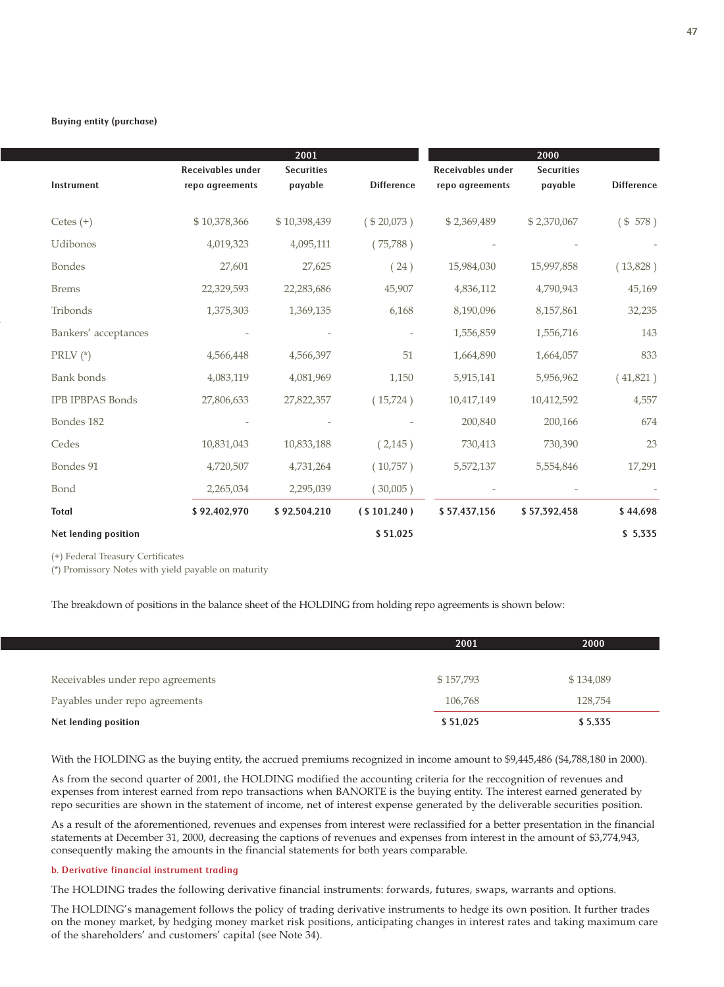|                         |                                             | 2001                         |                   |                                      | 2000                         |                   |
|-------------------------|---------------------------------------------|------------------------------|-------------------|--------------------------------------|------------------------------|-------------------|
| Instrument              | <b>Receivables under</b><br>repo agreements | <b>Securities</b><br>payable | <b>Difference</b> | Receivables under<br>repo agreements | <b>Securities</b><br>payable | <b>Difference</b> |
| Cetes $(+)$             | \$10,378,366                                | \$10,398,439                 | (\$20,073)        | \$2,369,489                          | \$2,370,067                  | ( \$ 578 )        |
| Udibonos                | 4,019,323                                   | 4,095,111                    | (75,788)          |                                      |                              |                   |
| <b>Bondes</b>           | 27,601                                      | 27,625                       | (24)              | 15,984,030                           | 15,997,858                   | (13,828)          |
| <b>Brems</b>            | 22,329,593                                  | 22,283,686                   | 45,907            | 4,836,112                            | 4,790,943                    | 45,169            |
| Tribonds                | 1,375,303                                   | 1,369,135                    | 6,168             | 8,190,096                            | 8,157,861                    | 32,235            |
| Bankers' acceptances    |                                             |                              |                   | 1,556,859                            | 1,556,716                    | 143               |
| PRLV $(*)$              | 4,566,448                                   | 4,566,397                    | 51                | 1,664,890                            | 1,664,057                    | 833               |
| <b>Bank</b> bonds       | 4,083,119                                   | 4,081,969                    | 1,150             | 5,915,141                            | 5,956,962                    | (41,821)          |
| <b>IPB IPBPAS Bonds</b> | 27,806,633                                  | 27,822,357                   | (15,724)          | 10,417,149                           | 10,412,592                   | 4,557             |
| Bondes 182              |                                             |                              |                   | 200,840                              | 200,166                      | 674               |
| Cedes                   | 10,831,043                                  | 10,833,188                   | (2, 145)          | 730,413                              | 730,390                      | 23                |
| Bondes 91               | 4,720,507                                   | 4,731,264                    | (10,757)          | 5,572,137                            | 5,554,846                    | 17,291            |
| Bond                    | 2,265,034                                   | 2,295,039                    | (30,005)          |                                      |                              |                   |
| <b>Total</b>            | \$92,402,970                                | \$92,504,210                 | ( \$101,240 )     | \$57,437,156                         | \$57,392,458                 | \$44,698          |
| Net lending position    |                                             |                              | \$51,025          |                                      |                              | \$5,335           |

(+) Federal Treasury Certificates

(\*) Promissory Notes with yield payable on maturity

The breakdown of positions in the balance sheet of the HOLDING from holding repo agreements is shown below:

|                                   | 2001      | 2000      |
|-----------------------------------|-----------|-----------|
|                                   |           |           |
| Receivables under repo agreements | \$157,793 | \$134,089 |
| Payables under repo agreements    | 106,768   | 128,754   |
| Net lending position              | \$51,025  | \$5,335   |

With the HOLDING as the buying entity, the accrued premiums recognized in income amount to \$9,445,486 (\$4,788,180 in 2000).

As from the second quarter of 2001, the HOLDING modified the accounting criteria for the reccognition of revenues and expenses from interest earned from repo transactions when BANORTE is the buying entity. The interest earned generated by repo securities are shown in the statement of income, net of interest expense generated by the deliverable securities position.

As a result of the aforementioned, revenues and expenses from interest were reclassified for a better presentation in the financial statements at December 31, 2000, decreasing the captions of revenues and expenses from interest in the amount of \$3,774,943, consequently making the amounts in the financial statements for both years comparable.

#### b. Derivative financial instrument trading

The HOLDING trades the following derivative financial instruments: forwards, futures, swaps, warrants and options.

The HOLDING's management follows the policy of trading derivative instruments to hedge its own position. It further trades on the money market, by hedging money market risk positions, anticipating changes in interest rates and taking maximum care of the shareholders' and customers' capital (see Note 34).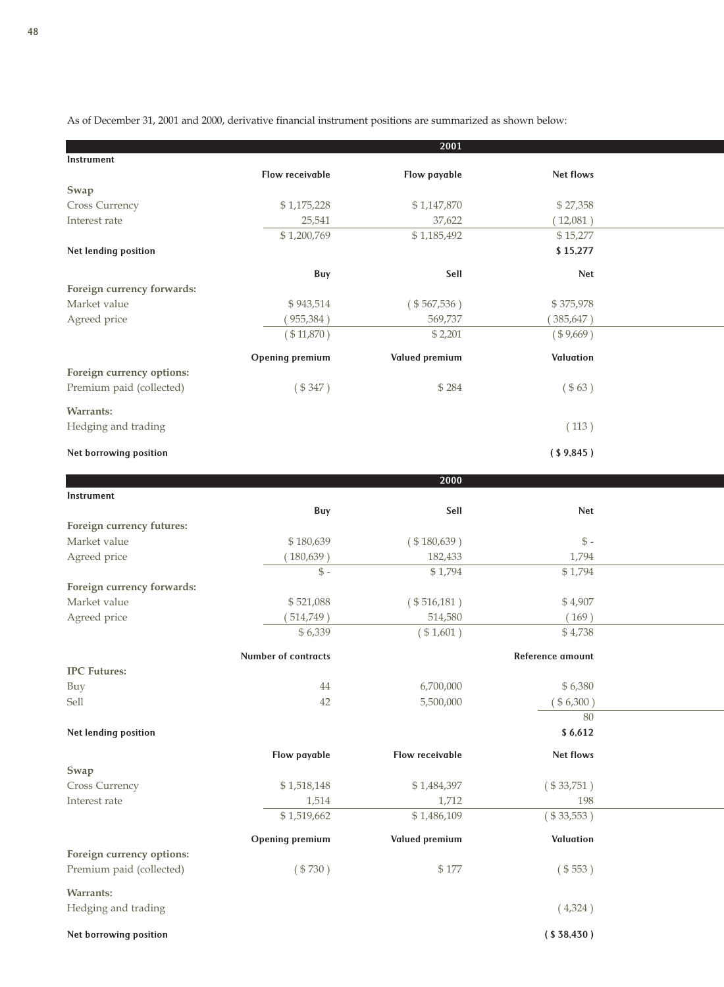As of December 31, 2001 and 2000, derivative financial instrument positions are summarized as shown below:

|                            |                        | 2001                  |                  |  |
|----------------------------|------------------------|-----------------------|------------------|--|
| Instrument                 |                        |                       |                  |  |
|                            | Flow receivable        | Flow payable          | Net flows        |  |
| Swap                       |                        |                       |                  |  |
| Cross Currency             | \$1,175,228            | \$1,147,870           | \$27,358         |  |
| Interest rate              | 25,541                 | 37,622                | (12,081)         |  |
|                            | \$1,200,769            | \$1,185,492           | \$15,277         |  |
| Net lending position       |                        |                       | \$15,277         |  |
|                            | Buy                    | Sell                  | Net              |  |
| Foreign currency forwards: |                        |                       |                  |  |
| Market value               | \$943,514              | $(*567,536)$          | \$375,978        |  |
| Agreed price               | (955, 384)             | 569,737               | (385, 647)       |  |
|                            | $(*11,870)$            | \$2,201               | (\$9,669)        |  |
|                            |                        |                       |                  |  |
|                            | <b>Opening premium</b> | <b>Valued premium</b> | Valuation        |  |
| Foreign currency options:  |                        | \$284                 |                  |  |
| Premium paid (collected)   | (\$347)                |                       | ( \$63)          |  |
| <b>Warrants:</b>           |                        |                       |                  |  |
| Hedging and trading        |                        |                       | (113)            |  |
|                            |                        |                       |                  |  |
| Net borrowing position     |                        |                       | (S9, 845)        |  |
|                            |                        | 2000                  |                  |  |
| Instrument                 |                        |                       |                  |  |
|                            | Buy                    | Sell                  | Net              |  |
| Foreign currency futures:  |                        |                       |                  |  |
| Market value               | \$180,639              | $(* 180, 639)$        | $$ -$            |  |
| Agreed price               | (180, 639)             | 182,433               | 1,794            |  |
|                            | $\mathbb{S}$ -         | \$1,794               | \$1,794          |  |
| Foreign currency forwards: |                        |                       |                  |  |
| Market value               | \$521,088              | $(* 516, 181)$        | \$4,907          |  |
| Agreed price               | 514,749)               | 514,580               | (169)            |  |
|                            | \$6,339                | (\$1,601)             | \$4,738          |  |
|                            |                        |                       |                  |  |
|                            | Number of contracts    |                       | Reference amount |  |
| <b>IPC Futures:</b>        |                        |                       |                  |  |
| Buy                        | 44                     | 6,700,000             | \$6,380          |  |
| Sell                       | 42                     | 5,500,000             | (\$6,300)        |  |
|                            |                        |                       | 80               |  |
| Net lending position       |                        |                       | \$6,612          |  |
|                            | Flow payable           | Flow receivable       | Net flows        |  |
| Swap                       |                        |                       |                  |  |
| Cross Currency             | \$1,518,148            | \$1,484,397           | $(*33,751)$      |  |
| Interest rate              | 1,514                  | 1,712                 | 198              |  |
|                            | \$1,519,662            | \$1,486,109           | $(* 33, 553)$    |  |
|                            |                        |                       |                  |  |
|                            | <b>Opening premium</b> | <b>Valued premium</b> | Valuation        |  |
| Foreign currency options:  |                        |                       |                  |  |
| Premium paid (collected)   | (\$730)                | \$177                 | (\$553)          |  |
| <b>Warrants:</b>           |                        |                       |                  |  |
| Hedging and trading        |                        |                       | (4,324)          |  |
|                            |                        |                       |                  |  |
| Net borrowing position     |                        |                       | ( \$38,430)      |  |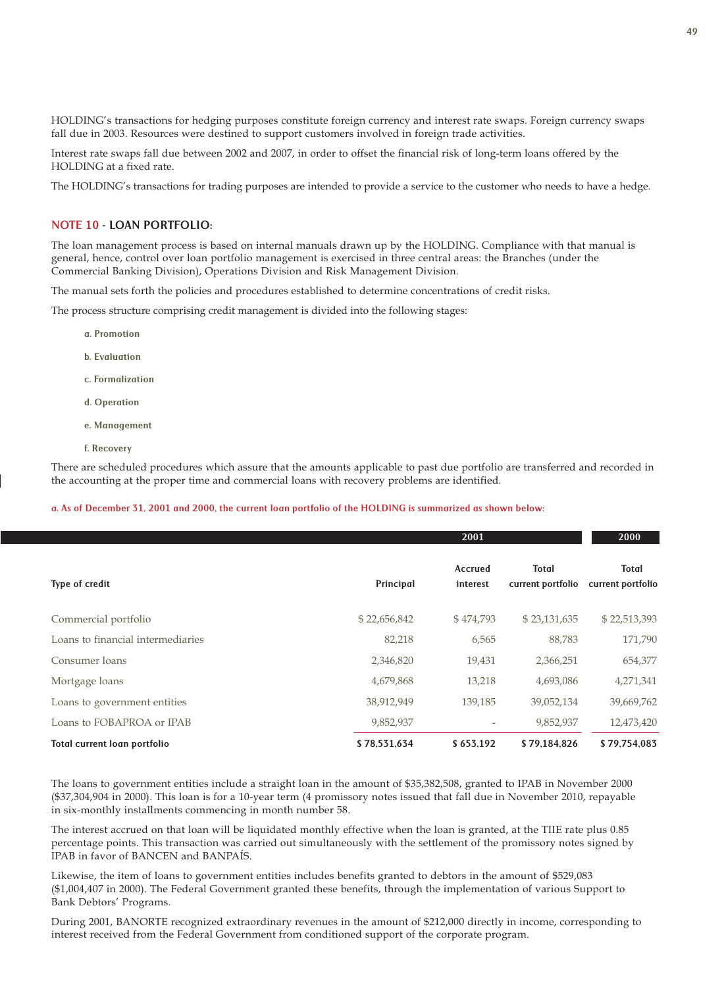HOLDING's transactions for hedging purposes constitute foreign currency and interest rate swaps. Foreign currency swaps fall due in 2003. Resources were destined to support customers involved in foreign trade activities.

Interest rate swaps fall due between 2002 and 2007, in order to offset the financial risk of long-term loans offered by the HOLDING at a fixed rate.

The HOLDING's transactions for trading purposes are intended to provide a service to the customer who needs to have a hedge.

## NOTE 10 - LOAN PORTFOLIO:

The loan management process is based on internal manuals drawn up by the HOLDING. Compliance with that manual is general, hence, control over loan portfolio management is exercised in three central areas: the Branches (under the Commercial Banking Division), Operations Division and Risk Management Division.

The manual sets forth the policies and procedures established to determine concentrations of credit risks.

The process structure comprising credit management is divided into the following stages:

- a. Promotion
- b. Evaluation
- c. Formalization
- d. Operation
- e. Management
- f. Recovery

There are scheduled procedures which assure that the amounts applicable to past due portfolio are transferred and recorded in the accounting at the proper time and commercial loans with recovery problems are identified.

### a. As of December 31, 2001 and 2000, the current loan portfolio of the HOLDING is summarized as shown below:

|                                   |              | 2001                       |                                   | 2000                       |
|-----------------------------------|--------------|----------------------------|-----------------------------------|----------------------------|
| Type of credit                    | Principal    | <b>Accrued</b><br>interest | <b>Total</b><br>current portfolio | Total<br>current portfolio |
| Commercial portfolio              | \$22,656,842 | \$474,793                  | \$23,131,635                      | \$22,513,393               |
| Loans to financial intermediaries | 82,218       | 6,565                      | 88,783                            | 171,790                    |
| Consumer loans                    | 2,346,820    | 19,431                     | 2,366,251                         | 654,377                    |
| Mortgage loans                    | 4,679,868    | 13,218                     | 4,693,086                         | 4,271,341                  |
| Loans to government entities      | 38,912,949   | 139,185                    | 39,052,134                        | 39,669,762                 |
| Loans to FOBAPROA or IPAB         | 9,852,937    | $\overline{\phantom{a}}$   | 9,852,937                         | 12,473,420                 |
| Total current loan portfolio      | \$78,531,634 | \$653,192                  | \$79.184.826                      | \$79.754.083               |

The loans to government entities include a straight loan in the amount of \$35,382,508, granted to IPAB in November 2000 (\$37,304,904 in 2000). This loan is for a 10-year term (4 promissory notes issued that fall due in November 2010, repayable in six-monthly installments commencing in month number 58.

The interest accrued on that loan will be liquidated monthly effective when the loan is granted, at the TIIE rate plus 0.85 percentage points. This transaction was carried out simultaneously with the settlement of the promissory notes signed by IPAB in favor of BANCEN and BANPAÍS.

Likewise, the item of loans to government entities includes benefits granted to debtors in the amount of \$529,083 (\$1,004,407 in 2000). The Federal Government granted these benefits, through the implementation of various Support to Bank Debtors' Programs.

During 2001, BANORTE recognized extraordinary revenues in the amount of \$212,000 directly in income, corresponding to interest received from the Federal Government from conditioned support of the corporate program.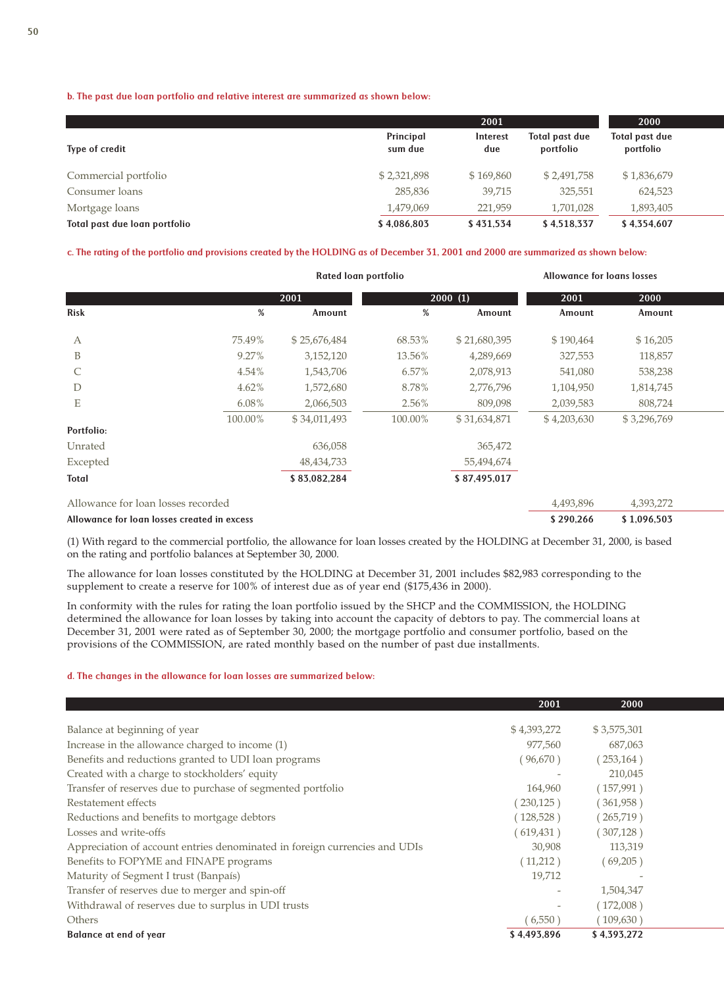### b. The past due loan portfolio and relative interest are summarized as shown below:

|                               |                      | 2001            |                                    | 2000                        |  |
|-------------------------------|----------------------|-----------------|------------------------------------|-----------------------------|--|
| Type of credit                | Principal<br>sum due | Interest<br>due | <b>Total past due</b><br>portfolio | Total past due<br>portfolio |  |
| Commercial portfolio          | \$2,321,898          | \$169,860       | \$2,491,758                        | \$1,836,679                 |  |
| Consumer loans                | 285,836              | 39,715          | 325,551                            | 624,523                     |  |
| Mortgage loans                | 1,479,069            | 221,959         | 1,701,028                          | 1,893,405                   |  |
| Total past due loan portfolio | \$4,086,803          | \$431.534       | \$4,518,337                        | \$4,354,607                 |  |

#### c. The rating of the portfolio and provisions created by the HOLDING as of December 31, 2001 and 2000 are summarized as shown below:

|                                    |          | Rated loan portfolio |          |              | <b>Allowance for loans losses</b> |             |  |  |
|------------------------------------|----------|----------------------|----------|--------------|-----------------------------------|-------------|--|--|
|                                    |          | 2001                 |          | 2000(1)      | 2001                              | 2000        |  |  |
| <b>Risk</b>                        | %        | Amount               | %        | Amount       | Amount                            | Amount      |  |  |
| A                                  | 75.49%   | \$25,676,484         | 68.53%   | \$21,680,395 | \$190,464                         | \$16,205    |  |  |
| B                                  | 9.27%    | 3,152,120            | 13.56%   | 4,289,669    | 327,553                           | 118,857     |  |  |
| $\mathcal{C}$                      | 4.54%    | 1,543,706            | 6.57%    | 2,078,913    | 541,080                           | 538,238     |  |  |
| D                                  | $4.62\%$ | 1,572,680            | 8.78%    | 2,776,796    | 1,104,950                         | 1,814,745   |  |  |
| E                                  | $6.08\%$ | 2,066,503            | $2.56\%$ | 809,098      | 2,039,583                         | 808,724     |  |  |
|                                    | 100.00%  | \$34,011,493         | 100.00%  | \$31,634,871 | \$4,203,630                       | \$3,296,769 |  |  |
| Portfolio:                         |          |                      |          |              |                                   |             |  |  |
| Unrated                            |          | 636,058              |          | 365,472      |                                   |             |  |  |
| Excepted                           |          | 48, 434, 733         |          | 55,494,674   |                                   |             |  |  |
| <b>Total</b>                       |          | \$83,082,284         |          | \$87,495,017 |                                   |             |  |  |
| Allowance for loan losses recorded |          |                      |          |              | 4,493,896                         | 4,393,272   |  |  |

#### Allowance for loan losses created in excess  $$ 1,096,503$

(1) With regard to the commercial portfolio, the allowance for loan losses created by the HOLDING at December 31, 2000, is based on the rating and portfolio balances at September 30, 2000.

The allowance for loan losses constituted by the HOLDING at December 31, 2001 includes \$82,983 corresponding to the supplement to create a reserve for 100% of interest due as of year end (\$175,436 in 2000).

In conformity with the rules for rating the loan portfolio issued by the SHCP and the COMMISSION, the HOLDING determined the allowance for loan losses by taking into account the capacity of debtors to pay. The commercial loans at December 31, 2001 were rated as of September 30, 2000; the mortgage portfolio and consumer portfolio, based on the provisions of the COMMISSION, are rated monthly based on the number of past due installments.

#### d. The changes in the allowance for loan losses are summarized below:

|                                                                            | 2001        | 2000        |
|----------------------------------------------------------------------------|-------------|-------------|
| Balance at beginning of year                                               | \$4,393,272 | \$3,575,301 |
| Increase in the allowance charged to income (1)                            | 977,560     | 687,063     |
| Benefits and reductions granted to UDI loan programs                       | (96,670)    | (253, 164)  |
| Created with a charge to stockholders' equity                              |             | 210,045     |
| Transfer of reserves due to purchase of segmented portfolio                | 164,960     | (157,991)   |
| Restatement effects                                                        | (230, 125)  | (361,958)   |
| Reductions and benefits to mortgage debtors                                | (128, 528)  | (265,719)   |
| Losses and write-offs                                                      | (619, 431)  | (307, 128)  |
| Appreciation of account entries denominated in foreign currencies and UDIs | 30,908      | 113,319     |
| Benefits to FOPYME and FINAPE programs                                     | (11,212)    | (69,205)    |
| Maturity of Segment I trust (Banpaís)                                      | 19,712      |             |
| Transfer of reserves due to merger and spin-off                            |             | 1,504,347   |
| Withdrawal of reserves due to surplus in UDI trusts                        |             | (172,008)   |
| <b>Others</b>                                                              | (6,550)     | (109,630)   |
| <b>Balance at end of year</b>                                              | \$4,493,896 | \$4,393,272 |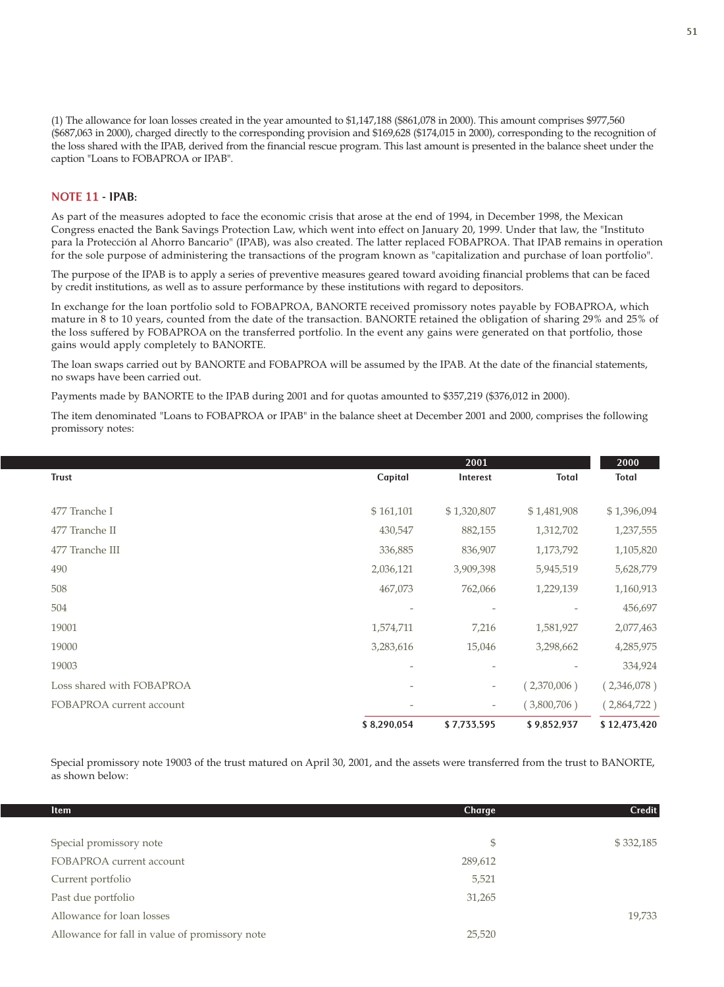(1) The allowance for loan losses created in the year amounted to \$1,147,188 (\$861,078 in 2000). This amount comprises \$977,560 (\$687,063 in 2000), charged directly to the corresponding provision and \$169,628 (\$174,015 in 2000), corresponding to the recognition of the loss shared with the IPAB, derived from the financial rescue program. This last amount is presented in the balance sheet under the caption "Loans to FOBAPROA or IPAB".

## NOTE 11 - IPAB:

As part of the measures adopted to face the economic crisis that arose at the end of 1994, in December 1998, the Mexican Congress enacted the Bank Savings Protection Law, which went into effect on January 20, 1999. Under that law, the "Instituto para la Protección al Ahorro Bancario" (IPAB), was also created. The latter replaced FOBAPROA. That IPAB remains in operation for the sole purpose of administering the transactions of the program known as "capitalization and purchase of loan portfolio".

The purpose of the IPAB is to apply a series of preventive measures geared toward avoiding financial problems that can be faced by credit institutions, as well as to assure performance by these institutions with regard to depositors.

In exchange for the loan portfolio sold to FOBAPROA, BANORTE received promissory notes payable by FOBAPROA, which mature in 8 to 10 years, counted from the date of the transaction. BANORTE retained the obligation of sharing 29% and 25% of the loss suffered by FOBAPROA on the transferred portfolio. In the event any gains were generated on that portfolio, those gains would apply completely to BANORTE.

The loan swaps carried out by BANORTE and FOBAPROA will be assumed by the IPAB. At the date of the financial statements, no swaps have been carried out.

Payments made by BANORTE to the IPAB during 2001 and for quotas amounted to \$357,219 (\$376,012 in 2000).

The item denominated "Loans to FOBAPROA or IPAB" in the balance sheet at December 2001 and 2000, comprises the following promissory notes:

|                           |                          | 2001                     |             | 2000         |
|---------------------------|--------------------------|--------------------------|-------------|--------------|
| <b>Trust</b>              | Capital                  | Interest                 | Total       | Total        |
|                           |                          |                          |             |              |
| 477 Tranche I             | \$161,101                | \$1,320,807              | \$1,481,908 | \$1,396,094  |
| 477 Tranche II            | 430,547                  | 882,155                  | 1,312,702   | 1,237,555    |
| 477 Tranche III           | 336,885                  | 836,907                  | 1,173,792   | 1,105,820    |
| 490                       | 2,036,121                | 3,909,398                | 5,945,519   | 5,628,779    |
| 508                       | 467,073                  | 762,066                  | 1,229,139   | 1,160,913    |
| 504                       | $\overline{\phantom{a}}$ | $\overline{a}$           |             | 456,697      |
| 19001                     | 1,574,711                | 7,216                    | 1,581,927   | 2,077,463    |
| 19000                     | 3,283,616                | 15,046                   | 3,298,662   | 4,285,975    |
| 19003                     | $\overline{a}$           | $\overline{a}$           |             | 334,924      |
| Loss shared with FOBAPROA | $\overline{\phantom{0}}$ | -                        | (2,370,006) | (2,346,078)  |
| FOBAPROA current account  | $\overline{a}$           | $\overline{\phantom{a}}$ | (3,800,706) | (2,864,722)  |
|                           | \$8,290,054              | \$7,733,595              | \$9,852,937 | \$12,473,420 |

Special promissory note 19003 of the trust matured on April 30, 2001, and the assets were transferred from the trust to BANORTE, as shown below:

| <b>Item</b>                                    | Charge  | <b>Credit</b> |
|------------------------------------------------|---------|---------------|
| Special promissory note                        | \$      | \$332,185     |
| FOBAPROA current account                       | 289,612 |               |
| Current portfolio                              | 5,521   |               |
| Past due portfolio                             | 31,265  |               |
| Allowance for loan losses                      |         | 19,733        |
| Allowance for fall in value of promissory note | 25,520  |               |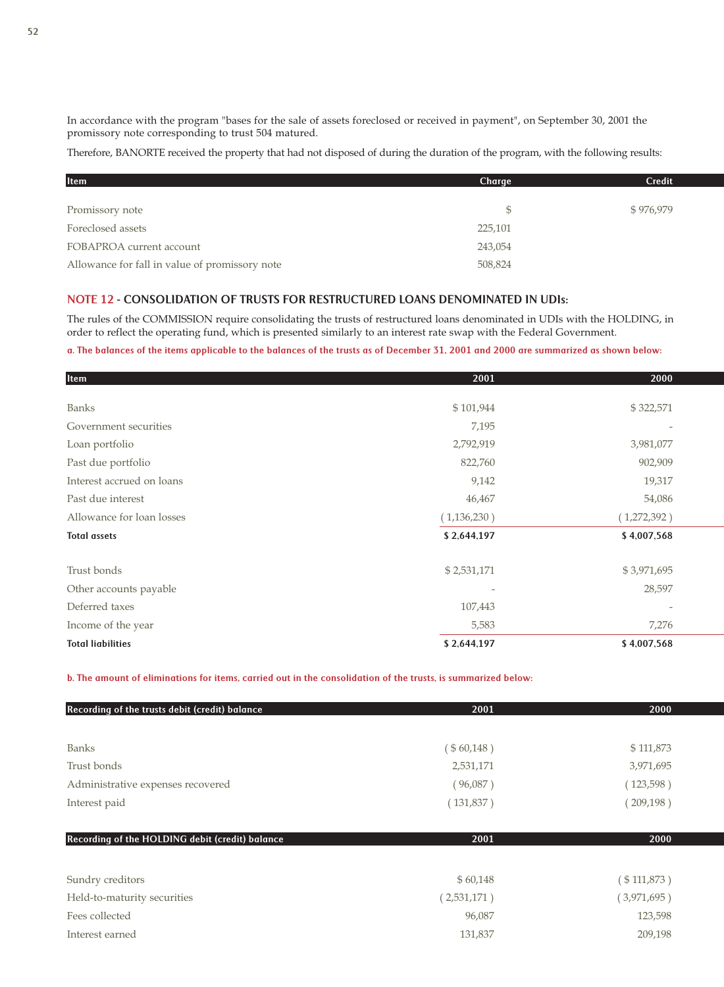In accordance with the program "bases for the sale of assets foreclosed or received in payment", on September 30, 2001 the promissory note corresponding to trust 504 matured.

Therefore, BANORTE received the property that had not disposed of during the duration of the program, with the following results:

| Item                                           | Charge  | <b>Credit</b> |
|------------------------------------------------|---------|---------------|
|                                                |         |               |
| Promissory note                                |         | \$976,979     |
| Foreclosed assets                              | 225,101 |               |
| FOBAPROA current account                       | 243,054 |               |
| Allowance for fall in value of promissory note | 508,824 |               |

## NOTE 12 - CONSOLIDATION OF TRUSTS FOR RESTRUCTURED LOANS DENOMINATED IN UDIs:

The rules of the COMMISSION require consolidating the trusts of restructured loans denominated in UDIs with the HOLDING, in order to reflect the operating fund, which is presented similarly to an interest rate swap with the Federal Government.

## a. The balances of the items applicable to the balances of the trusts as of December 31, 2001 and 2000 are summarized as shown below:

| <b>Item</b>               | 2001        | 2000           |
|---------------------------|-------------|----------------|
|                           |             |                |
| <b>Banks</b>              | \$101,944   | \$322,571      |
| Government securities     | 7,195       |                |
| Loan portfolio            | 2,792,919   | 3,981,077      |
| Past due portfolio        | 822,760     | 902,909        |
| Interest accrued on loans | 9,142       | 19,317         |
| Past due interest         | 46,467      | 54,086         |
| Allowance for loan losses | (1,136,230) | (1,272,392)    |
| <b>Total assets</b>       | \$2,644,197 | \$4,007,568    |
|                           |             |                |
| Trust bonds               | \$2,531,171 | \$3,971,695    |
| Other accounts payable    |             | 28,597         |
| Deferred taxes            | 107,443     | $\overline{a}$ |
| Income of the year        | 5,583       | 7,276          |
| <b>Total liabilities</b>  | \$2,644,197 | \$4,007,568    |

b. The amount of eliminations for items, carried out in the consolidation of the trusts, is summarized below:

| Recording of the trusts debit (credit) balance  | 2001        | 2000           |
|-------------------------------------------------|-------------|----------------|
|                                                 |             |                |
| <b>Banks</b>                                    | (\$60,148)  | \$111,873      |
| Trust bonds                                     | 2,531,171   | 3,971,695      |
| Administrative expenses recovered               | (96,087)    | (123, 598)     |
| Interest paid                                   | (131,837)   | (209, 198)     |
| Recording of the HOLDING debit (credit) balance | 2001        | 2000           |
| Sundry creditors                                | \$60,148    | ( \$ 111,873 ) |
| Held-to-maturity securities                     | (2,531,171) | (3,971,695)    |
| Fees collected                                  | 96,087      | 123,598        |
| Interest earned                                 | 131,837     | 209,198        |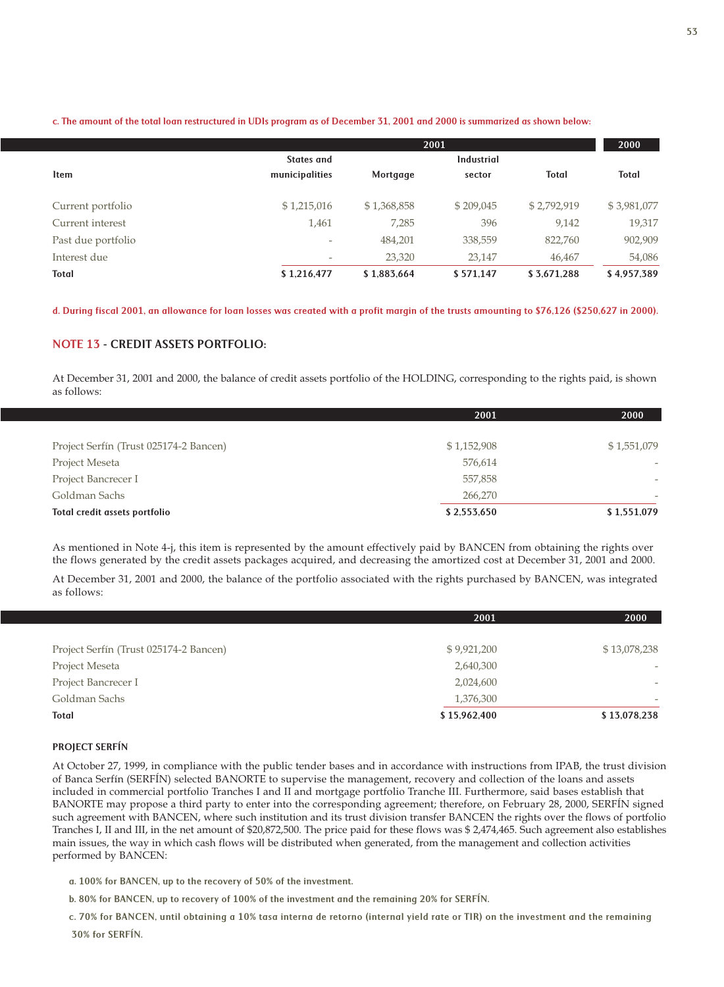c. The amount of the total loan restructured in UDIs program as of December 31, 2001 and 2000 is summarized as shown below:

|                    |                          |             | 2001              |              | 2000         |
|--------------------|--------------------------|-------------|-------------------|--------------|--------------|
|                    | States and               |             | <b>Industrial</b> |              |              |
| <b>Item</b>        | municipalities           | Mortgage    | sector            | <b>Total</b> | <b>Total</b> |
| Current portfolio  | \$1,215,016              | \$1,368,858 | \$209,045         | \$2,792,919  | \$3,981,077  |
| Current interest   | 1,461                    | 7,285       | 396               | 9,142        | 19,317       |
| Past due portfolio | $\overline{\phantom{a}}$ | 484,201     | 338,559           | 822,760      | 902,909      |
| Interest due       | $\overline{\phantom{a}}$ | 23,320      | 23,147            | 46,467       | 54,086       |
| Total              | \$1,216,477              | \$1,883,664 | \$571.147         | \$3,671,288  | \$4,957,389  |

d. During fiscal 2001, an allowance for loan losses was created with a profit margin of the trusts amounting to \$76,126 (\$250,627 in 2000).

## NOTE 13 - CREDIT ASSETS PORTFOLIO:

At December 31, 2001 and 2000, the balance of credit assets portfolio of the HOLDING, corresponding to the rights paid, is shown as follows:

|                                        | 2001        | 2000                     |
|----------------------------------------|-------------|--------------------------|
|                                        |             |                          |
| Project Serfín (Trust 025174-2 Bancen) | \$1,152,908 | \$1,551,079              |
| Project Meseta                         | 576,614     |                          |
| Project Bancrecer I                    | 557,858     | $\overline{\phantom{a}}$ |
| Goldman Sachs                          | 266,270     |                          |
| Total credit assets portfolio          | \$2,553,650 | \$1,551,079              |

As mentioned in Note 4-j, this item is represented by the amount effectively paid by BANCEN from obtaining the rights over the flows generated by the credit assets packages acquired, and decreasing the amortized cost at December 31, 2001 and 2000.

At December 31, 2001 and 2000, the balance of the portfolio associated with the rights purchased by BANCEN, was integrated as follows:

|                                        | 2001         | 2000                     |
|----------------------------------------|--------------|--------------------------|
|                                        |              |                          |
| Project Serfín (Trust 025174-2 Bancen) | \$9,921,200  | \$13,078,238             |
| Project Meseta                         | 2,640,300    | $\overline{\phantom{a}}$ |
| Project Bancrecer I                    | 2,024,600    | $\overline{\phantom{a}}$ |
| Goldman Sachs                          | 1,376,300    | $\overline{\phantom{a}}$ |
| Total                                  | \$15,962,400 | \$13,078,238             |

## PROJECT SERFÍN

At October 27, 1999, in compliance with the public tender bases and in accordance with instructions from IPAB, the trust division of Banca Serfín (SERFÍN) selected BANORTE to supervise the management, recovery and collection of the loans and assets included in commercial portfolio Tranches I and II and mortgage portfolio Tranche III. Furthermore, said bases establish that BANORTE may propose a third party to enter into the corresponding agreement; therefore, on February 28, 2000, SERFÍN signed such agreement with BANCEN, where such institution and its trust division transfer BANCEN the rights over the flows of portfolio Tranches I, II and III, in the net amount of \$20,872,500. The price paid for these flows was \$ 2,474,465. Such agreement also establishes main issues, the way in which cash flows will be distributed when generated, from the management and collection activities performed by BANCEN:

a. 100% for BANCEN, up to the recovery of 50% of the investment.

b. 80% for BANCEN, up to recovery of 100% of the investment and the remaining 20% for SERFÍN.

c. 70% for BANCEN, until obtaining a 10% tasa interna de retorno (internal yield rate or TIR) on the investment and the remaining

30% for SERFÍN.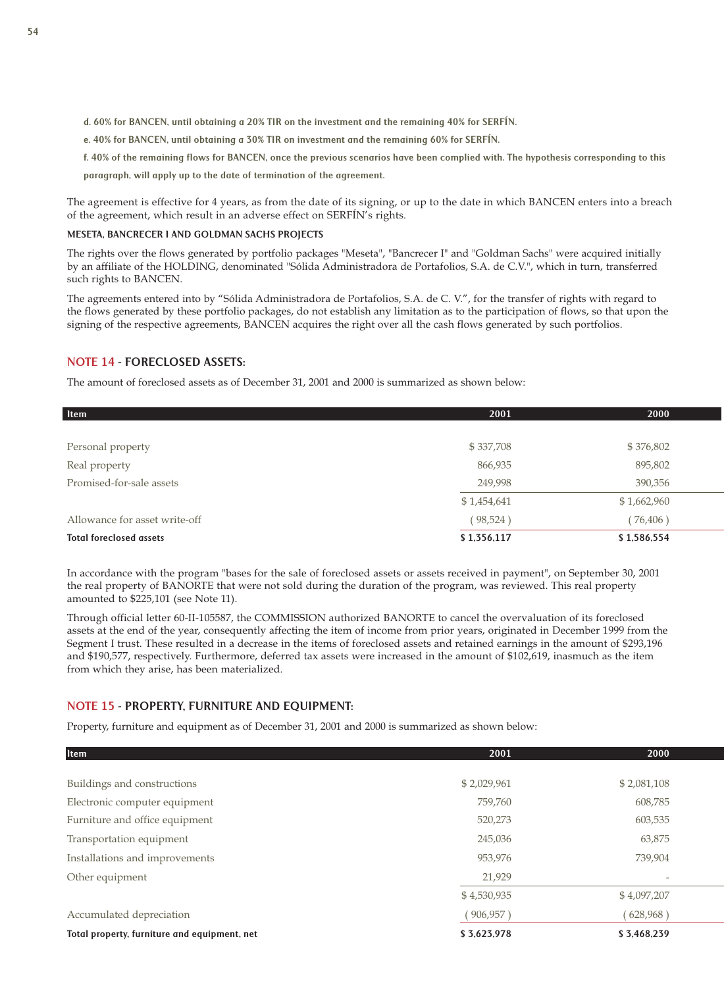d. 60% for BANCEN, until obtaining a 20% TIR on the investment and the remaining 40% for SERFÍN.

- e. 40% for BANCEN, until obtaining a 30% TIR on investment and the remaining 60% for SERFÍN.
- f. 40% of the remaining flows for BANCEN, once the previous scenarios have been complied with. The hypothesis corresponding to this
- paragraph, will apply up to the date of termination of the agreement.

The agreement is effective for 4 years, as from the date of its signing, or up to the date in which BANCEN enters into a breach of the agreement, which result in an adverse effect on SERFÍN's rights.

## MESETA, BANCRECER I AND GOLDMAN SACHS PROJECTS

The rights over the flows generated by portfolio packages "Meseta", "Bancrecer I" and "Goldman Sachs" were acquired initially by an affiliate of the HOLDING, denominated "Sólida Administradora de Portafolios, S.A. de C.V.", which in turn, transferred such rights to BANCEN.

The agreements entered into by "Sólida Administradora de Portafolios, S.A. de C. V.", for the transfer of rights with regard to the flows generated by these portfolio packages, do not establish any limitation as to the participation of flows, so that upon the signing of the respective agreements, BANCEN acquires the right over all the cash flows generated by such portfolios.

## NOTE 14 - FORECLOSED ASSETS:

The amount of foreclosed assets as of December 31, 2001 and 2000 is summarized as shown below:

| ltem                           | 2001        | 2000        |
|--------------------------------|-------------|-------------|
|                                |             |             |
| Personal property              | \$337,708   | \$376,802   |
| Real property                  | 866,935     | 895,802     |
| Promised-for-sale assets       | 249,998     | 390,356     |
|                                | \$1,454,641 | \$1,662,960 |
| Allowance for asset write-off  | (98, 524)   | (76, 406)   |
| <b>Total foreclosed assets</b> | \$1,356,117 | \$1,586,554 |

In accordance with the program "bases for the sale of foreclosed assets or assets received in payment", on September 30, 2001 the real property of BANORTE that were not sold during the duration of the program, was reviewed. This real property amounted to \$225,101 (see Note 11).

Through official letter 60-II-105587, the COMMISSION authorized BANORTE to cancel the overvaluation of its foreclosed assets at the end of the year, consequently affecting the item of income from prior years, originated in December 1999 from the Segment I trust. These resulted in a decrease in the items of foreclosed assets and retained earnings in the amount of \$293,196 and \$190,577, respectively. Furthermore, deferred tax assets were increased in the amount of \$102,619, inasmuch as the item from which they arise, has been materialized.

## NOTE 15 - PROPERTY, FURNITURE AND EQUIPMENT:

Property, furniture and equipment as of December 31, 2001 and 2000 is summarized as shown below:

| <b>Item</b>                                  | 2001        | 2000                     |
|----------------------------------------------|-------------|--------------------------|
|                                              |             |                          |
| Buildings and constructions                  | \$2,029,961 | \$2,081,108              |
| Electronic computer equipment                | 759,760     | 608,785                  |
| Furniture and office equipment               | 520,273     | 603,535                  |
| Transportation equipment                     | 245,036     | 63,875                   |
| Installations and improvements               | 953,976     | 739,904                  |
| Other equipment                              | 21,929      | $\overline{\phantom{a}}$ |
|                                              | \$4,530,935 | \$4,097,207              |
| Accumulated depreciation                     | (906, 957)  | (628,968)                |
| Total property, furniture and equipment, net | \$3,623,978 | \$3,468,239              |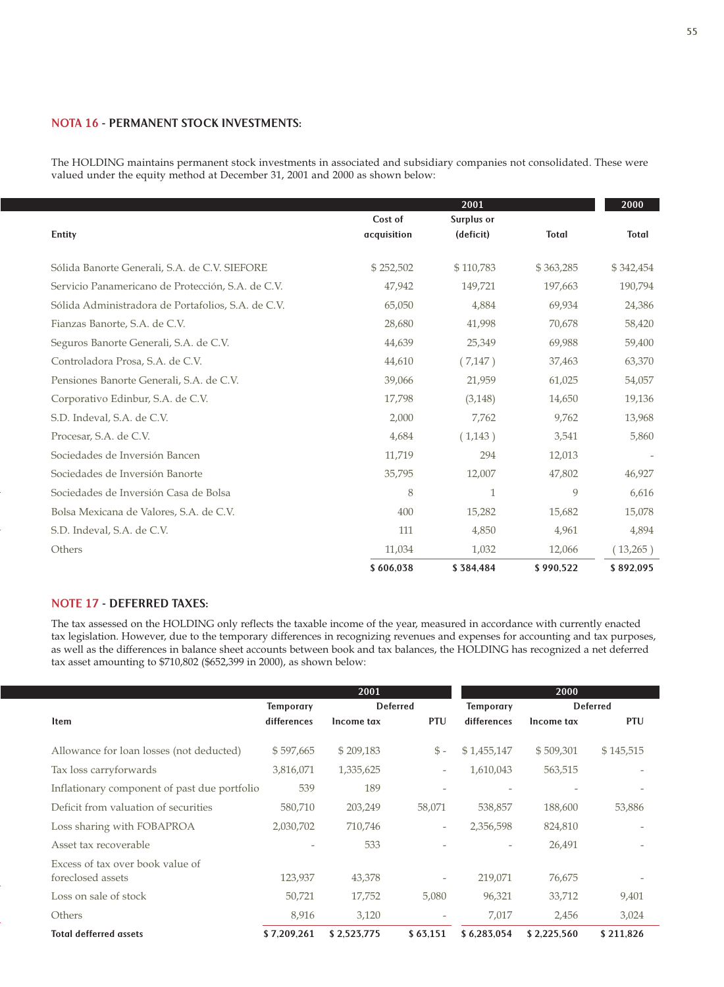## NOTA 16 - PERMANENT STOCK INVESTMENTS:

The HOLDING maintains permanent stock investments in associated and subsidiary companies not consolidated. These were valued under the equity method at December 31, 2001 and 2000 as shown below:

|                                                    |                        | 2001                    |              | 2000         |
|----------------------------------------------------|------------------------|-------------------------|--------------|--------------|
| Entity                                             | Cost of<br>acquisition | Surplus or<br>(deficit) | <b>Total</b> | <b>Total</b> |
| Sólida Banorte Generali, S.A. de C.V. SIEFORE      | \$252,502              | \$110,783               | \$363,285    | \$342,454    |
| Servicio Panamericano de Protección, S.A. de C.V.  | 47,942                 | 149,721                 | 197,663      | 190,794      |
| Sólida Administradora de Portafolios, S.A. de C.V. | 65,050                 | 4,884                   | 69,934       | 24,386       |
| Fianzas Banorte, S.A. de C.V.                      | 28,680                 | 41,998                  | 70,678       | 58,420       |
| Seguros Banorte Generali, S.A. de C.V.             | 44,639                 | 25,349                  | 69,988       | 59,400       |
| Controladora Prosa, S.A. de C.V.                   | 44,610                 | (7,147)                 | 37,463       | 63,370       |
| Pensiones Banorte Generali, S.A. de C.V.           | 39,066                 | 21,959                  | 61,025       | 54,057       |
| Corporativo Edinbur, S.A. de C.V.                  | 17,798                 | (3, 148)                | 14,650       | 19,136       |
| S.D. Indeval, S.A. de C.V.                         | 2,000                  | 7,762                   | 9,762        | 13,968       |
| Procesar, S.A. de C.V.                             | 4,684                  | (1,143)                 | 3,541        | 5,860        |
| Sociedades de Inversión Bancen                     | 11,719                 | 294                     | 12,013       |              |
| Sociedades de Inversión Banorte                    | 35,795                 | 12,007                  | 47,802       | 46,927       |
| Sociedades de Inversión Casa de Bolsa              | 8                      | $\mathbf{1}$            | 9            | 6,616        |
| Bolsa Mexicana de Valores, S.A. de C.V.            | 400                    | 15,282                  | 15,682       | 15,078       |
| S.D. Indeval, S.A. de C.V.                         | 111                    | 4,850                   | 4,961        | 4,894        |
| Others                                             | 11,034                 | 1,032                   | 12,066       | (13,265)     |
|                                                    | \$606,038              | \$384,484               | \$990,522    | \$892,095    |

## NOTE 17 - DEFERRED TAXES:

The tax assessed on the HOLDING only reflects the taxable income of the year, measured in accordance with currently enacted tax legislation. However, due to the temporary differences in recognizing revenues and expenses for accounting and tax purposes, as well as the differences in balance sheet accounts between book and tax balances, the HOLDING has recognized a net deferred tax asset amounting to \$710,802 (\$652,399 in 2000), as shown below:

|                                                       | 2001             |             |                          |                          | 2000            |            |
|-------------------------------------------------------|------------------|-------------|--------------------------|--------------------------|-----------------|------------|
|                                                       | <b>Temporary</b> |             | <b>Deferred</b>          |                          | <b>Deferred</b> |            |
| <b>Item</b>                                           | differences      | Income tax  | <b>PTU</b>               | differences              | Income tax      | <b>PTU</b> |
| Allowance for loan losses (not deducted)              | \$597,665        | \$209,183   | $\mathcal{S}$ -          | \$1,455,147              | \$509,301       | \$145,515  |
| Tax loss carryforwards                                | 3,816,071        | 1,335,625   | $\overline{\phantom{a}}$ | 1,610,043                | 563,515         |            |
| Inflationary component of past due portfolio          | 539              | 189         | $\overline{\phantom{a}}$ |                          |                 |            |
| Deficit from valuation of securities                  | 580,710          | 203,249     | 58,071                   | 538,857                  | 188,600         | 53,886     |
| Loss sharing with FOBAPROA                            | 2,030,702        | 710,746     | $\overline{\phantom{a}}$ | 2,356,598                | 824,810         |            |
| Asset tax recoverable                                 |                  | 533         |                          | $\overline{\phantom{a}}$ | 26,491          |            |
| Excess of tax over book value of<br>foreclosed assets | 123,937          | 43,378      | $\overline{\phantom{a}}$ | 219,071                  | 76,675          |            |
| Loss on sale of stock                                 | 50,721           | 17,752      | 5,080                    | 96,321                   | 33,712          | 9,401      |
| Others                                                | 8,916            | 3,120       | $\overline{\phantom{a}}$ | 7,017                    | 2,456           | 3,024      |
| <b>Total defferred assets</b>                         | \$7,209,261      | \$2,523,775 | \$63,151                 | \$6,283,054              | \$2,225,560     | \$211,826  |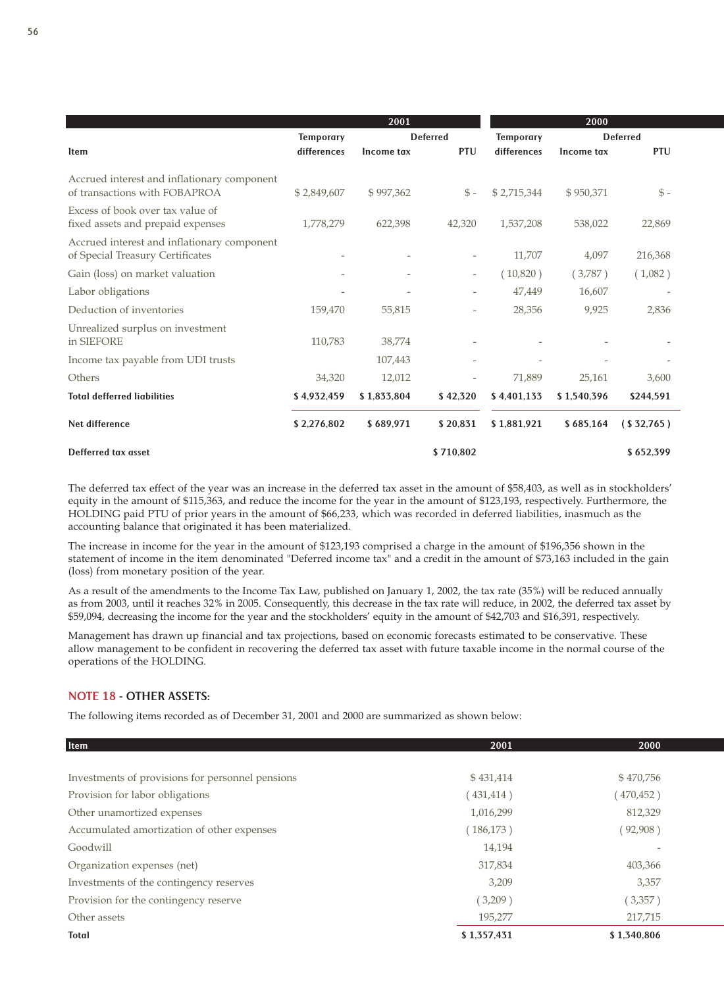|                                                                                 |                  | 2001        |                          |                  | 2000            |                 |
|---------------------------------------------------------------------------------|------------------|-------------|--------------------------|------------------|-----------------|-----------------|
|                                                                                 | <b>Temporary</b> |             | <b>Deferred</b>          | <b>Temporary</b> | <b>Deferred</b> |                 |
| <b>Item</b>                                                                     | differences      | Income tax  | PTU                      | differences      | Income tax      | <b>PTU</b>      |
| Accrued interest and inflationary component<br>of transactions with FOBAPROA    | \$2,849,607      | \$997,362   | $S -$                    | \$2,715,344      | \$950,371       | $\mathcal{S}$ - |
| Excess of book over tax value of<br>fixed assets and prepaid expenses           | 1,778,279        | 622,398     | 42,320                   | 1,537,208        | 538,022         | 22,869          |
| Accrued interest and inflationary component<br>of Special Treasury Certificates |                  |             |                          | 11,707           | 4,097           | 216,368         |
| Gain (loss) on market valuation                                                 |                  |             | $\overline{\phantom{a}}$ | (10,820)         | (3,787)         | (1,082)         |
| Labor obligations                                                               |                  |             |                          | 47,449           | 16,607          |                 |
| Deduction of inventories                                                        | 159,470          | 55,815      |                          | 28,356           | 9,925           | 2,836           |
| Unrealized surplus on investment<br>in SIEFORE                                  | 110,783          | 38,774      |                          |                  |                 |                 |
| Income tax payable from UDI trusts                                              |                  | 107,443     |                          |                  |                 |                 |
| Others                                                                          | 34,320           | 12,012      |                          | 71,889           | 25,161          | 3,600           |
| <b>Total defferred liabilities</b>                                              | \$4,932,459      | \$1,833,804 | \$42,320                 | \$4,401,133      | \$1,540,396     | \$244,591       |
| Net difference                                                                  | \$2,276,802      | \$689,971   | \$20,831                 | \$1,881,921      | \$685,164       | (S32,765)       |
| Defferred tax asset                                                             |                  |             | \$710,802                |                  |                 | \$652,399       |

The deferred tax effect of the year was an increase in the deferred tax asset in the amount of \$58,403, as well as in stockholders' equity in the amount of \$115,363, and reduce the income for the year in the amount of \$123,193, respectively. Furthermore, the HOLDING paid PTU of prior years in the amount of \$66,233, which was recorded in deferred liabilities, inasmuch as the accounting balance that originated it has been materialized.

The increase in income for the year in the amount of \$123,193 comprised a charge in the amount of \$196,356 shown in the statement of income in the item denominated "Deferred income tax" and a credit in the amount of \$73,163 included in the gain (loss) from monetary position of the year.

As a result of the amendments to the Income Tax Law, published on January 1, 2002, the tax rate (35%) will be reduced annually as from 2003, until it reaches 32% in 2005. Consequently, this decrease in the tax rate will reduce, in 2002, the deferred tax asset by \$59,094, decreasing the income for the year and the stockholders' equity in the amount of \$42,703 and \$16,391, respectively.

Management has drawn up financial and tax projections, based on economic forecasts estimated to be conservative. These allow management to be confident in recovering the deferred tax asset with future taxable income in the normal course of the operations of the HOLDING.

## NOTE 18 - OTHER ASSETS:

The following items recorded as of December 31, 2001 and 2000 are summarized as shown below:

| Item                                             | 2001        | 2000        |
|--------------------------------------------------|-------------|-------------|
| Investments of provisions for personnel pensions | \$431,414   | \$470,756   |
| Provision for labor obligations                  | (431, 414)  | 470,452)    |
| Other unamortized expenses                       | 1,016,299   | 812,329     |
| Accumulated amortization of other expenses       | (186, 173)  | (92,908)    |
| Goodwill                                         | 14,194      |             |
| Organization expenses (net)                      | 317,834     | 403,366     |
| Investments of the contingency reserves          | 3,209       | 3,357       |
| Provision for the contingency reserve            | (3,209)     | (3,357)     |
| Other assets                                     | 195,277     | 217,715     |
| <b>Total</b>                                     | \$1,357,431 | \$1.340.806 |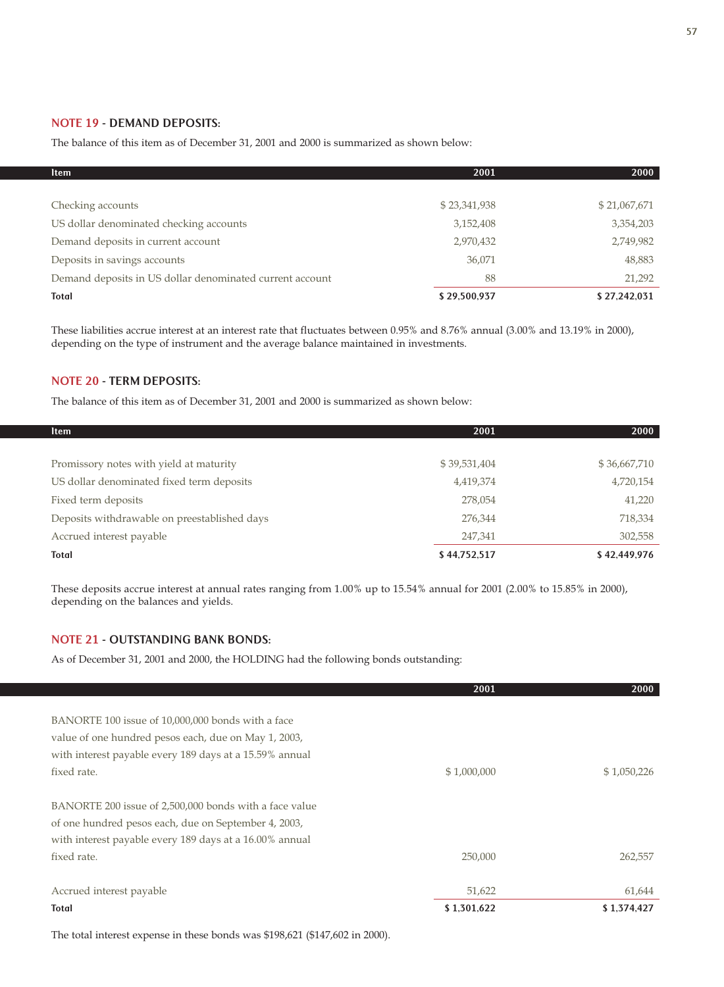## NOTE 19 - DEMAND DEPOSITS:

The balance of this item as of December 31, 2001 and 2000 is summarized as shown below:

| <b>Item</b>                                              | 2001         | 2000         |
|----------------------------------------------------------|--------------|--------------|
|                                                          |              |              |
| Checking accounts                                        | \$23,341,938 | \$21,067,671 |
| US dollar denominated checking accounts                  | 3,152,408    | 3,354,203    |
| Demand deposits in current account                       | 2,970,432    | 2,749,982    |
| Deposits in savings accounts                             | 36,071       | 48,883       |
| Demand deposits in US dollar denominated current account | 88           | 21,292       |
| Total                                                    | \$29,500,937 | \$27,242,031 |

These liabilities accrue interest at an interest rate that fluctuates between 0.95% and 8.76% annual (3.00% and 13.19% in 2000), depending on the type of instrument and the average balance maintained in investments.

## NOTE 20 - TERM DEPOSITS:

The balance of this item as of December 31, 2001 and 2000 is summarized as shown below:

| <b>Item</b>                                  | 2001         | 2000         |
|----------------------------------------------|--------------|--------------|
|                                              |              |              |
| Promissory notes with yield at maturity      | \$39,531,404 | \$36,667,710 |
| US dollar denominated fixed term deposits    | 4,419,374    | 4,720,154    |
| Fixed term deposits                          | 278,054      | 41,220       |
| Deposits withdrawable on preestablished days | 276,344      | 718,334      |
| Accrued interest payable                     | 247,341      | 302,558      |
| <b>Total</b>                                 | \$44,752,517 | \$42,449,976 |

These deposits accrue interest at annual rates ranging from 1.00% up to 15.54% annual for 2001 (2.00% to 15.85% in 2000), depending on the balances and yields.

## NOTE 21 - OUTSTANDING BANK BONDS:

As of December 31, 2001 and 2000, the HOLDING had the following bonds outstanding:

|                                                         | 2001        | 2000        |
|---------------------------------------------------------|-------------|-------------|
|                                                         |             |             |
| BANORTE 100 issue of 10,000,000 bonds with a face       |             |             |
| value of one hundred pesos each, due on May 1, 2003,    |             |             |
| with interest payable every 189 days at a 15.59% annual |             |             |
| fixed rate.                                             | \$1,000,000 | \$1,050,226 |
|                                                         |             |             |
| BANORTE 200 issue of 2,500,000 bonds with a face value  |             |             |
| of one hundred pesos each, due on September 4, 2003,    |             |             |
| with interest payable every 189 days at a 16.00% annual |             |             |
| fixed rate.                                             | 250,000     | 262,557     |
|                                                         |             |             |
| Accrued interest payable                                | 51,622      | 61,644      |
| <b>Total</b>                                            | \$1,301,622 | \$1,374,427 |

The total interest expense in these bonds was \$198,621 (\$147,602 in 2000).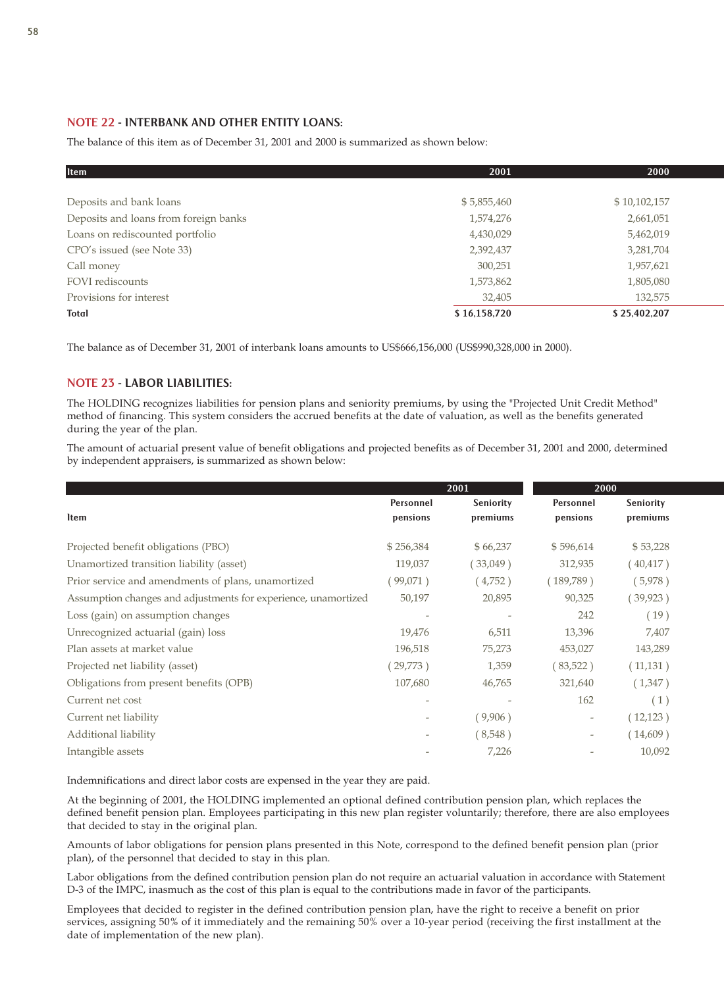## NOTE 22 - INTERBANK AND OTHER ENTITY LOANS:

The balance of this item as of December 31, 2001 and 2000 is summarized as shown below:

| <b>Item</b>                           | 2001         | 2000         |
|---------------------------------------|--------------|--------------|
|                                       |              |              |
| Deposits and bank loans               | \$5,855,460  | \$10,102,157 |
| Deposits and loans from foreign banks | 1,574,276    | 2,661,051    |
| Loans on rediscounted portfolio       | 4,430,029    | 5,462,019    |
| CPO's issued (see Note 33)            | 2,392,437    | 3,281,704    |
| Call money                            | 300,251      | 1,957,621    |
| FOVI rediscounts                      | 1,573,862    | 1,805,080    |
| Provisions for interest               | 32,405       | 132,575      |
| Total                                 | \$16,158,720 | \$25,402,207 |

The balance as of December 31, 2001 of interbank loans amounts to US\$666,156,000 (US\$990,328,000 in 2000).

## NOTE 23 - LABOR LIABILITIES:

The HOLDING recognizes liabilities for pension plans and seniority premiums, by using the "Projected Unit Credit Method" method of financing. This system considers the accrued benefits at the date of valuation, as well as the benefits generated during the year of the plan.

The amount of actuarial present value of benefit obligations and projected benefits as of December 31, 2001 and 2000, determined by independent appraisers, is summarized as shown below:

|                                                                |                          | 2001                     | 2000                     |           |
|----------------------------------------------------------------|--------------------------|--------------------------|--------------------------|-----------|
|                                                                | Personnel                | Seniority                | Personnel                | Seniority |
| Item                                                           | pensions                 | premiums                 | pensions                 | premiums  |
| Projected benefit obligations (PBO)                            | \$256,384                | \$66,237                 | \$596,614                | \$53,228  |
| Unamortized transition liability (asset)                       | 119,037                  | $33,049$ )               | 312,935                  | (40, 417) |
| Prior service and amendments of plans, unamortized             | 99,071)                  | (4,752)                  | (189,789)                | (5,978)   |
| Assumption changes and adjustments for experience, unamortized | 50,197                   | 20,895                   | 90,325                   | (39, 923) |
| Loss (gain) on assumption changes                              |                          |                          | 242                      | (19)      |
| Unrecognized actuarial (gain) loss                             | 19,476                   | 6,511                    | 13,396                   | 7,407     |
| Plan assets at market value                                    | 196,518                  | 75,273                   | 453,027                  | 143,289   |
| Projected net liability (asset)                                | 29,773)                  | 1,359                    | 83,522)                  | (11,131)  |
| Obligations from present benefits (OPB)                        | 107,680                  | 46,765                   | 321,640                  | (1,347)   |
| Current net cost                                               | $\overline{\phantom{a}}$ | $\overline{\phantom{a}}$ | 162                      | (1)       |
| Current net liability                                          |                          | (9,906)                  | $\overline{\phantom{a}}$ | (12, 123) |
| Additional liability                                           |                          | (8,548)                  | $\overline{\phantom{a}}$ | (14,609)  |
| Intangible assets                                              |                          | 7,226                    |                          | 10,092    |

Indemnifications and direct labor costs are expensed in the year they are paid.

At the beginning of 2001, the HOLDING implemented an optional defined contribution pension plan, which replaces the defined benefit pension plan. Employees participating in this new plan register voluntarily; therefore, there are also employees that decided to stay in the original plan.

Amounts of labor obligations for pension plans presented in this Note, correspond to the defined benefit pension plan (prior plan), of the personnel that decided to stay in this plan.

Labor obligations from the defined contribution pension plan do not require an actuarial valuation in accordance with Statement D-3 of the IMPC, inasmuch as the cost of this plan is equal to the contributions made in favor of the participants.

Employees that decided to register in the defined contribution pension plan, have the right to receive a benefit on prior services, assigning 50% of it immediately and the remaining 50% over a 10-year period (receiving the first installment at the date of implementation of the new plan).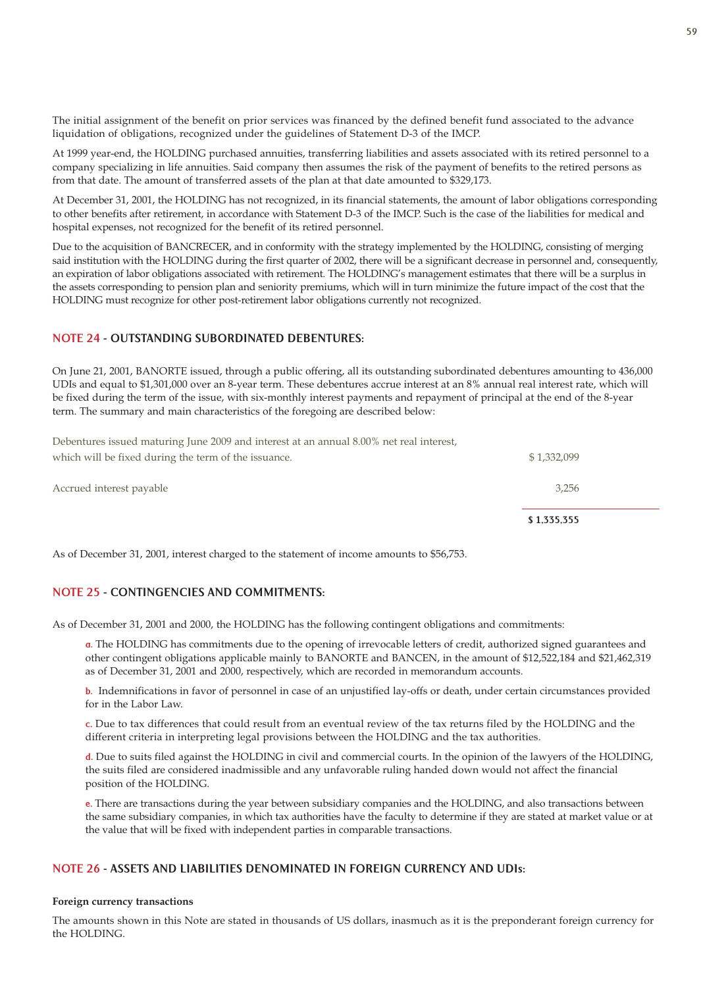The initial assignment of the benefit on prior services was financed by the defined benefit fund associated to the advance liquidation of obligations, recognized under the guidelines of Statement D-3 of the IMCP.

At 1999 year-end, the HOLDING purchased annuities, transferring liabilities and assets associated with its retired personnel to a company specializing in life annuities. Said company then assumes the risk of the payment of benefits to the retired persons as from that date. The amount of transferred assets of the plan at that date amounted to \$329,173.

At December 31, 2001, the HOLDING has not recognized, in its financial statements, the amount of labor obligations corresponding to other benefits after retirement, in accordance with Statement D-3 of the IMCP. Such is the case of the liabilities for medical and hospital expenses, not recognized for the benefit of its retired personnel.

Due to the acquisition of BANCRECER, and in conformity with the strategy implemented by the HOLDING, consisting of merging said institution with the HOLDING during the first quarter of 2002, there will be a significant decrease in personnel and, consequently, an expiration of labor obligations associated with retirement. The HOLDING's management estimates that there will be a surplus in the assets corresponding to pension plan and seniority premiums, which will in turn minimize the future impact of the cost that the HOLDING must recognize for other post-retirement labor obligations currently not recognized.

## NOTE 24 - OUTSTANDING SUBORDINATED DEBENTURES:

On June 21, 2001, BANORTE issued, through a public offering, all its outstanding subordinated debentures amounting to 436,000 UDIs and equal to \$1,301,000 over an 8-year term. These debentures accrue interest at an 8% annual real interest rate, which will be fixed during the term of the issue, with six-monthly interest payments and repayment of principal at the end of the 8-year term. The summary and main characteristics of the foregoing are described below:

Debentures issued maturing June 2009 and interest at an annual 8.00% net real interest, which will be fixed during the term of the issuance.  $$ 1,332,099$ 

|                                                      | \$1,335,355 |  |
|------------------------------------------------------|-------------|--|
| Accrued interest payable                             | 3,256       |  |
| which will be fixed during the term of the issuance. | \$1,332,099 |  |

As of December 31, 2001, interest charged to the statement of income amounts to \$56,753.

## NOTE 25 - CONTINGENCIES AND COMMITMENTS:

As of December 31, 2001 and 2000, the HOLDING has the following contingent obligations and commitments:

a. The HOLDING has commitments due to the opening of irrevocable letters of credit, authorized signed guarantees and other contingent obligations applicable mainly to BANORTE and BANCEN, in the amount of \$12,522,184 and \$21,462,319 as of December 31, 2001 and 2000, respectively, which are recorded in memorandum accounts.

b. Indemnifications in favor of personnel in case of an unjustified lay-offs or death, under certain circumstances provided for in the Labor Law.

c. Due to tax differences that could result from an eventual review of the tax returns filed by the HOLDING and the different criteria in interpreting legal provisions between the HOLDING and the tax authorities.

d. Due to suits filed against the HOLDING in civil and commercial courts. In the opinion of the lawyers of the HOLDING, the suits filed are considered inadmissible and any unfavorable ruling handed down would not affect the financial position of the HOLDING.

e. There are transactions during the year between subsidiary companies and the HOLDING, and also transactions between the same subsidiary companies, in which tax authorities have the faculty to determine if they are stated at market value or at the value that will be fixed with independent parties in comparable transactions.

## NOTE 26 - ASSETS AND LIABILITIES DENOMINATED IN FOREIGN CURRENCY AND UDIs:

#### **Foreign currency transactions**

The amounts shown in this Note are stated in thousands of US dollars, inasmuch as it is the preponderant foreign currency for the HOLDING.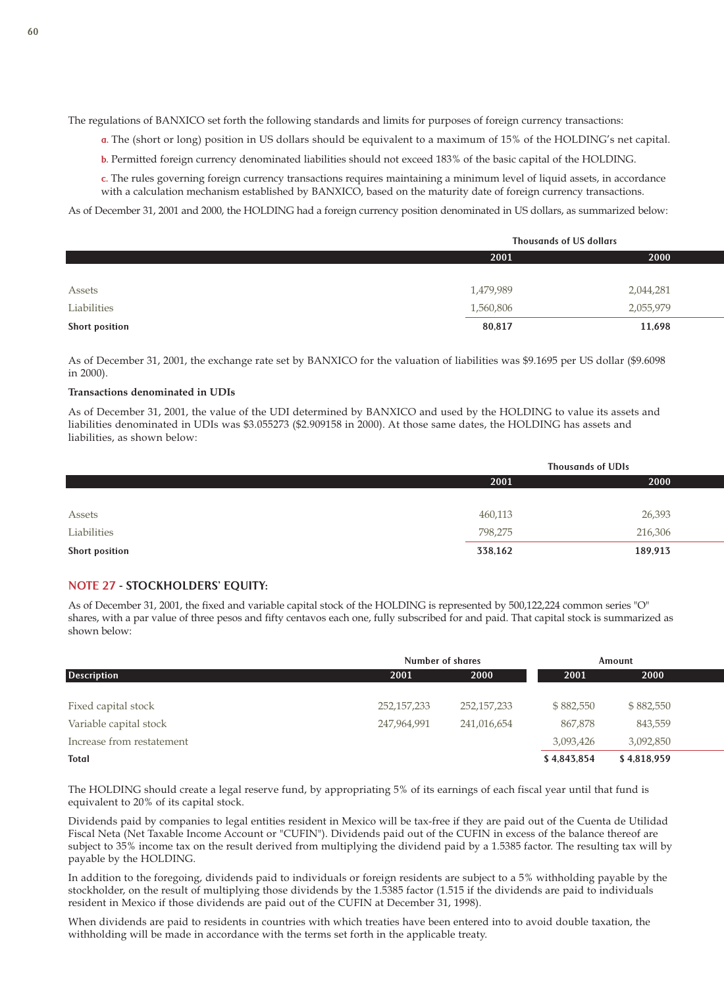The regulations of BANXICO set forth the following standards and limits for purposes of foreign currency transactions:

a. The (short or long) position in US dollars should be equivalent to a maximum of 15% of the HOLDING's net capital.

b. Permitted foreign currency denominated liabilities should not exceed 183% of the basic capital of the HOLDING.

c. The rules governing foreign currency transactions requires maintaining a minimum level of liquid assets, in accordance with a calculation mechanism established by BANXICO, based on the maturity date of foreign currency transactions.

As of December 31, 2001 and 2000, the HOLDING had a foreign currency position denominated in US dollars, as summarized below:

|                | <b>Thousands of US dollars</b> |           |  |
|----------------|--------------------------------|-----------|--|
|                | 2001                           |           |  |
|                |                                |           |  |
| Assets         | 1,479,989                      | 2,044,281 |  |
| Liabilities    | 1,560,806                      | 2,055,979 |  |
| Short position | 80,817                         | 11,698    |  |

As of December 31, 2001, the exchange rate set by BANXICO for the valuation of liabilities was \$9.1695 per US dollar (\$9.6098 in 2000).

### **Transactions denominated in UDIs**

As of December 31, 2001, the value of the UDI determined by BANXICO and used by the HOLDING to value its assets and liabilities denominated in UDIs was \$3.055273 (\$2.909158 in 2000). At those same dates, the HOLDING has assets and liabilities, as shown below:

|                | <b>Thousands of UDIs</b> |         |  |
|----------------|--------------------------|---------|--|
|                | 2000<br>2001             |         |  |
|                |                          |         |  |
| Assets         | 460,113                  | 26,393  |  |
| Liabilities    | 798,275                  | 216,306 |  |
| Short position | 338,162                  | 189,913 |  |

## NOTE 27 - STOCKHOLDERS' EQUITY:

As of December 31, 2001, the fixed and variable capital stock of the HOLDING is represented by 500,122,224 common series "O" shares, with a par value of three pesos and fifty centavos each one, fully subscribed for and paid. That capital stock is summarized as shown below:

|                           | <b>Number of shares</b> |               |             | Amount      |
|---------------------------|-------------------------|---------------|-------------|-------------|
| <b>Description</b>        | 2001                    | 2000          | 2001        | 2000        |
|                           |                         |               |             |             |
| Fixed capital stock       | 252, 157, 233           | 252, 157, 233 | \$882,550   | \$882,550   |
| Variable capital stock    | 247,964,991             | 241,016,654   | 867,878     | 843,559     |
| Increase from restatement |                         |               | 3,093,426   | 3,092,850   |
| <b>Total</b>              |                         |               | \$4,843,854 | \$4,818,959 |

The HOLDING should create a legal reserve fund, by appropriating 5% of its earnings of each fiscal year until that fund is equivalent to 20% of its capital stock.

Dividends paid by companies to legal entities resident in Mexico will be tax-free if they are paid out of the Cuenta de Utilidad Fiscal Neta (Net Taxable Income Account or "CUFIN"). Dividends paid out of the CUFIN in excess of the balance thereof are subject to 35% income tax on the result derived from multiplying the dividend paid by a 1.5385 factor. The resulting tax will by payable by the HOLDING.

In addition to the foregoing, dividends paid to individuals or foreign residents are subject to a 5% withholding payable by the stockholder, on the result of multiplying those dividends by the 1.5385 factor (1.515 if the dividends are paid to individuals resident in Mexico if those dividends are paid out of the CUFIN at December 31, 1998).

When dividends are paid to residents in countries with which treaties have been entered into to avoid double taxation, the withholding will be made in accordance with the terms set forth in the applicable treaty.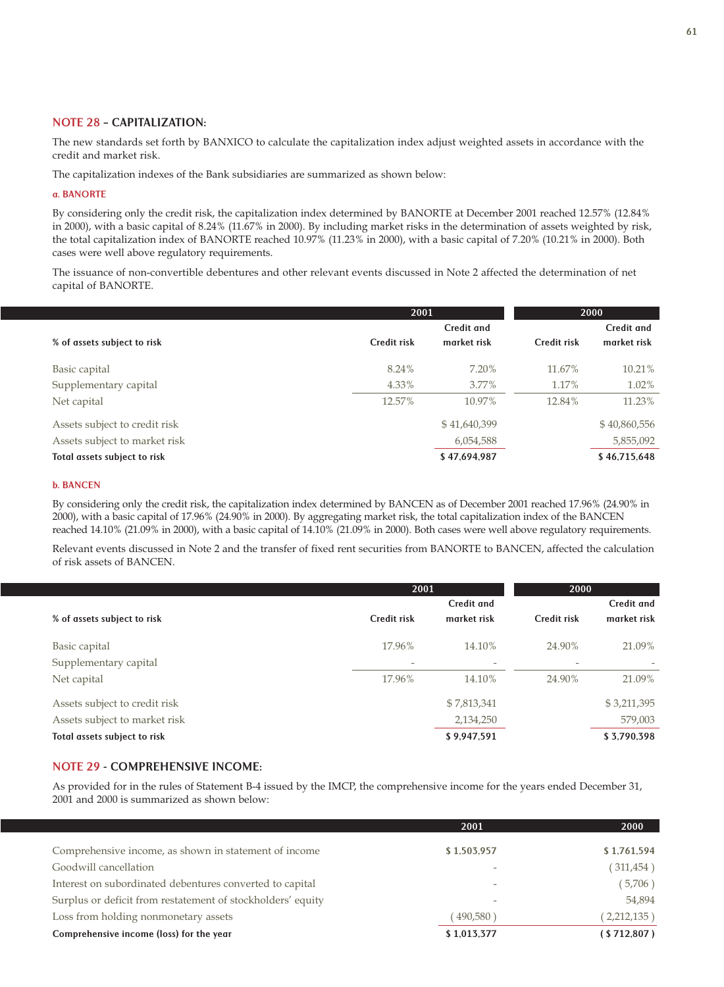## NOTE 28 – CAPITALIZATION:

The new standards set forth by BANXICO to calculate the capitalization index adjust weighted assets in accordance with the credit and market risk.

The capitalization indexes of the Bank subsidiaries are summarized as shown below:

### a. BANORTE

By considering only the credit risk, the capitalization index determined by BANORTE at December 2001 reached 12.57% (12.84% in 2000), with a basic capital of 8.24% (11.67% in 2000). By including market risks in the determination of assets weighted by risk, the total capitalization index of BANORTE reached 10.97% (11.23% in 2000), with a basic capital of 7.20% (10.21% in 2000). Both cases were well above regulatory requirements.

The issuance of non-convertible debentures and other relevant events discussed in Note 2 affected the determination of net capital of BANORTE.

|                               | 2001        |                   | 2000              |              |  |
|-------------------------------|-------------|-------------------|-------------------|--------------|--|
|                               |             | <b>Credit and</b> | <b>Credit and</b> |              |  |
| % of assets subject to risk   | Credit risk | market risk       | Credit risk       | market risk  |  |
| Basic capital                 | 8.24%       | 7.20%             | 11.67%            | 10.21%       |  |
| Supplementary capital         | 4.33%       | $3.77\%$          | 1.17%             | $1.02\%$     |  |
| Net capital                   | 12.57%      | 10.97%            | 12.84%            | 11.23%       |  |
| Assets subject to credit risk |             | \$41,640,399      |                   | \$40,860,556 |  |
| Assets subject to market risk |             | 6,054,588         |                   | 5,855,092    |  |
| Total assets subject to risk  |             | \$47,694,987      |                   | \$46,715,648 |  |

## b. BANCEN

By considering only the credit risk, the capitalization index determined by BANCEN as of December 2001 reached 17.96% (24.90% in 2000), with a basic capital of 17.96% (24.90% in 2000). By aggregating market risk, the total capitalization index of the BANCEN reached 14.10% (21.09% in 2000), with a basic capital of 14.10% (21.09% in 2000). Both cases were well above regulatory requirements.

Relevant events discussed in Note 2 and the transfer of fixed rent securities from BANORTE to BANCEN, affected the calculation of risk assets of BANCEN.

|                               | 2001                     |                   | 2000        |                   |
|-------------------------------|--------------------------|-------------------|-------------|-------------------|
|                               |                          | <b>Credit and</b> |             | <b>Credit and</b> |
| % of assets subject to risk   | Credit risk              | market risk       | Credit risk | market risk       |
| Basic capital                 | 17.96%                   | 14.10%            | 24.90%      | 21.09%            |
| Supplementary capital         | $\overline{\phantom{a}}$ | -                 |             |                   |
| Net capital                   | 17.96%                   | 14.10%            | 24.90%      | 21.09%            |
| Assets subject to credit risk |                          | \$7,813,341       |             | \$3,211,395       |
| Assets subject to market risk |                          | 2,134,250         |             | 579,003           |
| Total assets subject to risk  |                          | \$9,947,591       |             | \$3,790,398       |

## NOTE 29 - COMPREHENSIVE INCOME:

As provided for in the rules of Statement B-4 issued by the IMCP, the comprehensive income for the years ended December 31, 2001 and 2000 is summarized as shown below:

|                                                             | 2001        | 2000        |
|-------------------------------------------------------------|-------------|-------------|
|                                                             |             |             |
| Comprehensive income, as shown in statement of income       | \$1,503,957 | \$1,761,594 |
| Goodwill cancellation                                       |             | (311, 454)  |
| Interest on subordinated debentures converted to capital    |             | (5,706)     |
| Surplus or deficit from restatement of stockholders' equity |             | 54,894      |
| Loss from holding nonmonetary assets                        | (490,580)   | (2,212,135) |
| Comprehensive income (loss) for the year                    | \$1,013,377 | (S712,807)  |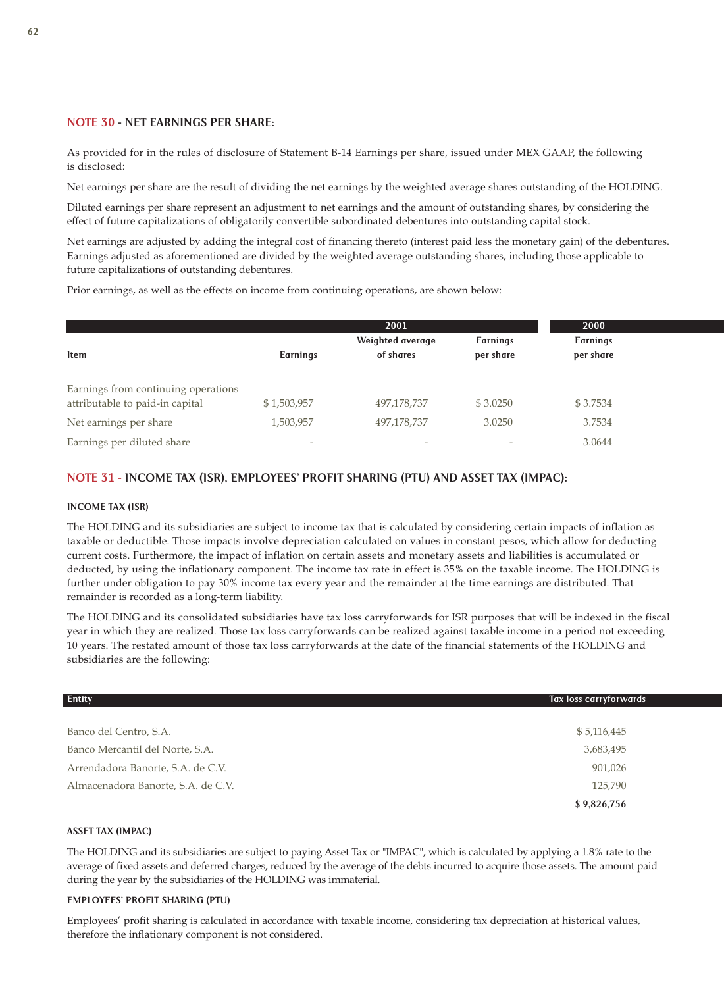## NOTE 30 - NET EARNINGS PER SHARE:

As provided for in the rules of disclosure of Statement B-14 Earnings per share, issued under MEX GAAP, the following is disclosed:

Net earnings per share are the result of dividing the net earnings by the weighted average shares outstanding of the HOLDING.

Diluted earnings per share represent an adjustment to net earnings and the amount of outstanding shares, by considering the effect of future capitalizations of obligatorily convertible subordinated debentures into outstanding capital stock.

Net earnings are adjusted by adding the integral cost of financing thereto (interest paid less the monetary gain) of the debentures. Earnings adjusted as aforementioned are divided by the weighted average outstanding shares, including those applicable to future capitalizations of outstanding debentures.

Prior earnings, as well as the effects on income from continuing operations, are shown below:

|                                                                        |                          | 2001                          |                              | 2000                         |
|------------------------------------------------------------------------|--------------------------|-------------------------------|------------------------------|------------------------------|
| <b>Item</b>                                                            | <b>Earnings</b>          | Weighted average<br>of shares | <b>Earnings</b><br>per share | <b>Earnings</b><br>per share |
| Earnings from continuing operations<br>attributable to paid-in capital | \$1,503,957              | 497,178,737                   | \$3.0250                     | \$3.7534                     |
| Net earnings per share                                                 | 1,503,957                | 497,178,737                   | 3.0250                       | 3.7534                       |
| Earnings per diluted share                                             | $\overline{\phantom{a}}$ |                               |                              | 3.0644                       |

## NOTE 31 - INCOME TAX (ISR), EMPLOYEES' PROFIT SHARING (PTU) AND ASSET TAX (IMPAC):

#### INCOME TAX (ISR)

The HOLDING and its subsidiaries are subject to income tax that is calculated by considering certain impacts of inflation as taxable or deductible. Those impacts involve depreciation calculated on values in constant pesos, which allow for deducting current costs. Furthermore, the impact of inflation on certain assets and monetary assets and liabilities is accumulated or deducted, by using the inflationary component. The income tax rate in effect is 35% on the taxable income. The HOLDING is further under obligation to pay 30% income tax every year and the remainder at the time earnings are distributed. That remainder is recorded as a long-term liability.

The HOLDING and its consolidated subsidiaries have tax loss carryforwards for ISR purposes that will be indexed in the fiscal year in which they are realized. Those tax loss carryforwards can be realized against taxable income in a period not exceeding 10 years. The restated amount of those tax loss carryforwards at the date of the financial statements of the HOLDING and subsidiaries are the following:

| <b>Entity</b>                      | <b>Tax loss carryforwards</b> |
|------------------------------------|-------------------------------|
|                                    |                               |
| Banco del Centro, S.A.             | \$5,116,445                   |
| Banco Mercantil del Norte, S.A.    | 3,683,495                     |
| Arrendadora Banorte, S.A. de C.V.  | 901,026                       |
| Almacenadora Banorte, S.A. de C.V. | 125,790                       |
|                                    | \$9,826,756                   |

### ASSET TAX (IMPAC)

The HOLDING and its subsidiaries are subject to paying Asset Tax or "IMPAC", which is calculated by applying a 1.8% rate to the average of fixed assets and deferred charges, reduced by the average of the debts incurred to acquire those assets. The amount paid during the year by the subsidiaries of the HOLDING was immaterial.

## EMPLOYEES' PROFIT SHARING (PTU)

Employees' profit sharing is calculated in accordance with taxable income, considering tax depreciation at historical values, therefore the inflationary component is not considered.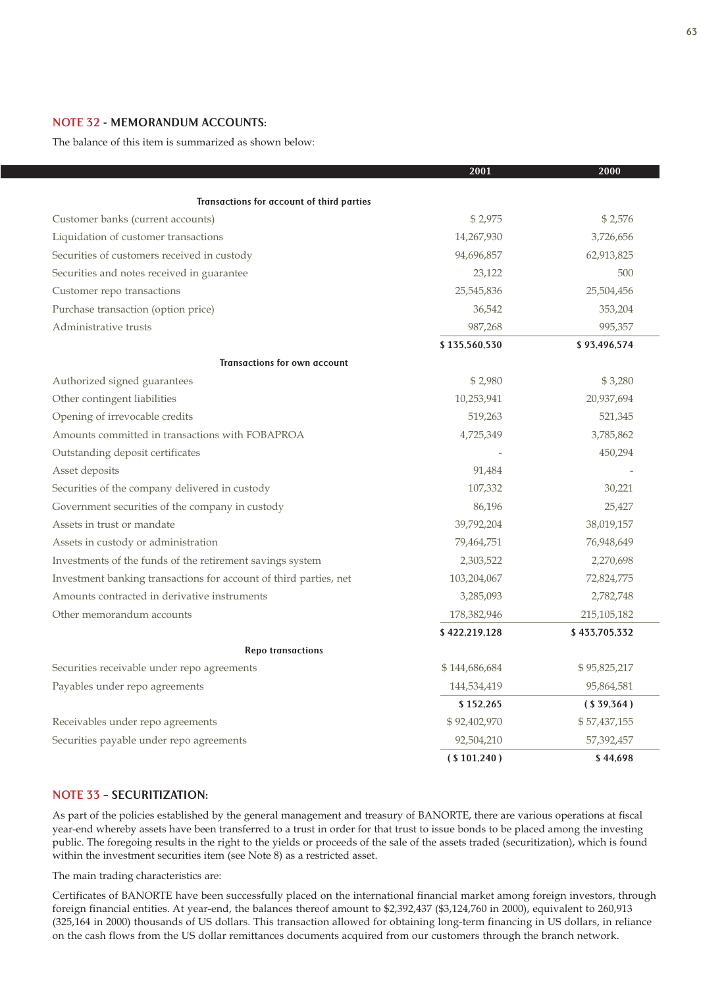## NOTE 32 - MEMORANDUM ACCOUNTS:

The balance of this item is summarized as shown below:

|                                                                   | 2001          | 2000          |
|-------------------------------------------------------------------|---------------|---------------|
| Transactions for account of third parties                         |               |               |
|                                                                   | \$2,975       | \$2,576       |
| Customer banks (current accounts)                                 |               |               |
| Liquidation of customer transactions                              | 14,267,930    | 3,726,656     |
| Securities of customers received in custody                       | 94,696,857    | 62,913,825    |
| Securities and notes received in guarantee                        | 23,122        | 500           |
| Customer repo transactions                                        | 25,545,836    | 25,504,456    |
| Purchase transaction (option price)                               | 36,542        | 353,204       |
| Administrative trusts                                             | 987,268       | 995,357       |
|                                                                   | \$135,560,530 | \$93,496,574  |
| <b>Transactions for own account</b>                               |               |               |
| Authorized signed guarantees                                      | \$2,980       | \$3,280       |
| Other contingent liabilities                                      | 10,253,941    | 20,937,694    |
| Opening of irrevocable credits                                    | 519,263       | 521,345       |
| Amounts committed in transactions with FOBAPROA                   | 4,725,349     | 3,785,862     |
| Outstanding deposit certificates                                  |               | 450,294       |
| Asset deposits                                                    | 91,484        |               |
| Securities of the company delivered in custody                    | 107,332       | 30,221        |
| Government securities of the company in custody                   | 86,196        | 25,427        |
| Assets in trust or mandate                                        | 39,792,204    | 38,019,157    |
| Assets in custody or administration                               | 79,464,751    | 76,948,649    |
| Investments of the funds of the retirement savings system         | 2,303,522     | 2,270,698     |
| Investment banking transactions for account of third parties, net | 103,204,067   | 72,824,775    |
| Amounts contracted in derivative instruments                      | 3,285,093     | 2,782,748     |
| Other memorandum accounts                                         | 178,382,946   | 215,105,182   |
|                                                                   | \$422,219,128 | \$433,705,332 |
| <b>Repo transactions</b>                                          |               |               |
| Securities receivable under repo agreements                       | \$144,686,684 | \$95,825,217  |
| Payables under repo agreements                                    | 144,534,419   | 95,864,581    |
|                                                                   | \$152,265     | (S39,364)     |
| Receivables under repo agreements                                 | \$92,402,970  | \$57,437,155  |
| Securities payable under repo agreements                          | 92,504,210    | 57,392,457    |
|                                                                   | ( \$101,240 ) | \$44,698      |

## NOTE 33 – SECURITIZATION:

As part of the policies established by the general management and treasury of BANORTE, there are various operations at fiscal year-end whereby assets have been transferred to a trust in order for that trust to issue bonds to be placed among the investing public. The foregoing results in the right to the yields or proceeds of the sale of the assets traded (securitization), which is found within the investment securities item (see Note 8) as a restricted asset.

The main trading characteristics are:

Certificates of BANORTE have been successfully placed on the international financial market among foreign investors, through foreign financial entities. At year-end, the balances thereof amount to \$2,392,437 (\$3,124,760 in 2000), equivalent to 260,913 (325,164 in 2000) thousands of US dollars. This transaction allowed for obtaining long-term financing in US dollars, in reliance on the cash flows from the US dollar remittances documents acquired from our customers through the branch network.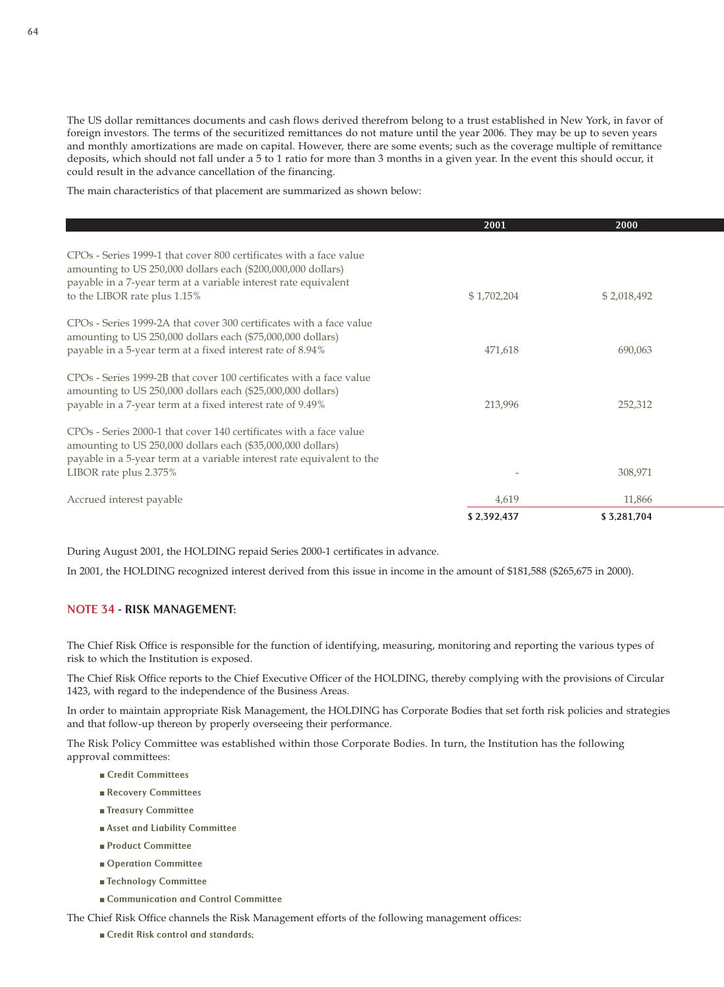The US dollar remittances documents and cash flows derived therefrom belong to a trust established in New York, in favor of foreign investors. The terms of the securitized remittances do not mature until the year 2006. They may be up to seven years and monthly amortizations are made on capital. However, there are some events; such as the coverage multiple of remittance deposits, which should not fall under a 5 to 1 ratio for more than 3 months in a given year. In the event this should occur, it could result in the advance cancellation of the financing.

The main characteristics of that placement are summarized as shown below:

|                                                                                                                                                                                                                                                   | 2001        | 2000        |
|---------------------------------------------------------------------------------------------------------------------------------------------------------------------------------------------------------------------------------------------------|-------------|-------------|
| CPO <sub>s</sub> - Series 1999-1 that cover 800 certificates with a face value<br>amounting to US 250,000 dollars each (\$200,000,000 dollars)<br>payable in a 7-year term at a variable interest rate equivalent<br>to the LIBOR rate plus 1.15% | \$1,702,204 | \$2,018,492 |
| CPO <sub>s</sub> - Series 1999-2A that cover 300 certificates with a face value<br>amounting to US 250,000 dollars each (\$75,000,000 dollars)<br>payable in a 5-year term at a fixed interest rate of 8.94%                                      | 471,618     | 690,063     |
| CPOs - Series 1999-2B that cover 100 certificates with a face value<br>amounting to US 250,000 dollars each (\$25,000,000 dollars)<br>payable in a 7-year term at a fixed interest rate of 9.49%                                                  | 213,996     | 252,312     |
| CPOs - Series 2000-1 that cover 140 certificates with a face value<br>amounting to US 250,000 dollars each (\$35,000,000 dollars)<br>payable in a 5-year term at a variable interest rate equivalent to the<br>LIBOR rate plus 2.375%             |             | 308,971     |
| Accrued interest payable                                                                                                                                                                                                                          | 4,619       | 11,866      |
|                                                                                                                                                                                                                                                   | \$2,392,437 | \$3,281,704 |

During August 2001, the HOLDING repaid Series 2000-1 certificates in advance.

In 2001, the HOLDING recognized interest derived from this issue in income in the amount of \$181,588 (\$265,675 in 2000).

## NOTE 34 - RISK MANAGEMENT:

The Chief Risk Office is responsible for the function of identifying, measuring, monitoring and reporting the various types of risk to which the Institution is exposed.

The Chief Risk Office reports to the Chief Executive Officer of the HOLDING, thereby complying with the provisions of Circular 1423, with regard to the independence of the Business Areas.

In order to maintain appropriate Risk Management, the HOLDING has Corporate Bodies that set forth risk policies and strategies and that follow-up thereon by properly overseeing their performance.

The Risk Policy Committee was established within those Corporate Bodies. In turn, the Institution has the following approval committees:

- Credit Committees
- Recovery Committees
- Treasury Committee
- Asset and Liability Committee
- Product Committee
- Operation Committee
- Technology Committee
- Communication and Control Committee

The Chief Risk Office channels the Risk Management efforts of the following management offices:

■ Credit Risk control and standards;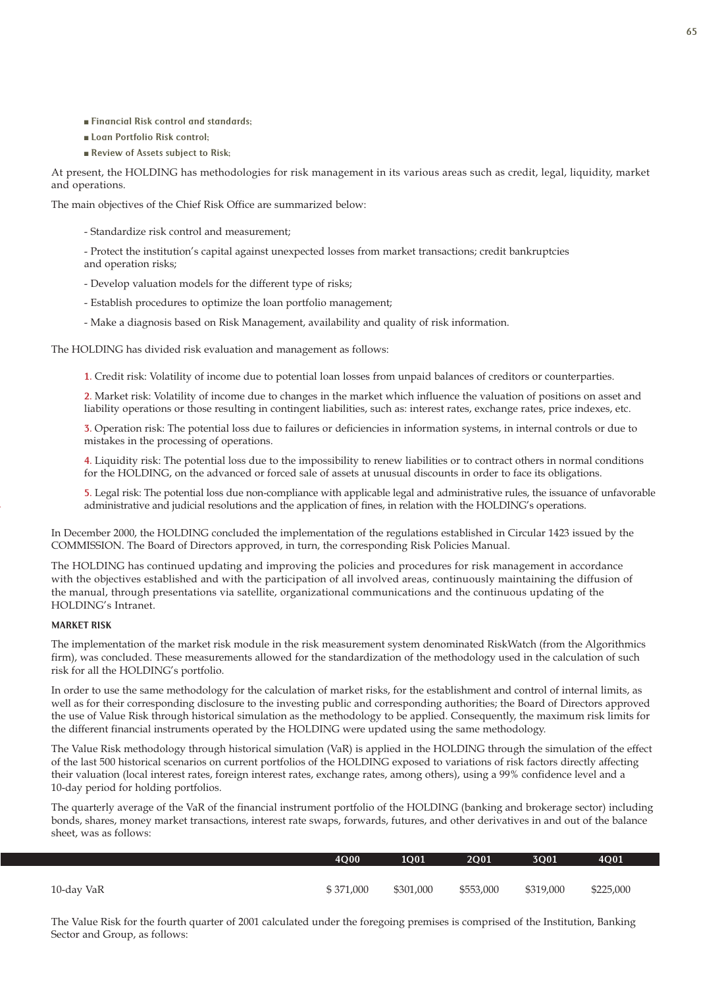- Financial Risk control and standards;
- Loan Portfolio Risk control;
- Review of Assets subject to Risk;

At present, the HOLDING has methodologies for risk management in its various areas such as credit, legal, liquidity, market and operations.

The main objectives of the Chief Risk Office are summarized below:

- Standardize risk control and measurement;

- Protect the institution's capital against unexpected losses from market transactions; credit bankruptcies and operation risks;

- Develop valuation models for the different type of risks;
- Establish procedures to optimize the loan portfolio management;
- Make a diagnosis based on Risk Management, availability and quality of risk information.

The HOLDING has divided risk evaluation and management as follows:

1. Credit risk: Volatility of income due to potential loan losses from unpaid balances of creditors or counterparties.

2. Market risk: Volatility of income due to changes in the market which influence the valuation of positions on asset and liability operations or those resulting in contingent liabilities, such as: interest rates, exchange rates, price indexes, etc.

3. Operation risk: The potential loss due to failures or deficiencies in information systems, in internal controls or due to mistakes in the processing of operations.

4. Liquidity risk: The potential loss due to the impossibility to renew liabilities or to contract others in normal conditions for the HOLDING, on the advanced or forced sale of assets at unusual discounts in order to face its obligations.

5. Legal risk: The potential loss due non-compliance with applicable legal and administrative rules, the issuance of unfavorable administrative and judicial resolutions and the application of fines, in relation with the HOLDING's operations.

In December 2000, the HOLDING concluded the implementation of the regulations established in Circular 1423 issued by the COMMISSION. The Board of Directors approved, in turn, the corresponding Risk Policies Manual.

The HOLDING has continued updating and improving the policies and procedures for risk management in accordance with the objectives established and with the participation of all involved areas, continuously maintaining the diffusion of the manual, through presentations via satellite, organizational communications and the continuous updating of the HOLDING's Intranet.

## MARKET RISK

The implementation of the market risk module in the risk measurement system denominated RiskWatch (from the Algorithmics firm), was concluded. These measurements allowed for the standardization of the methodology used in the calculation of such risk for all the HOLDING's portfolio.

In order to use the same methodology for the calculation of market risks, for the establishment and control of internal limits, as well as for their corresponding disclosure to the investing public and corresponding authorities; the Board of Directors approved the use of Value Risk through historical simulation as the methodology to be applied. Consequently, the maximum risk limits for the different financial instruments operated by the HOLDING were updated using the same methodology.

The Value Risk methodology through historical simulation (VaR) is applied in the HOLDING through the simulation of the effect of the last 500 historical scenarios on current portfolios of the HOLDING exposed to variations of risk factors directly affecting their valuation (local interest rates, foreign interest rates, exchange rates, among others), using a 99% confidence level and a 10-day period for holding portfolios.

The quarterly average of the VaR of the financial instrument portfolio of the HOLDING (banking and brokerage sector) including bonds, shares, money market transactions, interest rate swaps, forwards, futures, and other derivatives in and out of the balance sheet, was as follows:

|            | 4O00      | <b>1001</b> | 2001      | 3001      | 4001      |
|------------|-----------|-------------|-----------|-----------|-----------|
|            |           |             |           |           |           |
| 10-day VaR | \$371,000 | \$301,000   | \$553,000 | \$319,000 | \$225,000 |

The Value Risk for the fourth quarter of 2001 calculated under the foregoing premises is comprised of the Institution, Banking Sector and Group, as follows: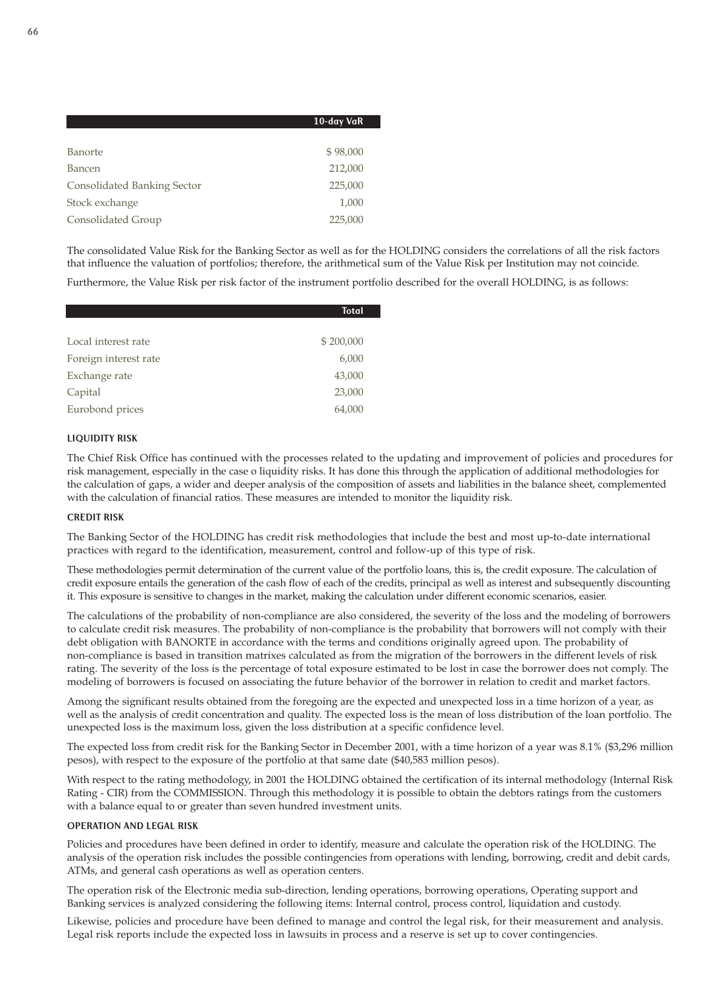|                             | 10-day VaR |
|-----------------------------|------------|
|                             |            |
| Banorte                     | \$98,000   |
| Bancen                      | 212,000    |
| Consolidated Banking Sector | 225,000    |
| Stock exchange              | 1,000      |
| Consolidated Group          | 225,000    |

The consolidated Value Risk for the Banking Sector as well as for the HOLDING considers the correlations of all the risk factors that influence the valuation of portfolios; therefore, the arithmetical sum of the Value Risk per Institution may not coincide.

Furthermore, the Value Risk per risk factor of the instrument portfolio described for the overall HOLDING, is as follows:

|                       | <b>Total</b> |
|-----------------------|--------------|
|                       |              |
| Local interest rate   | \$200,000    |
| Foreign interest rate | 6,000        |
| Exchange rate         | 43,000       |
| Capital               | 23,000       |
| Eurobond prices       | 64,000       |

### LIQUIDITY RISK

The Chief Risk Office has continued with the processes related to the updating and improvement of policies and procedures for risk management, especially in the case o liquidity risks. It has done this through the application of additional methodologies for the calculation of gaps, a wider and deeper analysis of the composition of assets and liabilities in the balance sheet, complemented with the calculation of financial ratios. These measures are intended to monitor the liquidity risk.

### CREDIT RISK

The Banking Sector of the HOLDING has credit risk methodologies that include the best and most up-to-date international practices with regard to the identification, measurement, control and follow-up of this type of risk.

These methodologies permit determination of the current value of the portfolio loans, this is, the credit exposure. The calculation of credit exposure entails the generation of the cash flow of each of the credits, principal as well as interest and subsequently discounting it. This exposure is sensitive to changes in the market, making the calculation under different economic scenarios, easier.

The calculations of the probability of non-compliance are also considered, the severity of the loss and the modeling of borrowers to calculate credit risk measures. The probability of non-compliance is the probability that borrowers will not comply with their debt obligation with BANORTE in accordance with the terms and conditions originally agreed upon. The probability of non-compliance is based in transition matrixes calculated as from the migration of the borrowers in the different levels of risk rating. The severity of the loss is the percentage of total exposure estimated to be lost in case the borrower does not comply. The modeling of borrowers is focused on associating the future behavior of the borrower in relation to credit and market factors.

Among the significant results obtained from the foregoing are the expected and unexpected loss in a time horizon of a year, as well as the analysis of credit concentration and quality. The expected loss is the mean of loss distribution of the loan portfolio. The unexpected loss is the maximum loss, given the loss distribution at a specific confidence level.

The expected loss from credit risk for the Banking Sector in December 2001, with a time horizon of a year was 8.1% (\$3,296 million pesos), with respect to the exposure of the portfolio at that same date (\$40,583 million pesos).

With respect to the rating methodology, in 2001 the HOLDING obtained the certification of its internal methodology (Internal Risk Rating - CIR) from the COMMISSION. Through this methodology it is possible to obtain the debtors ratings from the customers with a balance equal to or greater than seven hundred investment units.

### OPERATION AND LEGAL RISK

Policies and procedures have been defined in order to identify, measure and calculate the operation risk of the HOLDING. The analysis of the operation risk includes the possible contingencies from operations with lending, borrowing, credit and debit cards, ATMs, and general cash operations as well as operation centers.

The operation risk of the Electronic media sub-direction, lending operations, borrowing operations, Operating support and Banking services is analyzed considering the following items: Internal control, process control, liquidation and custody.

Likewise, policies and procedure have been defined to manage and control the legal risk, for their measurement and analysis. Legal risk reports include the expected loss in lawsuits in process and a reserve is set up to cover contingencies.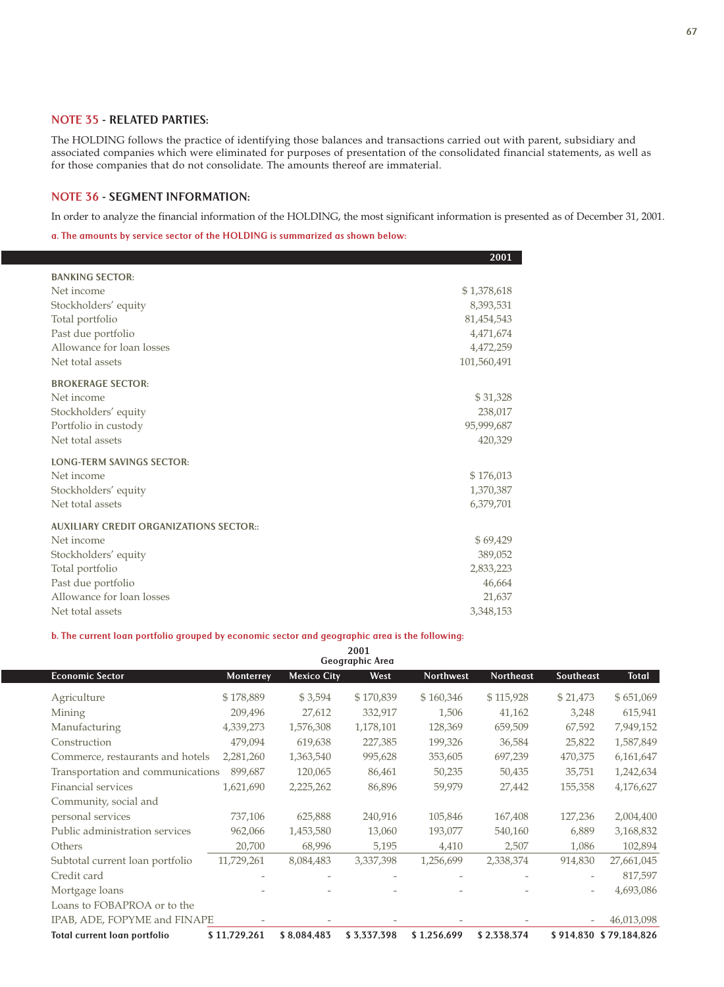## NOTE 35 - RELATED PARTIES:

The HOLDING follows the practice of identifying those balances and transactions carried out with parent, subsidiary and associated companies which were eliminated for purposes of presentation of the consolidated financial statements, as well as for those companies that do not consolidate. The amounts thereof are immaterial.

## NOTE 36 - SEGMENT INFORMATION:

In order to analyze the financial information of the HOLDING, the most significant information is presented as of December 31, 2001.

a. The amounts by service sector of the HOLDING is summarized as shown below:

|                                                | 2001        |
|------------------------------------------------|-------------|
| <b>BANKING SECTOR:</b>                         |             |
| Net income                                     | \$1,378,618 |
| Stockholders' equity                           | 8,393,531   |
| Total portfolio                                | 81,454,543  |
| Past due portfolio                             | 4,471,674   |
| Allowance for loan losses                      | 4,472,259   |
| Net total assets                               | 101,560,491 |
| <b>BROKERAGE SECTOR:</b>                       |             |
| Net income                                     | \$31,328    |
| Stockholders' equity                           | 238,017     |
| Portfolio in custody                           | 95,999,687  |
| Net total assets                               | 420,329     |
| <b>LONG-TERM SAVINGS SECTOR:</b>               |             |
| Net income                                     | \$176,013   |
| Stockholders' equity                           | 1,370,387   |
| Net total assets                               | 6,379,701   |
| <b>AUXILIARY CREDIT ORGANIZATIONS SECTOR::</b> |             |
| Net income                                     | \$69,429    |
| Stockholders' equity                           | 389,052     |
| Total portfolio                                | 2,833,223   |
| Past due portfolio                             | 46,664      |
| Allowance for loan losses                      | 21,637      |
| Net total assets                               | 3,348,153   |

## b. The current loan portfolio grouped by economic sector and geographic area is the following:

| 2001<br>Geographic Area           |              |                    |             |                  |                  |           |                        |
|-----------------------------------|--------------|--------------------|-------------|------------------|------------------|-----------|------------------------|
| <b>Economic Sector</b>            | Monterrey    | <b>Mexico City</b> | West        | <b>Northwest</b> | <b>Northeast</b> | Southeast | <b>Total</b>           |
| Agriculture                       | \$178,889    | \$3,594            | \$170,839   | \$160,346        | \$115,928        | \$21,473  | \$651,069              |
| Mining                            | 209,496      | 27,612             | 332,917     | 1,506            | 41,162           | 3,248     | 615,941                |
| Manufacturing                     | 4,339,273    | 1,576,308          | 1,178,101   | 128,369          | 659,509          | 67,592    | 7,949,152              |
| Construction                      | 479,094      | 619,638            | 227,385     | 199,326          | 36,584           | 25,822    | 1,587,849              |
| Commerce, restaurants and hotels  | 2,281,260    | 1,363,540          | 995,628     | 353,605          | 697,239          | 470,375   | 6,161,647              |
| Transportation and communications | 899,687      | 120,065            | 86,461      | 50,235           | 50,435           | 35,751    | 1,242,634              |
| Financial services                | 1,621,690    | 2,225,262          | 86,896      | 59,979           | 27,442           | 155,358   | 4,176,627              |
| Community, social and             |              |                    |             |                  |                  |           |                        |
| personal services                 | 737,106      | 625,888            | 240,916     | 105,846          | 167,408          | 127,236   | 2,004,400              |
| Public administration services    | 962,066      | 1,453,580          | 13,060      | 193,077          | 540,160          | 6,889     | 3,168,832              |
| Others                            | 20,700       | 68,996             | 5,195       | 4,410            | 2,507            | 1,086     | 102,894                |
| Subtotal current loan portfolio   | 11,729,261   | 8,084,483          | 3,337,398   | 1,256,699        | 2,338,374        | 914,830   | 27,661,045             |
| Credit card                       |              |                    |             |                  |                  |           | 817,597                |
| Mortgage loans                    |              |                    |             |                  |                  |           | 4,693,086              |
| Loans to FOBAPROA or to the       |              |                    |             |                  |                  |           |                        |
| IPAB, ADE, FOPYME and FINAPE      |              |                    |             |                  |                  |           | 46,013,098             |
| Total current loan portfolio      | \$11,729,261 | \$8,084,483        | \$3,337,398 | \$1,256,699      | \$2,338,374      |           | \$914,830 \$79,184,826 |